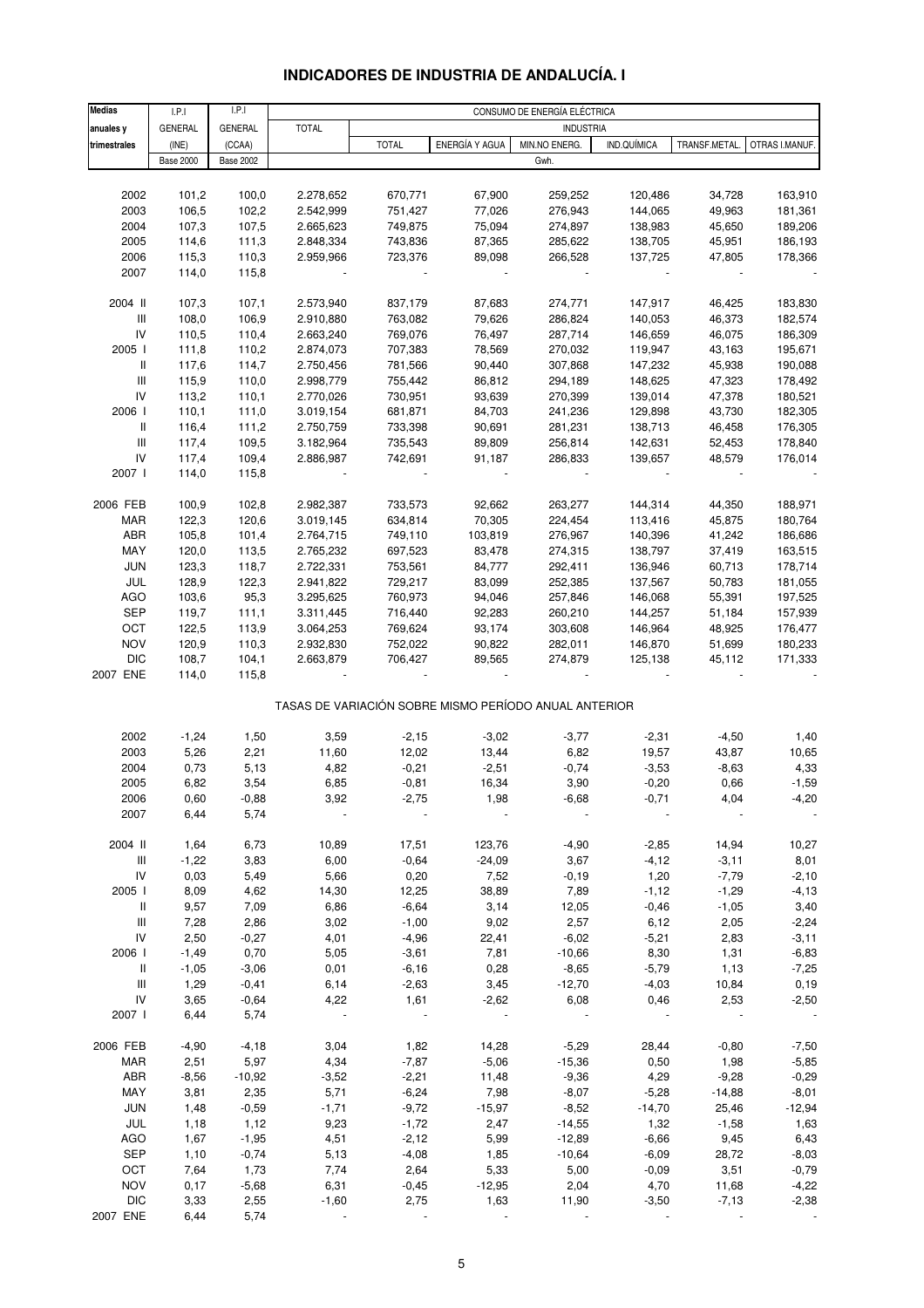# **INDICADORES DE INDUSTRIA DE ANDALUCÍA. I**

| <b>Medias</b>                      | LPI              | I.P.I            |              |              |                | CONSUMO DE ENERGÍA ELÉCTRICA                          |                |              |                |
|------------------------------------|------------------|------------------|--------------|--------------|----------------|-------------------------------------------------------|----------------|--------------|----------------|
| anuales y                          | <b>GENERAL</b>   | <b>GENERAL</b>   | <b>TOTAL</b> |              |                | <b>INDUSTRIA</b>                                      |                |              |                |
| trimestrales                       | (INE)            | (CCAA)           |              | <b>TOTAL</b> | ENERGÍA Y AGUA | MIN.NO ENERG.                                         | IND.QUÍMICA    | TRANSF.METAL | OTRAS I.MANUF. |
|                                    | <b>Base 2000</b> | <b>Base 2002</b> |              |              |                | Gwh.                                                  |                |              |                |
|                                    |                  |                  |              |              |                |                                                       |                |              |                |
| 2002                               | 101,2            | 100,0            | 2.278,652    | 670,771      | 67,900         | 259,252                                               | 120,486        | 34,728       | 163,910        |
| 2003                               |                  |                  |              | 751,427      |                |                                                       |                |              |                |
|                                    | 106,5            | 102,2            | 2.542,999    |              | 77,026         | 276,943                                               | 144,065        | 49,963       | 181,361        |
| 2004                               | 107,3            | 107,5            | 2.665,623    | 749,875      | 75,094         | 274,897                                               | 138,983        | 45,650       | 189,206        |
| 2005                               | 114,6            | 111,3            | 2.848,334    | 743,836      | 87,365         | 285,622                                               | 138,705        | 45,951       | 186,193        |
| 2006                               | 115,3            | 110,3            | 2.959,966    | 723,376      | 89,098         | 266,528                                               | 137,725        | 47,805       | 178,366        |
| 2007                               | 114,0            | 115,8            |              |              |                |                                                       | $\blacksquare$ |              |                |
|                                    |                  |                  |              |              |                |                                                       |                |              |                |
| 2004 II                            | 107,3            | 107,1            | 2.573,940    | 837,179      | 87,683         | 274,771                                               | 147,917        | 46,425       | 183,830        |
| $\ensuremath{\mathsf{III}}\xspace$ | 108,0            | 106,9            | 2.910,880    | 763,082      | 79,626         | 286,824                                               | 140,053        | 46,373       | 182,574        |
| ${\sf IV}$                         | 110,5            | 110,4            | 2.663,240    | 769,076      | 76,497         | 287,714                                               | 146,659        | 46,075       | 186,309        |
| 2005 l                             | 111,8            | 110,2            | 2.874,073    | 707,383      | 78,569         | 270,032                                               | 119,947        | 43,163       | 195,671        |
| $\, \parallel$                     | 117,6            | 114,7            | 2.750,456    | 781,566      | 90,440         | 307,868                                               | 147,232        | 45,938       | 190,088        |
| $\ensuremath{\mathsf{III}}\xspace$ | 115,9            | 110,0            | 2.998,779    | 755,442      | 86,812         | 294,189                                               | 148,625        | 47,323       | 178,492        |
| ${\sf IV}$                         | 113,2            | 110,1            | 2.770,026    | 730,951      | 93,639         | 270,399                                               | 139,014        | 47,378       | 180,521        |
| 2006                               | 110,1            | 111,0            | 3.019,154    | 681,871      | 84,703         | 241,236                                               | 129,898        | 43,730       | 182,305        |
| $\, \parallel$                     | 116,4            | 111,2            | 2.750,759    | 733,398      | 90,691         | 281,231                                               | 138,713        | 46,458       | 176,305        |
| $\ensuremath{\mathsf{III}}\xspace$ | 117,4            | 109,5            | 3.182,964    | 735,543      | 89,809         | 256,814                                               | 142,631        | 52,453       | 178,840        |
| ${\sf IV}$                         | 117,4            | 109,4            | 2.886,987    | 742,691      | 91,187         | 286,833                                               | 139,657        | 48,579       | 176,014        |
| 2007 l                             | 114,0            | 115,8            |              |              |                |                                                       |                |              |                |
|                                    |                  |                  |              |              |                |                                                       |                |              |                |
| 2006 FEB                           | 100,9            | 102,8            | 2.982,387    | 733,573      | 92,662         | 263,277                                               | 144,314        | 44,350       | 188,971        |
| MAR                                | 122,3            | 120,6            | 3.019,145    | 634,814      | 70,305         | 224,454                                               | 113,416        | 45,875       | 180,764        |
| ABR                                | 105,8            | 101,4            | 2.764,715    | 749,110      | 103,819        | 276,967                                               | 140,396        | 41,242       | 186,686        |
|                                    |                  |                  |              |              |                |                                                       |                |              |                |
| MAY                                | 120,0            | 113,5            | 2.765,232    | 697,523      | 83,478         | 274,315                                               | 138,797        | 37,419       | 163,515        |
| <b>JUN</b>                         | 123,3            | 118,7            | 2.722,331    | 753,561      | 84,777         | 292,411                                               | 136,946        | 60,713       | 178,714        |
| JUL                                | 128,9            | 122,3            | 2.941,822    | 729,217      | 83,099         | 252,385                                               | 137,567        | 50,783       | 181,055        |
| AGO                                | 103,6            | 95,3             | 3.295,625    | 760,973      | 94,046         | 257,846                                               | 146,068        | 55,391       | 197,525        |
| <b>SEP</b>                         | 119,7            | 111,1            | 3.311,445    | 716,440      | 92,283         | 260,210                                               | 144,257        | 51,184       | 157,939        |
| OCT                                | 122,5            | 113,9            | 3.064,253    | 769,624      | 93,174         | 303,608                                               | 146,964        | 48,925       | 176,477        |
| <b>NOV</b>                         | 120,9            | 110,3            | 2.932,830    | 752,022      | 90,822         | 282,011                                               | 146,870        | 51,699       | 180,233        |
| <b>DIC</b>                         | 108,7            | 104,1            | 2.663,879    | 706,427      | 89,565         | 274,879                                               | 125,138        | 45,112       | 171,333        |
| 2007 ENE                           | 114,0            | 115,8            |              |              |                |                                                       |                |              |                |
|                                    |                  |                  |              |              |                |                                                       |                |              |                |
|                                    |                  |                  |              |              |                | TASAS DE VARIACIÓN SOBRE MISMO PERÍODO ANUAL ANTERIOR |                |              |                |
|                                    |                  |                  |              |              |                |                                                       |                |              |                |
| 2002                               | $-1,24$          | 1,50             | 3,59         | $-2,15$      | $-3,02$        | $-3,77$                                               | $-2,31$        | $-4,50$      | 1,40           |
| 2003                               | 5,26             | 2,21             | 11,60        | 12,02        | 13,44          | 6,82                                                  | 19,57          | 43,87        | 10,65          |
| 2004                               | 0,73             | 5,13             | 4,82         | $-0,21$      | $-2,51$        | $-0,74$                                               | $-3,53$        | $-8,63$      | 4,33           |
| 2005                               | 6,82             | 3,54             | 6,85         | $-0,81$      | 16,34          | 3,90                                                  | $-0,20$        | 0,66         | $-1,59$        |
| 2006                               | 0,60             | -0,88            | 3,92         | $-2,75$      | 1,98           | -6,68                                                 | $-0,71$        | 4,04         | -4,20          |
| 2007                               | 6,44             | 5,74             |              |              |                |                                                       |                |              |                |
|                                    |                  |                  |              |              |                |                                                       |                |              |                |
| 2004 II                            | 1,64             | 6,73             | 10,89        | 17,51        | 123,76         | $-4,90$                                               | $-2,85$        | 14,94        | 10,27          |
| Ш                                  | $-1,22$          | 3,83             | 6,00         | $-0,64$      | $-24,09$       | 3,67                                                  | $-4,12$        | $-3,11$      | 8,01           |
| IV                                 | 0,03             | 5,49             | 5,66         | 0,20         | 7,52           | $-0,19$                                               | 1,20           | $-7,79$      | $-2,10$        |
| 2005 l                             | 8,09             | 4,62             | 14,30        | 12,25        | 38,89          | 7,89                                                  | $-1,12$        | $-1,29$      | $-4, 13$       |
| Ш                                  | 9,57             | 7,09             | 6,86         | $-6,64$      | 3,14           | 12,05                                                 | $-0,46$        | $-1,05$      | 3,40           |
| Ш                                  | 7,28             | 2,86             | 3,02         | $-1,00$      | 9,02           | 2,57                                                  | 6,12           | 2,05         | $-2,24$        |
| IV                                 | 2,50             | $-0,27$          | 4,01         | $-4,96$      | 22,41          | $-6,02$                                               | $-5,21$        | 2,83         | $-3, 11$       |
| 2006                               | $-1,49$          | 0,70             | 5,05         | $-3,61$      | 7,81           | $-10,66$                                              | 8,30           | 1,31         | $-6,83$        |
| Ш                                  | $-1,05$          | $-3,06$          | 0,01         | $-6,16$      | 0,28           | $-8,65$                                               | $-5,79$        | 1,13         | $-7,25$        |
| Ш                                  | 1,29             | $-0,41$          | 6,14         | $-2,63$      | 3,45           | $-12,70$                                              | $-4,03$        | 10,84        | 0, 19          |
| IV                                 | 3,65             | $-0,64$          | 4,22         | 1,61         | $-2,62$        | 6,08                                                  | 0,46           | 2,53         | $-2,50$        |
| 2007 l                             | 6,44             | 5,74             |              |              |                |                                                       |                |              |                |
|                                    |                  |                  |              |              |                |                                                       |                |              |                |
|                                    |                  |                  |              |              |                |                                                       |                |              |                |
| 2006 FEB                           | $-4,90$          | $-4,18$          | 3,04         | 1,82         | 14,28          | $-5,29$                                               | 28,44          | $-0,80$      | $-7,50$        |
| MAR                                | 2,51             | 5,97             | 4,34         | $-7,87$      | $-5,06$        | $-15,36$                                              | 0,50           | 1,98         | $-5,85$        |
| ABR                                | $-8,56$          | $-10,92$         | $-3,52$      | $-2,21$      | 11,48          | $-9,36$                                               | 4,29           | $-9,28$      | $-0,29$        |
| MAY                                | 3,81             | 2,35             | 5,71         | $-6,24$      | 7,98           | $-8,07$                                               | $-5,28$        | $-14,88$     | $-8,01$        |
| <b>JUN</b>                         | 1,48             | $-0,59$          | $-1,71$      | $-9,72$      | $-15,97$       | $-8,52$                                               | $-14,70$       | 25,46        | $-12,94$       |
| JUL                                | 1,18             | 1,12             | 9,23         | $-1,72$      | 2,47           | $-14,55$                                              | 1,32           | $-1,58$      | 1,63           |
| AGO                                | 1,67             | $-1,95$          | 4,51         | $-2,12$      | 5,99           | $-12,89$                                              | $-6,66$        | 9,45         | 6,43           |
| SEP                                | 1,10             | $-0,74$          | 5,13         | $-4,08$      | 1,85           | $-10,64$                                              | $-6,09$        | 28,72        | $-8,03$        |
| OCT                                | 7,64             | 1,73             | 7,74         | 2,64         | 5,33           | 5,00                                                  | $-0,09$        | 3,51         | $-0,79$        |
| <b>NOV</b>                         | 0,17             | $-5,68$          | 6,31         | $-0,45$      | $-12,95$       | 2,04                                                  | 4,70           | 11,68        | $-4,22$        |
| <b>DIC</b>                         | 3,33             | 2,55             | $-1,60$      | 2,75         | 1,63           | 11,90                                                 | $-3,50$        | $-7,13$      | $-2,38$        |
| 2007 ENE                           | 6,44             | 5,74             |              |              |                |                                                       |                |              |                |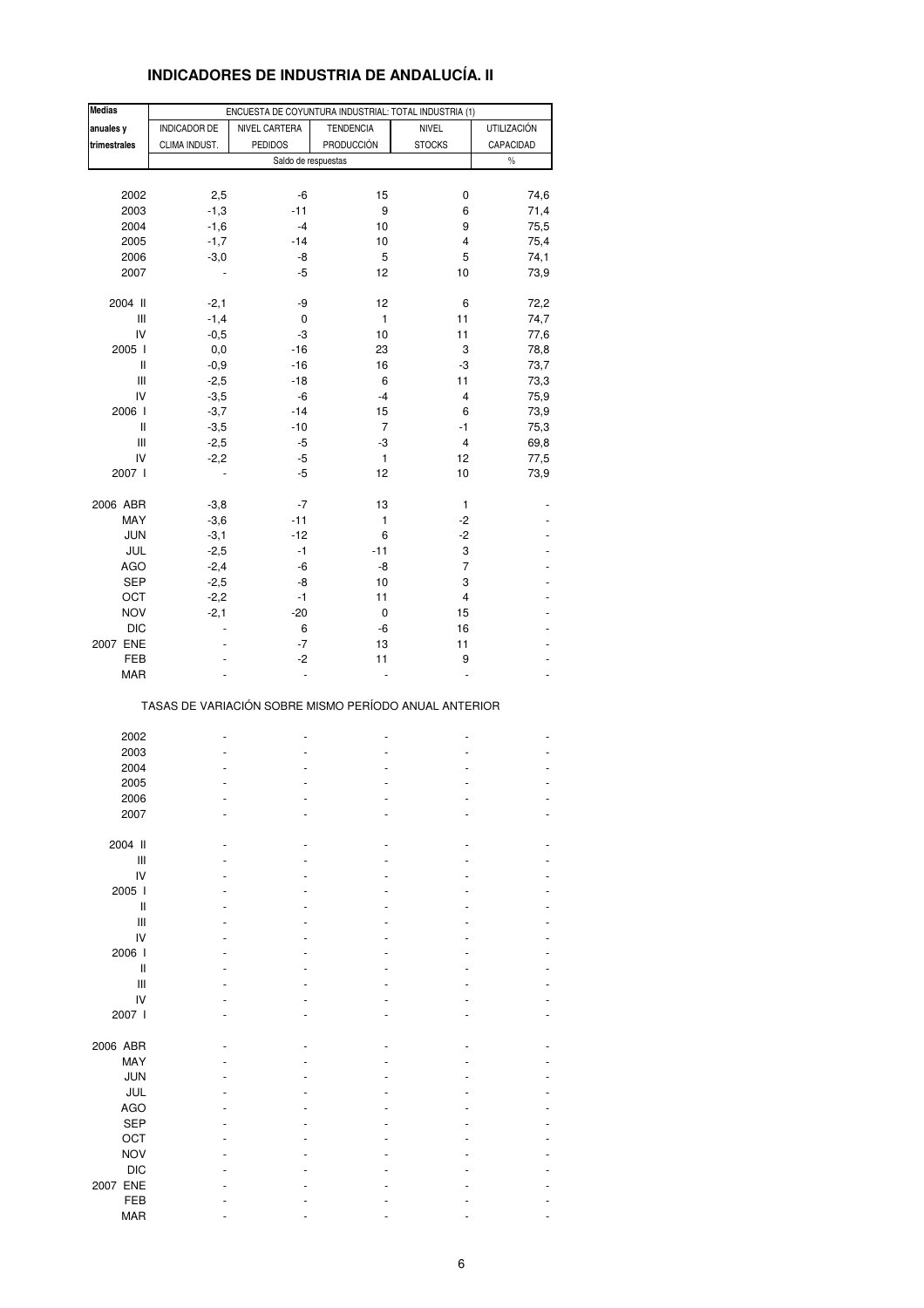# **INDICADORES DE INDUSTRIA DE ANDALUCÍA. II**

| <b>Medias</b>                      |               | ENCUESTA DE COYUNTURA INDUSTRIAL: TOTAL INDUSTRIA (1) |                   |                         |                    |
|------------------------------------|---------------|-------------------------------------------------------|-------------------|-------------------------|--------------------|
| anuales y                          | INDICADOR DE  | NIVEL CARTERA                                         | <b>TENDENCIA</b>  | <b>NIVEL</b>            | <b>UTILIZACIÓN</b> |
| trimestrales                       | CLIMA INDUST. | <b>PEDIDOS</b>                                        | <b>PRODUCCIÓN</b> | <b>STOCKS</b>           | CAPACIDAD          |
|                                    |               |                                                       |                   |                         | $\%$               |
|                                    |               | Saldo de respuestas                                   |                   |                         |                    |
|                                    |               |                                                       |                   |                         |                    |
| 2002                               | 2,5           | -6                                                    | 15                | 0                       | 74,6               |
| 2003                               | $-1,3$        | $-11$                                                 | 9                 | 6                       | 71,4               |
| 2004                               | $-1,6$        | -4                                                    | 10                | 9                       | 75,5               |
| 2005                               | $-1,7$        | $-14$                                                 | 10                | 4                       | 75,4               |
| 2006                               | $-3,0$        | -8                                                    | 5                 | 5                       | 74,1               |
| 2007                               |               | -5                                                    | 12                | 10                      | 73,9               |
|                                    |               |                                                       |                   |                         |                    |
| 2004 II                            | $-2,1$        | -9                                                    | 12                | 6                       | 72,2               |
| Ш                                  | $-1,4$        | 0                                                     | 1                 | 11                      | 74,7               |
| IV                                 | $-0,5$        | -3                                                    | 10                | 11                      | 77,6               |
| 2005 l                             | 0,0           | $-16$                                                 | 23                | 3                       | 78,8               |
| Ш                                  | $-0,9$        | $-16$                                                 | 16                | -3                      | 73,7               |
| Ш                                  | $-2,5$        | $-18$                                                 | 6                 | 11                      | 73,3               |
| IV                                 | $-3,5$        | -6                                                    | $-4$              | $\overline{\mathbf{4}}$ | 75,9               |
| 2006                               | $-3,7$        | $-14$                                                 | 15                | 6                       |                    |
|                                    |               |                                                       | $\overline{7}$    |                         | 73,9               |
| Ш                                  | $-3,5$        | $-10$                                                 |                   | $-1$                    | 75,3               |
| $\ensuremath{\mathsf{III}}\xspace$ | $-2,5$        | -5                                                    | -3                | $\overline{\mathbf{4}}$ | 69,8               |
| IV                                 | $-2,2$        | -5                                                    | 1                 | 12                      | 77,5               |
| 2007 l                             |               | -5                                                    | 12                | 10                      | 73,9               |
|                                    |               |                                                       |                   |                         |                    |
| 2006 ABR                           | $-3,8$        | $-7$                                                  | 13                | 1                       |                    |
| MAY                                | $-3,6$        | $-11$                                                 | 1                 | $-2$                    |                    |
| <b>JUN</b>                         | $-3,1$        | $-12$                                                 | 6                 | $-2$                    |                    |
| JUL                                | $-2,5$        | $-1$                                                  | $-11$             | 3                       |                    |
| <b>AGO</b>                         | $-2,4$        | -6                                                    | -8                | $\overline{7}$          |                    |
| SEP                                | $-2,5$        | -8                                                    | 10                | 3                       |                    |
| OCT                                | $-2,2$        | $-1$                                                  | 11                | $\overline{\mathbf{4}}$ |                    |
| <b>NOV</b>                         | $-2,1$        | $-20$                                                 | 0                 | 15                      |                    |
| <b>DIC</b>                         |               | 6                                                     | -6                | 16                      |                    |
| 2007 ENE                           |               | -7                                                    | 13                | 11                      |                    |
| FEB                                |               | $-2$                                                  | 11                | 9                       |                    |
| MAR                                |               |                                                       |                   |                         |                    |
|                                    |               |                                                       |                   |                         |                    |
|                                    |               | TASAS DE VARIACIÓN SOBRE MISMO PERÍODO ANUAL ANTERIOR |                   |                         |                    |
|                                    |               |                                                       |                   |                         |                    |
| 2002                               |               |                                                       |                   |                         |                    |
| 2003                               |               |                                                       |                   |                         |                    |
| 2004                               |               |                                                       |                   |                         |                    |
| 2005                               |               |                                                       |                   |                         |                    |
| 2006                               |               |                                                       |                   |                         |                    |
| 2007                               |               |                                                       |                   |                         |                    |
|                                    |               |                                                       |                   |                         |                    |
| 2004 II                            |               |                                                       |                   |                         |                    |
|                                    |               |                                                       |                   |                         |                    |
| Ш                                  |               |                                                       |                   |                         |                    |
| IV                                 |               |                                                       |                   |                         |                    |
| 2005 l                             |               |                                                       |                   |                         |                    |
| Ш                                  |               |                                                       |                   |                         |                    |
| Ш                                  |               |                                                       |                   |                         |                    |
| IV                                 |               |                                                       |                   |                         |                    |
| 2006                               |               |                                                       |                   |                         |                    |
| Ш                                  |               |                                                       |                   |                         |                    |
| Ш                                  |               |                                                       |                   |                         |                    |
| IV                                 |               |                                                       |                   |                         |                    |
| 2007 l                             |               |                                                       |                   |                         |                    |
|                                    |               |                                                       |                   |                         |                    |
| 2006 ABR                           |               |                                                       |                   |                         |                    |
| MAY                                |               |                                                       |                   |                         |                    |
| <b>JUN</b>                         |               |                                                       |                   |                         |                    |
| JUL                                |               |                                                       |                   |                         |                    |
| <b>AGO</b>                         |               |                                                       |                   |                         |                    |
| <b>SEP</b>                         |               |                                                       |                   |                         |                    |
|                                    |               |                                                       |                   |                         |                    |
| OCT                                |               |                                                       |                   |                         |                    |
| <b>NOV</b>                         |               |                                                       |                   |                         |                    |
| <b>DIC</b>                         |               |                                                       |                   |                         |                    |
| 2007 ENE                           |               |                                                       |                   |                         |                    |
| FEB                                |               |                                                       |                   |                         |                    |
| <b>MAR</b>                         |               |                                                       |                   |                         |                    |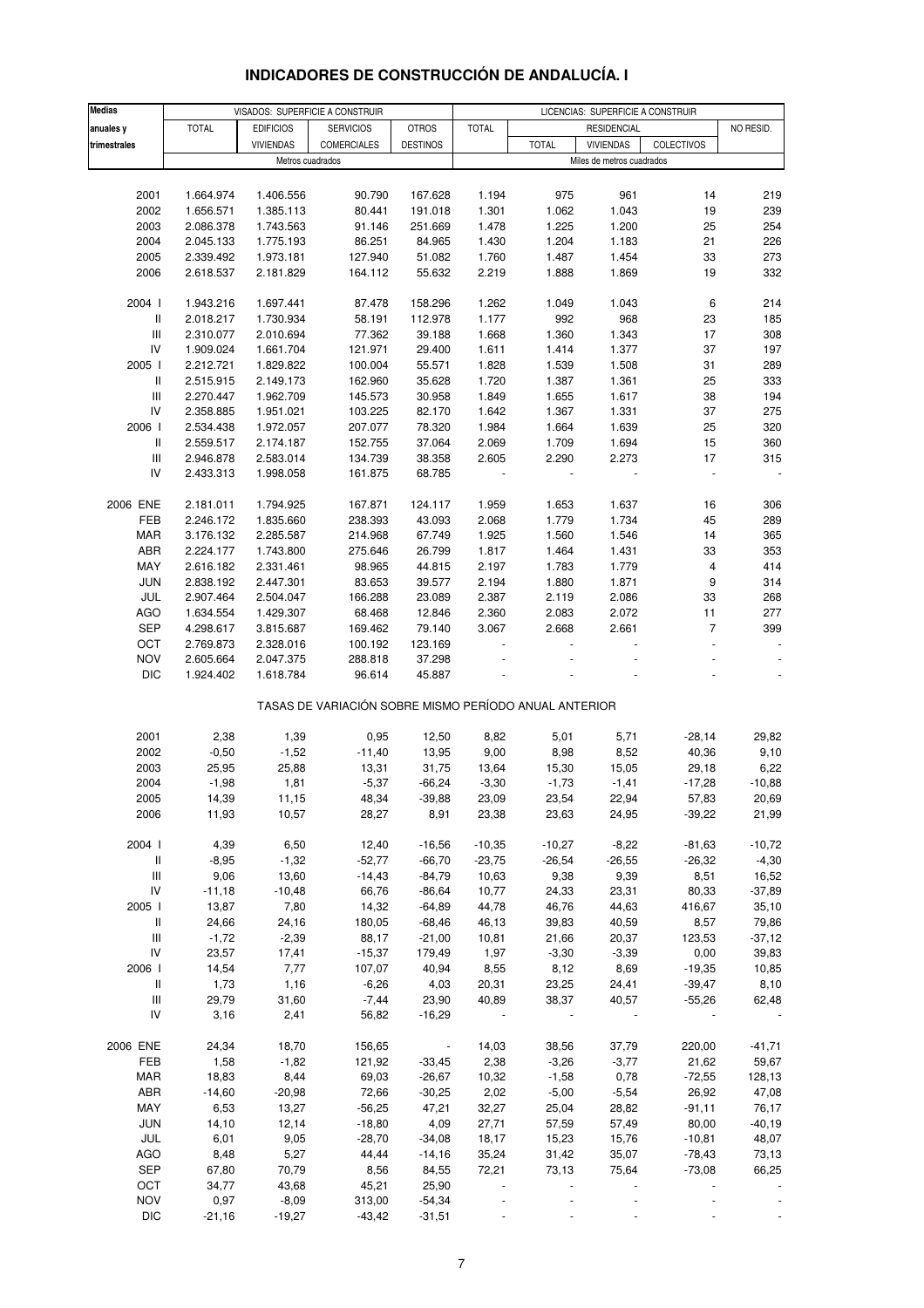#### **Medias anuales y** TOTAL EDIFICIOS SERVICIOS OTROS TOTAL NO RESID. **trimestrales** VIVIENDAS COMERCIALES DESTINOS TOTAL VIVIENDAS COLECTIVOS 2001 1.664.974 1.406.556 90.790 167.628 1.194 975 961 14 219 2002 1.656.571 1.385.113 80.441 191.018 1.301 1.062 1.043 19 239 2003 2.086.378 1.743.563 91.146 251.669 1.478 1.225 1.200 25 254 2004 2.045.133 1.775.193 86.251 84.965 1.430 1.204 1.183 21 226 2005 2.339.492 1.973.181 127.940 51.082 1.760 1.487 1.454 33 273 2006 2.618.537 2.181.829 164.112 55.632 2.219 1.888 1.869 19 332 2004 I 1.943.216 1.697.441 87.478 158.296 1.262 1.049 1.043 6 214 II 2.018.217 1.730.934 58.191 112.978 1.177 992 968 23 185 III 2.310.077 2.010.694 77.362 39.188 1.668 1.360 1.343 17 308 IV 1.909.024 1.661.704 121.971 29.400 1.611 1.414 1.377 37 197 2005 I 2.212.721 1.829.822 100.004 55.571 1.828 1.539 1.508 31 289 II 2.515.915 2.149.173 162.960 35.628 1.720 1.387 1.361 25 333 III 2.270.447 1.962.709 145.573 30.958 1.849 1.655 1.617 38 194 IV 2.358.885 1.951.021 103.225 82.170 1.642 1.367 1.331 37 275 2006 I 2.534.438 1.972.057 207.077 78.320 1.984 1.664 1.639 25 320 II 2.559.517 2.174.187 152.755 37.064 2.069 1.709 1.694 15 360 III 2.946.878 2.583.014 134.739 38.358 2.605 2.290 2.273 17 315 IV 2.433.313 1.998.058 161.875 68.785 - - - - - 2006 ENE 2.181.011 1.794.925 167.871 124.117 1.959 1.653 1.637 16 306 FEB 2.246.172 1.835.660 238.393 43.093 2.068 1.779 1.734 45 289 MAR 3.176.132 2.285.587 214.968 67.749 1.925 1.560 1.546 14 365 ABR 2.224.177 1.743.800 275.646 26.799 1.817 1.464 1.431 33 353 MAY 2.616.182 2.331.461 98.965 44.815 2.197 1.783 1.779 4 414 JUN 2.838.192 2.447.301 83.653 39.577 2.194 1.880 1.871 9 314 JUL 2.907.464 2.504.047 166.288 23.089 2.387 2.119 2.086 33 268 AGO 1.634.554 1.429.307 68.468 12.846 2.360 2.083 2.072 11 277 SEP 4.298.617 3.815.687 169.462 79.140 3.067 2.668 2.661 7 399 OCT 2.769.873 2.328.016 100.192 123.169 - - - - - NOV 2.605.664 2.047.375 288.818 37.298 - - - - - DIC 1.924.402 1.618.784 96.614 45.887 - - - - - 2001 2,38 1,39 0,95 12,50 8,82 5,01 5,71 -28,14 29,82 2002 -0,50 -1,52 -11,40 13,95 9,00 8,98 8,52 40,36 9,10 2003 25,95 25,88 13,31 31,75 13,64 15,30 15,05 29,18 6,22 2004 -1,98 1,81 -5,37 -66,24 -3,30 -1,73 -1,41 -17,28 -10,88 2005 14,39 11,15 48,34 -39,88 23,09 23,54 22,94 57,83 20,69 2006 11,93 10,57 28,27 8,91 23,38 23,63 24,95 -39,22 21,99 2004 I 4,39 6,50 12,40 -16,56 -10,35 -10,27 -8,22 -81,63 -10,72 II -8,95 -1,32 -52,77 -66,70 -23,75 -26,54 -26,55 -26,32 -4,30 III 9,06 13,60 -14,43 -84,79 10,63 9,38 9,39 8,51 16,52 IV -11,18 -10,48 66,76 -86,64 10,77 24,33 23,31 80,33 -37,89 2005 I 13,87 7,80 14,32 -64,89 44,78 46,76 44,63 416,67 35,10 II 24,66 24,16 180,05 -68,46 46,13 39,83 40,59 8,57 79,86 III -1,72 -2,39 88,17 -21,00 10,81 21,66 20,37 123,53 -37,12 IV 23,57 17,41 -15,37 179,49 1,97 -3,30 -3,39 0,00 39,83 2006 I 14,54 7,77 107,07 40,94 8,55 8,12 8,69 -19,35 10,85 II 1,73 1,16 -6,26 4,03 20,31 23,25 24,41 -39,47 8,10 III 29,79 31,60 -7,44 23,90 40,89 38,37 40,57 -55,26 62,48 IV 3,16 2,41 56,82 -16,29 - - - - - 2006 ENE 24,34 18,70 156,65 - 14,03 38,56 37,79 220,00 -41,71 FEB 1,58 -1,82 121,92 -33,45 2,38 -3,26 -3,77 21,62 59,67 MAR 18,83 8,44 69,03 -26,67 10,32 -1,58 0,78 -72,55 128,13 ABR -14,60 -20,98 72,66 -30,25 2,02 -5,00 -5,54 26,92 47,08 MAY 6,53 13,27 -56,25 47,21 32,27 25,04 28,82 -91,11 76,17 JUN 14,10 12,14 -18,80 4,09 27,71 57,59 57,49 80,00 -40,19 JUL 6,01 9,05 -28,70 -34,08 18,17 15,23 15,76 -10,81 48,07 AGO 8,48 5,27 44,44 -14,16 35,24 31,42 35,07 -78,43 73,13 SEP 67,80 70,79 8,56 84,55 72,21 73,13 75,64 -73,08 66,25 OCT 34,77 43,68 45,21 25,90 - - - - - NOV 0,97 -8,09 313,00 -54,34 - - - - - Metros cuadrados **Metros cuadrados** Miles de metros cuadrados TASAS DE VARIACIÓN SOBRE MISMO PERÍODO ANUAL ANTERIOR VISADOS: SUPERFICIE A CONSTRUIR LICENCIAS: SUPERFICIE A CONSTRUIR RESIDENCIAL

### **INDICADORES DE CONSTRUCCIÓN DE ANDALUCÍA. I**

DIC -21,16 -19,27 -43,42 -31,51 - - - - -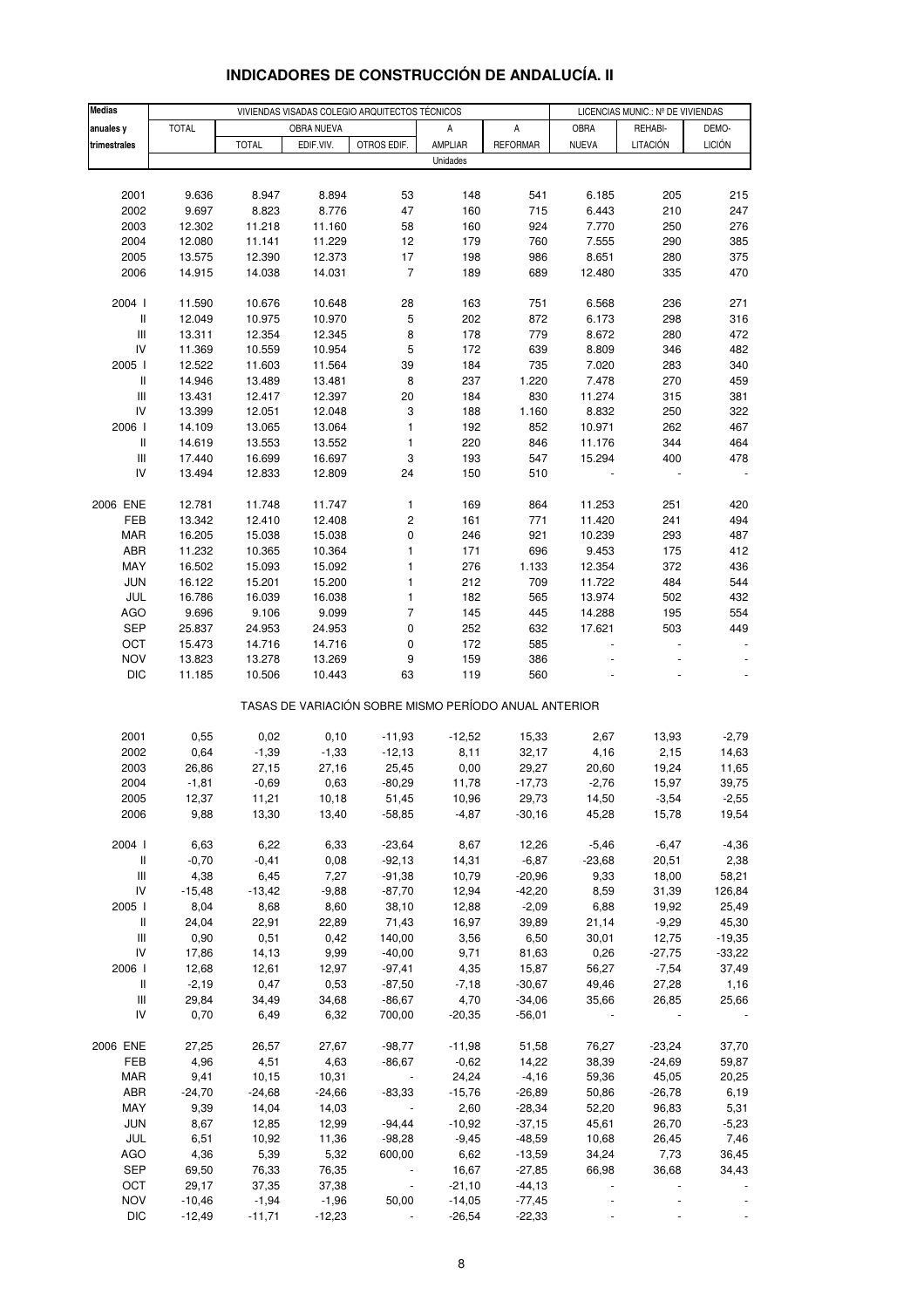| <b>Medias</b>                      |                   |                  | VIVIENDAS VISADAS COLEGIO ARQUITECTOS TÉCNICOS |                                                       | LICENCIAS MUNIC.: Nº DE VIVIENDAS |                       |                  |                     |                |
|------------------------------------|-------------------|------------------|------------------------------------------------|-------------------------------------------------------|-----------------------------------|-----------------------|------------------|---------------------|----------------|
| anuales y                          | <b>TOTAL</b>      |                  | OBRA NUEVA                                     |                                                       | Α                                 | А                     | OBRA             | REHABI-             | DEMO-          |
| trimestrales                       |                   | <b>TOTAL</b>     | EDIF.VIV.                                      | OTROS EDIF.                                           | AMPLIAR                           | <b>REFORMAR</b>       | <b>NUEVA</b>     | LITACIÓN            | <b>LICIÓN</b>  |
|                                    |                   |                  |                                                |                                                       | Unidades                          |                       |                  |                     |                |
|                                    |                   |                  |                                                |                                                       |                                   |                       |                  |                     |                |
| 2001                               | 9.636             | 8.947            | 8.894                                          | 53                                                    | 148                               | 541                   | 6.185            | 205                 | 215            |
| 2002                               | 9.697             | 8.823            | 8.776                                          | 47                                                    | 160                               | 715                   | 6.443            | 210                 | 247            |
| 2003                               | 12.302            | 11.218           | 11.160                                         | 58                                                    | 160                               | 924                   | 7.770            | 250                 | 276            |
| 2004                               | 12.080            | 11.141           | 11.229                                         | 12                                                    | 179                               | 760                   | 7.555            | 290                 | 385            |
| 2005                               | 13.575            | 12.390           | 12.373                                         | $17$                                                  | 198                               | 986                   | 8.651            | 280                 | 375            |
| 2006                               | 14.915            | 14.038           | 14.031                                         | $\overline{7}$                                        | 189                               | 689                   | 12.480           | 335                 | 470            |
| 2004 l                             | 11.590            | 10.676           | 10.648                                         | 28                                                    | 163                               | 751                   | 6.568            | 236                 | 271            |
| $\mathsf{I}$                       | 12.049            | 10.975           | 10.970                                         | 5                                                     | 202                               | 872                   | 6.173            | 298                 | 316            |
| $\ensuremath{\mathsf{III}}\xspace$ | 13.311            | 12.354           | 12.345                                         | 8                                                     | 178                               | 779                   | 8.672            | 280                 | 472            |
| IV                                 | 11.369            | 10.559           | 10.954                                         | 5                                                     | 172                               | 639                   | 8.809            | 346                 | 482            |
| 2005 l                             | 12.522            | 11.603           | 11.564                                         | 39                                                    | 184                               | 735                   | 7.020            | 283                 | 340            |
| $\, \parallel$                     | 14.946            | 13.489           | 13.481                                         | 8                                                     | 237                               | 1.220                 | 7.478            | 270                 | 459            |
| $\ensuremath{\mathsf{III}}\xspace$ | 13.431            | 12.417           | 12.397                                         | 20                                                    | 184                               | 830                   | 11.274           | 315                 | 381            |
| IV                                 | 13.399            | 12.051           | 12.048                                         | 3                                                     | 188                               | 1.160                 | 8.832            | 250                 | 322            |
| 2006                               | 14.109            | 13.065           | 13.064                                         | $\mathbf{1}$                                          | 192                               | 852                   | 10.971           | 262                 | 467            |
| $\, \parallel$                     | 14.619            | 13.553           | 13.552                                         | 1                                                     | 220                               | 846                   | 11.176           | 344                 | 464            |
| $\ensuremath{\mathsf{III}}\xspace$ | 17.440            | 16.699           | 16.697                                         | 3                                                     | 193                               | 547                   | 15.294           | 400                 | 478            |
| IV                                 | 13.494            | 12.833           | 12.809                                         | 24                                                    | 150                               | 510                   |                  |                     |                |
| 2006 ENE                           | 12.781            | 11.748           | 11.747                                         | $\mathbf{1}$                                          | 169                               | 864                   | 11.253           | 251                 | 420            |
| FEB                                | 13.342            | 12.410           | 12.408                                         | $\mathsf{2}\!\!\:\hspace{0.5pt}$                      | 161                               | 771                   | 11.420           | 241                 | 494            |
| <b>MAR</b>                         | 16.205            | 15.038           | 15.038                                         | 0                                                     | 246                               | 921                   | 10.239           | 293                 | 487            |
| ABR                                | 11.232            | 10.365           | 10.364                                         | $\mathbf{1}$                                          | 171                               | 696                   | 9.453            | 175                 | 412            |
| MAY                                | 16.502            | 15.093           | 15.092                                         | $\mathbf{1}$                                          | 276                               | 1.133                 | 12.354           | 372                 | 436            |
| <b>JUN</b>                         | 16.122            | 15.201           | 15.200                                         | $\mathbf{1}$                                          | 212                               | 709                   | 11.722           | 484                 | 544            |
| JUL                                | 16.786            | 16.039           | 16.038                                         | $\mathbf{1}$                                          | 182                               | 565                   | 13.974           | 502                 | 432            |
| AGO                                | 9.696             | 9.106            | 9.099                                          | $\overline{7}$                                        | 145                               | 445                   | 14.288           | 195                 | 554            |
| SEP                                | 25.837            | 24.953           | 24.953                                         | 0                                                     | 252                               | 632                   | 17.621           | 503                 | 449            |
| OCT                                | 15.473            | 14.716           | 14.716                                         | 0                                                     | 172                               | 585                   |                  |                     |                |
| <b>NOV</b>                         | 13.823            | 13.278           | 13.269                                         | 9                                                     | 159                               | 386                   |                  |                     |                |
| <b>DIC</b>                         | 11.185            | 10.506           | 10.443                                         | 63                                                    | 119                               | 560                   |                  |                     |                |
|                                    |                   |                  |                                                | TASAS DE VARIACIÓN SOBRE MISMO PERÍODO ANUAL ANTERIOR |                                   |                       |                  |                     |                |
|                                    |                   |                  |                                                |                                                       |                                   |                       |                  |                     |                |
| 2001                               | 0,55              | 0,02             | 0,10                                           | $-11,93$                                              | $-12,52$                          | 15,33                 | 2,67             | 13,93               | $-2,79$        |
| 2002                               | 0,64              | $-1,39$          | $-1,33$                                        | $-12,13$                                              | 8,11                              | 32,17                 | 4,16             | 2,15                | 14,63          |
| 2003<br>2004                       | 26,86<br>$-1,81$  | 27,15<br>$-0,69$ | 27,16<br>0,63                                  | 25,45<br>$-80,29$                                     | 0,00<br>11,78                     | 29,27<br>$-17,73$     | 20,60<br>$-2,76$ | 19,24<br>15,97      | 11,65<br>39,75 |
| 2005                               | 12,37             | 11,21            | 10,18                                          | 51,45                                                 | 10,96                             | 29,73                 | 14,50            | $-3,54$             | $-2,55$        |
| 2006                               | 9,88              | 13,30            | 13,40                                          | $-58,85$                                              | $-4,87$                           | $-30,16$              | 45,28            | 15,78               | 19,54          |
|                                    |                   |                  |                                                |                                                       |                                   |                       |                  |                     |                |
| 2004 l                             | 6,63              | 6,22             | 6,33                                           | $-23,64$                                              | 8,67                              | 12,26                 | $-5,46$          | $-6,47$             | $-4,36$        |
| $\, \parallel$                     | $-0,70$           | $-0,41$          | 0,08                                           | $-92,13$                                              | 14,31                             | $-6,87$               | $-23,68$         | 20,51               | 2,38           |
| $\ensuremath{\mathsf{III}}\xspace$ | 4,38              | 6,45             | 7,27                                           | $-91,38$                                              | 10,79                             | $-20,96$              | 9,33             | 18,00               | 58,21          |
| IV                                 | $-15,48$          | $-13,42$         | $-9,88$                                        | $-87,70$                                              | 12,94                             | $-42,20$              | 8,59             | 31,39               | 126,84         |
| 2005                               | 8,04              | 8,68             | 8,60                                           | 38,10                                                 | 12,88                             | $-2,09$               | 6,88             | 19,92               | 25,49          |
| $\mathbf{II}$                      | 24,04             | 22,91            | 22,89                                          | 71,43                                                 | 16,97                             | 39,89                 | 21,14            | $-9,29$             | 45,30          |
| $\ensuremath{\mathsf{III}}\xspace$ | 0,90              | 0,51             | 0,42                                           | 140,00                                                | 3,56                              | 6,50                  | 30,01            | 12,75               | $-19,35$       |
| IV<br>2006                         | 17,86             | 14,13            | 9,99                                           | $-40,00$                                              | 9,71                              | 81,63                 | 0,26             | $-27,75$<br>$-7,54$ | $-33,22$       |
| Ш                                  | 12,68<br>$-2,19$  | 12,61<br>0,47    | 12,97<br>0,53                                  | $-97,41$<br>$-87,50$                                  | 4,35<br>$-7,18$                   | 15,87<br>$-30,67$     | 56,27<br>49,46   | 27,28               | 37,49<br>1,16  |
| Ш                                  | 29,84             | 34,49            | 34,68                                          | $-86,67$                                              | 4,70                              | $-34,06$              | 35,66            | 26,85               | 25,66          |
| IV                                 | 0,70              | 6,49             | 6,32                                           | 700,00                                                | $-20,35$                          | $-56,01$              |                  |                     |                |
|                                    |                   |                  |                                                |                                                       |                                   |                       |                  |                     |                |
| 2006 ENE                           | 27,25             | 26,57            | 27,67                                          | $-98,77$                                              | $-11,98$                          | 51,58                 | 76,27            | $-23,24$            | 37,70          |
| FEB                                | 4,96              | 4,51             | 4,63                                           | $-86,67$                                              | $-0,62$                           | 14,22                 | 38,39            | $-24,69$            | 59,87          |
| <b>MAR</b>                         | 9,41              | 10,15            | 10,31                                          |                                                       | 24,24                             | $-4,16$               | 59,36            | 45,05               | 20,25          |
| ABR                                | $-24,70$          | $-24,68$         | $-24,66$                                       | $-83,33$                                              | $-15,76$                          | $-26,89$              | 50,86            | $-26,78$            | 6,19           |
| MAY                                | 9,39              | 14,04            | 14,03                                          |                                                       | 2,60                              | $-28,34$              | 52,20            | 96,83               | 5,31           |
| JUN                                | 8,67              | 12,85            | 12,99                                          | -94,44                                                | $-10,92$                          | $-37,15$              | 45,61            | 26,70               | $-5,23$        |
| JUL                                | 6,51              | 10,92            | 11,36                                          | $-98,28$                                              | $-9,45$                           | $-48,59$              | 10,68            | 26,45               | 7,46           |
| AGO                                | 4,36              | 5,39             | 5,32                                           | 600,00                                                | 6,62                              | $-13,59$              | 34,24            | 7,73                | 36,45          |
| <b>SEP</b>                         | 69,50             | 76,33            | 76,35                                          |                                                       | 16,67                             | $-27,85$              | 66,98            | 36,68               | 34,43          |
| OCT<br><b>NOV</b>                  | 29,17<br>$-10,46$ | 37,35<br>$-1,94$ | 37,38<br>$-1,96$                               | $\overline{\phantom{a}}$<br>50,00                     | $-21,10$<br>$-14,05$              | $-44, 13$<br>$-77,45$ |                  |                     |                |
| <b>DIC</b>                         | $-12,49$          | $-11,71$         | $-12,23$                                       |                                                       | $-26,54$                          | $-22,33$              |                  |                     |                |
|                                    |                   |                  |                                                |                                                       |                                   |                       |                  |                     |                |

## **INDICADORES DE CONSTRUCCIÓN DE ANDALUCÍA. II**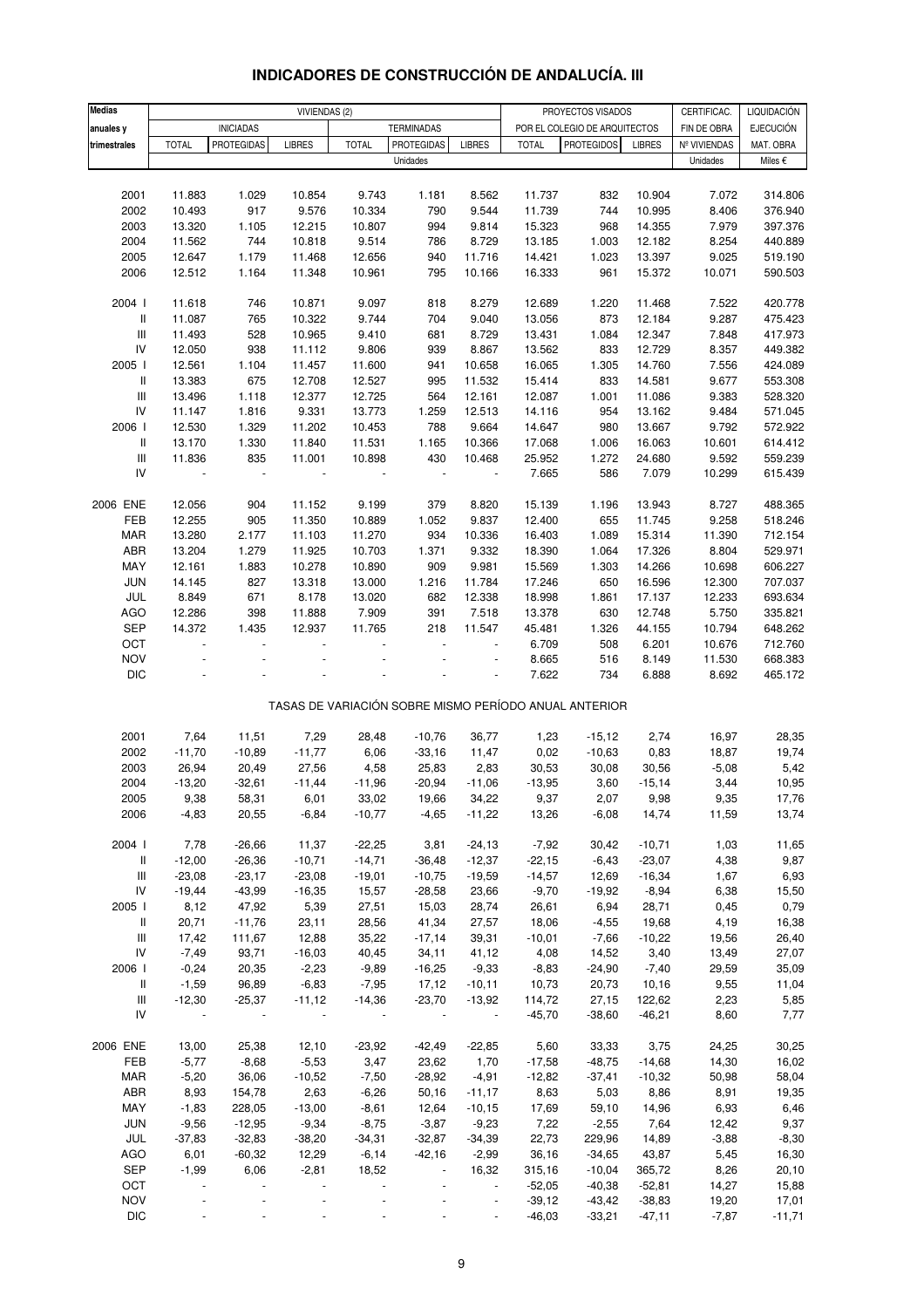| <b>Medias</b>                      |                          | VIVIENDAS (2)            |                |                |                          |                |                  | CERTIFICAC.<br>PROYECTOS VISADOS                      |                   |                |                                 |
|------------------------------------|--------------------------|--------------------------|----------------|----------------|--------------------------|----------------|------------------|-------------------------------------------------------|-------------------|----------------|---------------------------------|
| anuales y                          |                          | <b>INICIADAS</b>         |                |                | <b>TERMINADAS</b>        |                |                  | POR EL COLEGIO DE ARQUITECTOS                         |                   | FIN DE OBRA    | LIQUIDACIÓN<br><b>EJECUCIÓN</b> |
| trimestrales                       | <b>TOTAL</b>             | <b>PROTEGIDAS</b>        | <b>LIBRES</b>  | <b>TOTAL</b>   | <b>PROTEGIDAS</b>        | <b>LIBRES</b>  | <b>TOTAL</b>     | <b>PROTEGIDOS</b>                                     | <b>LIBRES</b>     | Nº VIVIENDAS   | MAT. OBRA                       |
|                                    |                          |                          |                |                | Unidades                 |                |                  |                                                       |                   | Unidades       | Miles €                         |
|                                    |                          |                          |                |                |                          |                |                  |                                                       |                   |                |                                 |
| 2001                               | 11.883                   | 1.029                    | 10.854         | 9.743          | 1.181                    | 8.562          | 11.737           | 832                                                   | 10.904            | 7.072          | 314.806                         |
| 2002                               | 10.493                   | 917                      | 9.576          | 10.334         | 790                      | 9.544          | 11.739           | 744                                                   | 10.995            | 8.406          | 376.940                         |
| 2003                               | 13.320                   | 1.105                    | 12.215         | 10.807         | 994                      | 9.814          | 15.323           | 968                                                   | 14.355            | 7.979          | 397.376                         |
| 2004                               | 11.562                   | 744                      | 10.818         | 9.514          | 786                      | 8.729          | 13.185           | 1.003                                                 | 12.182            | 8.254          | 440.889                         |
| 2005                               | 12.647                   | 1.179                    | 11.468         | 12.656         | 940                      | 11.716         | 14.421           | 1.023                                                 | 13.397            | 9.025          | 519.190                         |
| 2006                               | 12.512                   | 1.164                    | 11.348         | 10.961         | 795                      | 10.166         | 16.333           | 961                                                   | 15.372            | 10.071         | 590.503                         |
|                                    |                          |                          |                |                |                          |                |                  |                                                       |                   |                |                                 |
| 2004 l                             | 11.618                   | 746                      | 10.871         | 9.097          | 818                      | 8.279          | 12.689           | 1.220                                                 | 11.468            | 7.522          | 420.778                         |
| Ш                                  | 11.087                   | 765                      | 10.322         | 9.744          | 704                      | 9.040          | 13.056           | 873                                                   | 12.184            | 9.287          | 475.423                         |
| Ш                                  | 11.493                   | 528                      | 10.965         | 9.410          | 681                      | 8.729          | 13.431           | 1.084                                                 | 12.347            | 7.848          | 417.973                         |
| IV                                 | 12.050                   | 938                      | 11.112         | 9.806          | 939                      | 8.867          | 13.562           | 833                                                   | 12.729            | 8.357          | 449.382                         |
| 2005 l                             | 12.561                   | 1.104                    | 11.457         | 11.600         | 941                      | 10.658         | 16.065           | 1.305                                                 | 14.760            | 7.556          | 424.089                         |
| $\, \parallel$                     | 13.383                   | 675                      | 12.708         | 12.527         | 995                      | 11.532         | 15.414           | 833                                                   | 14.581            | 9.677          | 553.308                         |
| $\mathbf{III}$                     | 13.496                   | 1.118                    | 12.377         | 12.725         | 564                      | 12.161         | 12.087           | 1.001                                                 | 11.086            | 9.383          | 528.320                         |
| IV                                 | 11.147                   | 1.816                    | 9.331          | 13.773         | 1.259                    | 12.513         | 14.116           | 954                                                   | 13.162            | 9.484          | 571.045                         |
| 2006                               | 12.530                   | 1.329                    | 11.202         | 10.453         | 788                      | 9.664          | 14.647           | 980                                                   | 13.667            | 9.792          | 572.922                         |
| Ш                                  | 13.170                   | 1.330                    | 11.840         | 11.531         | 1.165                    | 10.366         | 17.068           | 1.006                                                 | 16.063            | 10.601         | 614.412                         |
| $\mathbf{III}$                     | 11.836                   | 835                      | 11.001         | 10.898         | 430                      | 10.468         | 25.952           | 1.272                                                 | 24.680            | 9.592          | 559.239                         |
| IV                                 | $\blacksquare$           | $\overline{\phantom{a}}$ | $\blacksquare$ | $\blacksquare$ | $\overline{\phantom{a}}$ | $\blacksquare$ | 7.665            | 586                                                   | 7.079             | 10.299         | 615.439                         |
| 2006 ENE                           | 12.056                   | 904                      | 11.152         | 9.199          | 379                      | 8.820          | 15.139           | 1.196                                                 | 13.943            | 8.727          | 488.365                         |
| FEB                                | 12.255                   | 905                      | 11.350         | 10.889         | 1.052                    | 9.837          | 12.400           | 655                                                   | 11.745            | 9.258          | 518.246                         |
| MAR                                | 13.280                   | 2.177                    | 11.103         | 11.270         | 934                      | 10.336         | 16.403           | 1.089                                                 | 15.314            | 11.390         | 712.154                         |
| ABR                                | 13.204                   | 1.279                    | 11.925         | 10.703         | 1.371                    | 9.332          | 18.390           | 1.064                                                 | 17.326            | 8.804          | 529.971                         |
| MAY                                | 12.161                   | 1.883                    | 10.278         | 10.890         | 909                      | 9.981          | 15.569           | 1.303                                                 | 14.266            | 10.698         | 606.227                         |
| JUN                                | 14.145                   | 827                      | 13.318         | 13.000         | 1.216                    | 11.784         | 17.246           | 650                                                   | 16.596            | 12.300         | 707.037                         |
| JUL                                | 8.849                    | 671                      | 8.178          | 13.020         | 682                      | 12.338         | 18.998           | 1.861                                                 | 17.137            | 12.233         | 693.634                         |
| <b>AGO</b>                         | 12.286                   | 398                      | 11.888         | 7.909          | 391                      | 7.518          | 13.378           | 630                                                   | 12.748            | 5.750          | 335.821                         |
| SEP                                | 14.372                   | 1.435                    | 12.937         | 11.765         | 218                      | 11.547         | 45.481           | 1.326                                                 | 44.155            | 10.794         | 648.262                         |
| OCT                                |                          |                          |                |                | ÷,                       |                | 6.709            | 508                                                   | 6.201             | 10.676         | 712.760                         |
| <b>NOV</b>                         |                          |                          |                |                |                          |                | 8.665            | 516                                                   | 8.149             | 11.530         | 668.383                         |
| <b>DIC</b>                         |                          |                          |                |                |                          |                | 7.622            | 734                                                   | 6.888             | 8.692          | 465.172                         |
|                                    |                          |                          |                |                |                          |                |                  |                                                       |                   |                |                                 |
|                                    |                          |                          |                |                |                          |                |                  | TASAS DE VARIACIÓN SOBRE MISMO PERÍODO ANUAL ANTERIOR |                   |                |                                 |
| 2001                               | 7,64                     | 11,51                    | 7,29           | 28,48          | $-10,76$                 | 36,77          | 1,23             | $-15,12$                                              | 2,74              | 16,97          | 28,35                           |
| 2002                               | $-11,70$                 | $-10,89$                 | $-11,77$       | 6,06           | $-33,16$                 | 11,47          | 0,02             | $-10,63$                                              | 0,83              | 18,87          | 19,74                           |
| 2003                               | 26,94                    | 20,49                    | 27,56          | 4,58           | 25,83                    | 2,83           | 30,53            | 30,08                                                 | 30,56             | $-5,08$        | 5,42                            |
| 2004                               | $-13,20$                 | $-32,61$                 | $-11,44$       | $-11,96$       | $-20,94$                 | $-11,06$       | $-13,95$         | 3,60                                                  | $-15,14$          | 3,44           | 10,95                           |
| 2005                               | 9,38                     | 58,31                    | 6,01           | 33,02          | 19,66                    | 34,22          | 9,37             | 2,07                                                  | 9,98              | 9,35           | 17,76                           |
| 2006                               | $-4,83$                  | 20,55                    | $-6,84$        | $-10,77$       | $-4,65$                  | $-11,22$       | 13,26            | $-6,08$                                               | 14,74             | 11,59          | 13,74                           |
|                                    |                          |                          |                |                |                          |                |                  |                                                       |                   |                |                                 |
| 2004 l                             | 7,78                     | $-26,66$                 | 11,37          | $-22,25$       | 3,81                     | $-24,13$       | $-7,92$          | 30,42                                                 | $-10,71$          | 1,03           | 11,65                           |
| Ш                                  | $-12,00$                 | $-26,36$                 | $-10,71$       | $-14,71$       | $-36,48$                 | $-12,37$       | $-22,15$         | $-6,43$                                               | $-23,07$          | 4,38           | 9,87                            |
| $\ensuremath{\mathsf{III}}\xspace$ | $-23,08$                 | $-23,17$                 | $-23,08$       | $-19,01$       | $-10,75$                 | $-19,59$       | $-14,57$         | 12,69                                                 | $-16,34$          | 1,67           | 6,93                            |
| IV                                 | $-19,44$                 | $-43,99$                 | $-16,35$       | 15,57          | $-28,58$                 | 23,66          | $-9,70$          | $-19,92$                                              | $-8,94$           | 6,38           | 15,50                           |
| 2005 l                             | 8,12                     | 47,92<br>$-11,76$        | 5,39           | 27,51          | 15,03                    | 28,74          | 26,61            | 6,94                                                  | 28,71             | 0,45           | 0,79                            |
| Ш<br>Ш                             | 20,71<br>17,42           |                          | 23,11<br>12,88 | 28,56<br>35,22 | 41,34<br>$-17,14$        | 27,57<br>39,31 | 18,06            | $-4,55$<br>$-7,66$                                    | 19,68<br>$-10,22$ | 4,19           | 16,38<br>26,40                  |
| IV                                 | $-7,49$                  | 111,67<br>93,71          | $-16,03$       | 40,45          | 34, 11                   | 41,12          | $-10,01$<br>4,08 | 14,52                                                 | 3,40              | 19,56          | 27,07                           |
| 2006 l                             | $-0,24$                  | 20,35                    | $-2,23$        | $-9,89$        | $-16,25$                 | $-9,33$        | $-8,83$          | $-24,90$                                              | $-7,40$           | 13,49<br>29,59 | 35,09                           |
| Ш                                  | $-1,59$                  | 96,89                    | $-6,83$        | $-7,95$        | 17,12                    | $-10,11$       | 10,73            | 20,73                                                 | 10,16             | 9,55           | 11,04                           |
| Ш                                  | $-12,30$                 | $-25,37$                 | $-11,12$       | $-14,36$       | $-23,70$                 | $-13,92$       | 114,72           | 27,15                                                 | 122,62            | 2,23           | 5,85                            |
| IV                                 | $\overline{\phantom{a}}$ |                          |                | $\blacksquare$ | $\blacksquare$           | $\sim$         | $-45,70$         | $-38,60$                                              | $-46,21$          | 8,60           | 7,77                            |
|                                    |                          |                          |                |                |                          |                |                  |                                                       |                   |                |                                 |
| 2006 ENE                           | 13,00                    | 25,38                    | 12,10          | $-23,92$       | $-42,49$                 | $-22,85$       | 5,60             | 33,33                                                 | 3,75              | 24,25          | 30,25                           |
| FEB                                | $-5,77$                  | $-8,68$                  | $-5,53$        | 3,47           | 23,62                    | 1,70           | $-17,58$         | $-48,75$                                              | $-14,68$          | 14,30          | 16,02                           |
| MAR                                | $-5,20$                  | 36,06                    | $-10,52$       | $-7,50$        | $-28,92$                 | $-4,91$        | $-12,82$         | $-37,41$                                              | $-10,32$          | 50,98          | 58,04                           |
| ABR                                | 8,93                     | 154,78                   | 2,63           | $-6,26$        | 50,16                    | $-11,17$       | 8,63             | 5,03                                                  | 8,86              | 8,91           | 19,35                           |
| MAY                                | $-1,83$                  | 228,05                   | $-13,00$       | $-8,61$        | 12,64                    | $-10,15$       | 17,69            | 59,10                                                 | 14,96             | 6,93           | 6,46                            |
| <b>JUN</b>                         | $-9,56$                  | $-12,95$                 | $-9,34$        | $-8,75$        | $-3,87$                  | $-9,23$        | 7,22             | $-2,55$                                               | 7,64              | 12,42          | 9,37                            |
| JUL                                | $-37,83$                 | $-32,83$                 | $-38,20$       | $-34,31$       | $-32,87$                 | $-34,39$       | 22,73            | 229,96                                                | 14,89             | $-3,88$        | $-8,30$                         |
| AGO                                | 6,01                     | $-60,32$                 | 12,29          | $-6,14$        | $-42,16$                 | $-2,99$        | 36,16            | $-34,65$                                              | 43,87             | 5,45           | 16,30                           |
| SEP                                | $-1,99$                  | 6,06                     | $-2,81$        | 18,52          | $\blacksquare$           | 16,32          | 315,16           | $-10,04$                                              | 365,72            | 8,26           | 20,10                           |
| OCT                                |                          |                          |                | $\overline{a}$ | $\blacksquare$           | $\blacksquare$ | $-52,05$         | $-40,38$                                              | $-52,81$          | 14,27          | 15,88                           |
| <b>NOV</b>                         |                          |                          |                |                | $\overline{\phantom{a}}$ | $\blacksquare$ | $-39,12$         | $-43,42$                                              | $-38,83$          | 19,20          | 17,01                           |
| <b>DIC</b>                         |                          |                          |                |                |                          |                | $-46,03$         | $-33,21$                                              | $-47,11$          | $-7,87$        | $-11,71$                        |

### **INDICADORES DE CONSTRUCCIÓN DE ANDALUCÍA. III**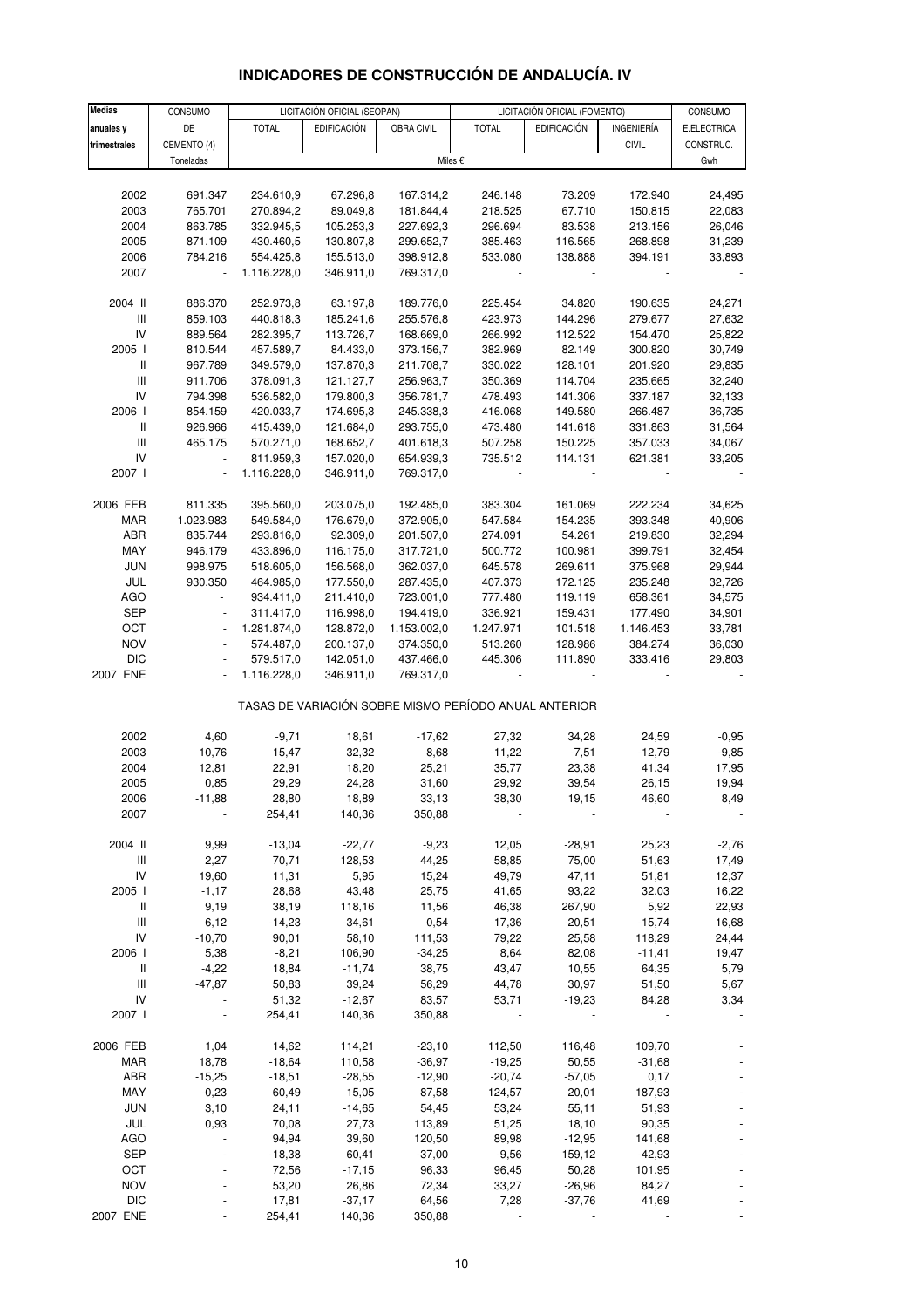#### **Medias** CONSUMO LICITACIÓN OFICIAL (SEOPAN) LICITACIÓN OFICIAL (FOMENTO) CONSUMO **anuales y | DE | TOTAL | EDIFICACIÓN | OBRA CIVIL | TOTAL | EDIFICACIÓN | INGENIERÍA | E.ELECTRICA trimestrales |** CEMENTO (4) | | | | | | CIVIL | CONSTRUC. Toneladas I Gwh 2002 691.347 234.610,9 67.296,8 167.314,2 246.148 73.209 172.940 24,495 2003 765.701 270.894,2 89.049,8 181.844,4 218.525 67.710 150.815 22,083 2004 863.785 332.945,5 105.253,3 227.692,3 296.694 83.538 213.156 26,046 2005 871.109 430.460,5 130.807,8 299.652,7 385.463 116.565 268.898 31,239 2006 784.216 554.425,8 155.513,0 398.912,8 533.080 138.888 394.191 33,893 2007 - 1.116.228,0 346.911,0 769.317,0 - - - - 2004 II 886.370 252.973,8 63.197,8 189.776,0 225.454 34.820 190.635 24,271 III 859.103 440.818,3 185.241,6 255.576,8 423.973 144.296 279.677 27,632 IV 889.564 282.395,7 113.726,7 168.669,0 266.992 112.522 154.470 25,822 2005 I 810.544 457.589,7 84.433,0 373.156,7 382.969 82.149 300.820 30,749 II 967.789 349.579,0 137.870,3 211.708,7 330.022 128.101 201.920 29,835 III 911.706 378.091,3 121.127,7 256.963,7 350.369 114.704 235.665 32,240 IV 794.398 536.582,0 179.800,3 356.781,7 478.493 141.306 337.187 32,133 2006 I 854.159 420.033,7 174.695,3 245.338,3 416.068 149.580 266.487 36,735 II 926.966 415.439,0 121.684,0 293.755,0 473.480 141.618 331.863 31,564 III 465.175 570.271,0 168.652,7 401.618,3 507.258 150.225 357.033 34,067 IV - 811.959,3 157.020,0 654.939,3 735.512 114.131 621.381 33,205 2007 I - 1.116.228,0 346.911,0 769.317,0 - - - - 2006 FEB 811.335 395.560,0 203.075,0 192.485,0 383.304 161.069 222.234 34,625 MAR 1.023.983 549.584,0 176.679,0 372.905,0 547.584 154.235 393.348 40,906 ABR 835.744 293.816,0 92.309,0 201.507,0 274.091 54.261 219.830 32,294 MAY 946.179 433.896,0 116.175,0 317.721,0 500.772 100.981 399.791 32,454 JUN 998.975 518.605,0 156.568,0 362.037,0 645.578 269.611 375.968 29,944 JUL 930.350 464.985,0 177.550,0 287.435,0 407.373 172.125 235.248 32,726 AGO - 934.411,0 211.410,0 723.001,0 777.480 119.119 658.361 34,575 SEP - 311.417,0 116.998,0 194.419,0 336.921 159.431 177.490 34,901 OCT - 1.281.874,0 128.872,0 1.153.002,0 1.247.971 101.518 1.146.453 33,781 NOV - 574.487,0 200.137,0 374.350,0 513.260 128.986 384.274 36,030 DIC - 579.517,0 142.051,0 437.466,0 445.306 111.890 333.416 29,803 2007 ENE - 1.116.228,0 346.911,0 769.317,0 - - - - 2002 4,60 -9,71 18,61 -17,62 27,32 34,28 24,59 -0,95 2003 10,76 15,47 32,32 8,68 -11,22 -7,51 -12,79 -9,85 2004 12,81 22,91 18,20 25,21 35,77 23,38 41,34 17,95 2005 0,85 29,29 24,28 31,60 29,92 39,54 26,15 19,94 2006 -11,88 28,80 18,89 33,13 38,30 19,15 46,60 8,49 2007 - 254,41 140,36 350,88 - - - - 2004 II 9,99 -13,04 -22,77 -9,23 12,05 -28,91 25,23 -2,76 III 2,27 70,71 128,53 44,25 58,85 75,00 51,63 17,49 IV 19,60 11,31 5,95 15,24 49,79 47,11 51,81 12,37 2005 I -1,17 28,68 43,48 25,75 41,65 93,22 32,03 16,22 II 9,19 38,19 118,16 11,56 46,38 267,90 5,92 22,93 III 6,12 -14,23 -34,61 0,54 -17,36 -20,51 -15,74 16,68 IV -10,70 90,01 58,10 111,53 79,22 25,58 118,29 24,44 2006 I 5,38 -8,21 106,90 -34,25 8,64 82,08 -11,41 19,47 II -4,22 18,84 -11,74 38,75 43,47 10,55 64,35 5,79 III -47,87 50,83 39,24 56,29 44,78 30,97 51,50 5,67 IV - 51,32 -12,67 83,57 53,71 -19,23 84,28 3,34 2007 I - 254,41 140,36 350,88 - - - - 2006 FEB 1,04 14,62 114,21 -23,10 112,50 116,48 109,70 - MAR 18,78 -18,64 110,58 -36,97 -19,25 50,55 -31,68 - ABR -15,25 -18,51 -28,55 -12,90 -20,74 -57,05 0,17 - MAY -0,23 60,49 15,05 87,58 124,57 20,01 187,93 - JUN 3,10 24,11 -14,65 54,45 53,24 55,11 51,93 - JUL 0,93 70,08 27,73 113,89 51,25 18,10 90,35 - AGO - 94,94 39,60 120,50 89,98 -12,95 141,68 - SEP - -18,38 60,41 -37,00 -9,56 159,12 -42,93 -TASAS DE VARIACIÓN SOBRE MISMO PERÍODO ANUAL ANTERIOR Miles €

## **INDICADORES DE CONSTRUCCIÓN DE ANDALUCÍA. IV**

OCT - 72,56 -17,15 96,33 96,45 50,28 101,95 - NOV - 53,20 26,86 72,34 33,27 -26,96 84,27 - DIC - 17,81 -37,17 64,56 7,28 -37,76 41,69 - 2007 ENE - 254,41 140,36 350,88 - - - -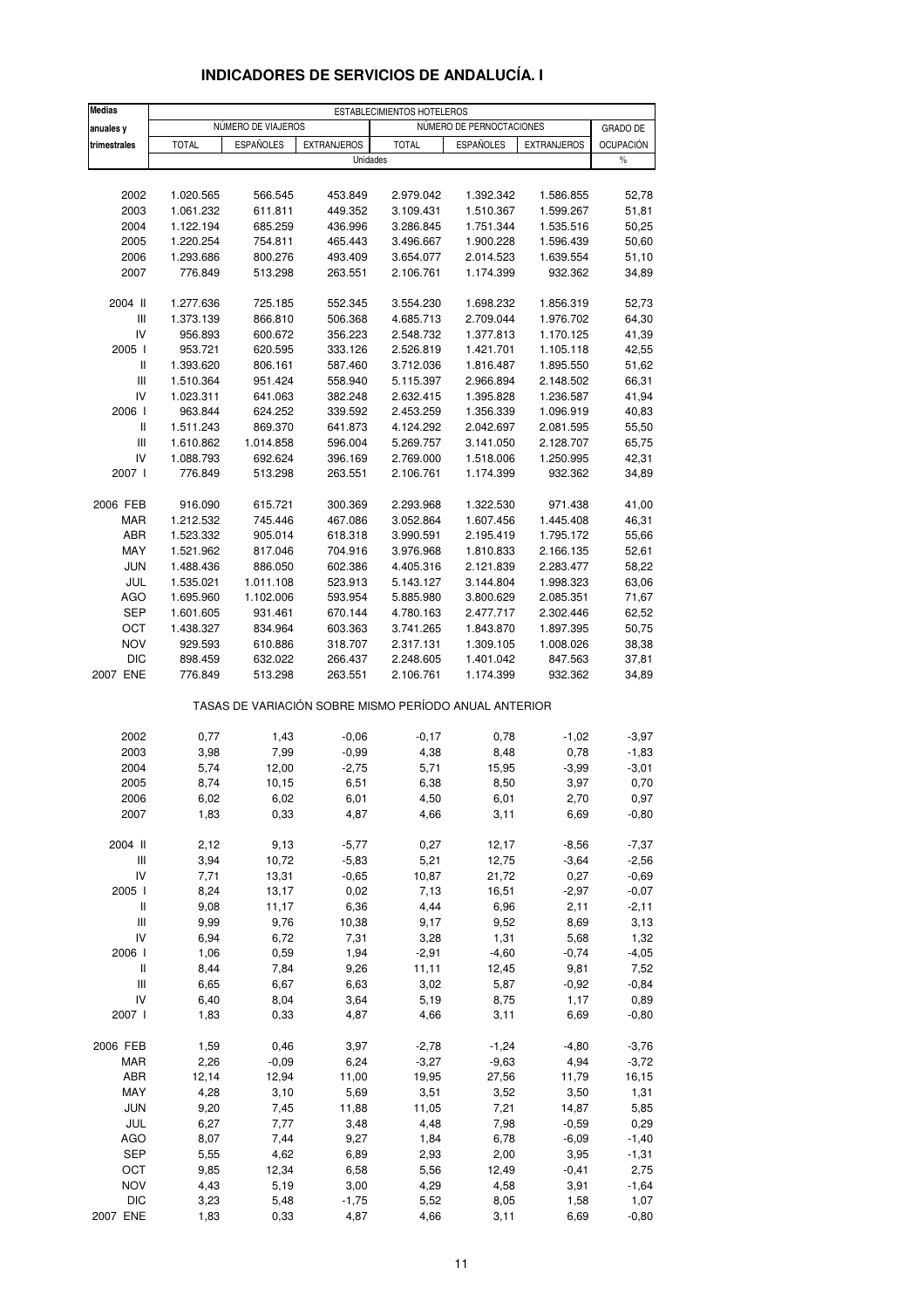| <b>Medias</b>                      |                    |                    |                    | ESTABLECIMIENTOS HOTELEROS |                                                       |                      |                  |  |  |
|------------------------------------|--------------------|--------------------|--------------------|----------------------------|-------------------------------------------------------|----------------------|------------------|--|--|
| anuales y                          |                    | NÚMERO DE VIAJEROS |                    |                            | NÚMERO DE PERNOCTACIONES                              | <b>GRADO DE</b>      |                  |  |  |
| trimestrales                       | <b>TOTAL</b>       | <b>ESPAÑOLES</b>   | <b>EXTRANJEROS</b> | <b>TOTAL</b>               | <b>ESPAÑOLES</b>                                      | <b>EXTRANJEROS</b>   | <b>OCUPACIÓN</b> |  |  |
|                                    |                    |                    |                    | Unidades                   |                                                       |                      | $\%$             |  |  |
|                                    |                    |                    |                    |                            |                                                       |                      |                  |  |  |
| 2002                               | 1.020.565          | 566.545            | 453.849            | 2.979.042                  | 1.392.342                                             | 1.586.855            | 52,78            |  |  |
| 2003                               | 1.061.232          | 611.811            | 449.352            | 3.109.431                  | 1.510.367                                             | 1.599.267            | 51,81            |  |  |
| 2004                               | 1.122.194          | 685.259            | 436.996            | 3.286.845                  | 1.751.344                                             | 1.535.516            | 50,25            |  |  |
| 2005                               | 1.220.254          | 754.811            | 465.443            | 3.496.667                  | 1.900.228                                             | 1.596.439            | 50,60            |  |  |
| 2006                               | 1.293.686          | 800.276            | 493.409            | 3.654.077                  | 2.014.523                                             | 1.639.554            | 51,10            |  |  |
| 2007                               | 776.849            | 513.298            | 263.551            | 2.106.761                  | 1.174.399                                             | 932.362              | 34,89            |  |  |
|                                    |                    |                    |                    |                            |                                                       |                      |                  |  |  |
| 2004 II                            | 1.277.636          | 725.185            | 552.345            | 3.554.230                  | 1.698.232                                             | 1.856.319            | 52,73            |  |  |
| $\mathsf{III}$                     | 1.373.139          | 866.810            | 506.368            | 4.685.713                  | 2.709.044                                             | 1.976.702            | 64,30            |  |  |
| IV                                 | 956.893            | 600.672            | 356.223            | 2.548.732                  | 1.377.813                                             | 1.170.125            | 41,39            |  |  |
| 2005 l                             | 953.721            | 620.595            | 333.126            | 2.526.819                  | 1.421.701                                             | 1.105.118            | 42,55            |  |  |
| $\,$ $\,$ $\,$ $\,$                | 1.393.620          | 806.161            | 587.460            | 3.712.036                  | 1.816.487                                             | 1.895.550            | 51,62            |  |  |
| $\ensuremath{\mathsf{III}}\xspace$ | 1.510.364          | 951.424            | 558.940            | 5.115.397                  | 2.966.894                                             | 2.148.502            | 66,31            |  |  |
| IV                                 | 1.023.311          | 641.063            | 382.248            | 2.632.415                  | 1.395.828                                             | 1.236.587            | 41,94            |  |  |
| 2006                               | 963.844            | 624.252            | 339.592            | 2.453.259                  | 1.356.339                                             | 1.096.919            | 40,83            |  |  |
| Ш                                  | 1.511.243          | 869.370            | 641.873            | 4.124.292                  | 2.042.697                                             | 2.081.595            | 55,50            |  |  |
| Ш                                  | 1.610.862          | 1.014.858          | 596.004            | 5.269.757                  | 3.141.050                                             | 2.128.707            | 65,75            |  |  |
| IV                                 | 1.088.793          | 692.624            | 396.169            | 2.769.000                  | 1.518.006                                             | 1.250.995            | 42,31            |  |  |
| 2007 l                             | 776.849            | 513.298            | 263.551            | 2.106.761                  | 1.174.399                                             | 932.362              | 34,89            |  |  |
|                                    |                    |                    |                    |                            |                                                       |                      |                  |  |  |
| 2006 FEB                           | 916.090            | 615.721            | 300.369            | 2.293.968                  | 1.322.530                                             | 971.438              | 41,00            |  |  |
| <b>MAR</b>                         | 1.212.532          | 745.446            | 467.086            | 3.052.864                  | 1.607.456                                             | 1.445.408            | 46,31            |  |  |
| ABR                                | 1.523.332          | 905.014            | 618.318            | 3.990.591                  | 2.195.419                                             | 1.795.172            | 55,66            |  |  |
| MAY                                | 1.521.962          | 817.046            | 704.916            | 3.976.968                  | 1.810.833                                             | 2.166.135            | 52,61            |  |  |
| <b>JUN</b>                         | 1.488.436          | 886.050            | 602.386            | 4.405.316                  | 2.121.839                                             | 2.283.477            | 58,22            |  |  |
| JUL                                | 1.535.021          | 1.011.108          | 523.913            | 5.143.127                  | 3.144.804                                             | 1.998.323            | 63,06            |  |  |
| <b>AGO</b>                         | 1.695.960          | 1.102.006          | 593.954            | 5.885.980                  | 3.800.629                                             | 2.085.351            | 71,67            |  |  |
| <b>SEP</b>                         | 1.601.605          | 931.461            | 670.144            | 4.780.163                  | 2.477.717                                             | 2.302.446            | 62,52            |  |  |
| OCT                                | 1.438.327          | 834.964            | 603.363            | 3.741.265                  | 1.843.870                                             | 1.897.395            | 50,75            |  |  |
| <b>NOV</b><br><b>DIC</b>           | 929.593            | 610.886            | 318.707            | 2.317.131<br>2.248.605     | 1.309.105                                             | 1.008.026<br>847.563 | 38,38<br>37,81   |  |  |
| 2007 ENE                           | 898.459<br>776.849 | 632.022<br>513.298 | 266.437<br>263.551 | 2.106.761                  | 1.401.042<br>1.174.399                                | 932.362              | 34,89            |  |  |
|                                    |                    |                    |                    |                            | TASAS DE VARIACIÓN SOBRE MISMO PERÍODO ANUAL ANTERIOR |                      |                  |  |  |
|                                    |                    |                    |                    |                            |                                                       |                      |                  |  |  |
| 2002                               | 0,77               | 1,43               | $-0,06$            | $-0,17$                    | 0,78                                                  | $-1,02$              | $-3,97$          |  |  |
| 2003                               | 3,98               | 7,99               | $-0,99$            | 4,38                       | 8,48                                                  | 0,78                 | $-1,83$          |  |  |
| 2004                               | 5,74               | 12,00              | $-2,75$            | 5,71                       | 15,95                                                 | $-3,99$              | $-3,01$          |  |  |
| 2005                               | 8,74               | 10,15              | 6,51               | 6,38                       | 8,50                                                  | 3,97                 | 0,70             |  |  |
| 2006<br>2007                       | 6,02<br>1,83       | 6,02<br>0,33       | 6,01<br>4,87       | 4,50<br>4,66               | 6,01<br>3,11                                          | 2,70<br>6,69         | 0,97<br>$-0,80$  |  |  |
|                                    |                    |                    |                    |                            |                                                       |                      |                  |  |  |
| 2004 II                            | 2,12               | 9,13               | $-5,77$            | 0,27                       | 12,17                                                 | $-8,56$              | $-7,37$          |  |  |
| $\ensuremath{\mathsf{III}}\xspace$ | 3,94               | 10,72              | $-5,83$            | 5,21                       | 12,75                                                 | $-3,64$              | $-2,56$          |  |  |
| IV                                 | 7,71               | 13,31              | $-0,65$            | 10,87                      | 21,72                                                 | 0,27                 | $-0,69$          |  |  |
| 2005 l                             | 8,24               | 13,17              | 0,02               | 7,13                       | 16,51                                                 | $-2,97$              | $-0,07$          |  |  |
| Ш                                  | 9,08               | 11,17              | 6,36               | 4,44                       | 6,96                                                  | 2,11                 | $-2,11$          |  |  |
| Ш                                  | 9,99               | 9,76               | 10,38              | 9,17                       | 9,52                                                  | 8,69                 | 3,13             |  |  |
| IV                                 | 6,94               | 6,72               | 7,31               | 3,28                       | 1,31                                                  | 5,68                 | 1,32             |  |  |
| 2006 l                             | 1,06               | 0,59               | 1,94               | $-2,91$                    | $-4,60$                                               | $-0,74$              | $-4,05$          |  |  |
| Ш                                  | 8,44               | 7,84               | 9,26               | 11,11                      | 12,45                                                 | 9,81                 | 7,52             |  |  |
| Ш<br>IV                            | 6,65               | 6,67               | 6,63               | 3,02                       | 5,87                                                  | $-0,92$              | $-0,84$          |  |  |
| 2007 l                             | 6,40<br>1,83       | 8,04<br>0,33       | 3,64<br>4,87       | 5,19<br>4,66               | 8,75<br>3,11                                          | 1,17<br>6,69         | 0,89<br>$-0,80$  |  |  |
|                                    |                    |                    |                    |                            |                                                       |                      |                  |  |  |
| 2006 FEB                           | 1,59               | 0,46               | 3,97               | $-2,78$                    | $-1,24$                                               | $-4,80$              | $-3,76$          |  |  |
| <b>MAR</b>                         | 2,26               | $-0,09$            | 6,24               | $-3,27$                    | $-9,63$                                               | 4,94                 | $-3,72$          |  |  |
| ABR                                | 12,14              | 12,94              | 11,00              | 19,95                      | 27,56                                                 | 11,79                | 16,15            |  |  |
| MAY                                | 4,28               | 3,10               | 5,69               | 3,51                       | 3,52                                                  | 3,50                 | 1,31             |  |  |
| <b>JUN</b>                         | 9,20               | 7,45               | 11,88              | 11,05                      | 7,21                                                  | 14,87                | 5,85             |  |  |
| JUL                                | 6,27               | 7,77               | 3,48               | 4,48                       | 7,98                                                  | $-0,59$              | 0,29             |  |  |
| <b>AGO</b>                         | 8,07               | 7,44               | 9,27               | 1,84                       | 6,78                                                  | $-6,09$              | $-1,40$          |  |  |
| <b>SEP</b>                         | 5,55               | 4,62               | 6,89               | 2,93                       | 2,00                                                  | 3,95                 | $-1,31$          |  |  |
| OCT                                | 9,85               | 12,34              | 6,58               | 5,56                       | 12,49                                                 | $-0,41$              | 2,75             |  |  |
| <b>NOV</b>                         | 4,43               | 5,19               | 3,00               | 4,29                       | 4,58                                                  | 3,91                 | $-1,64$          |  |  |
| <b>DIC</b>                         | 3,23               | 5,48               | $-1,75$            | 5,52                       | 8,05                                                  | 1,58                 | 1,07             |  |  |
| 2007 ENE                           | 1,83               | 0,33               | 4,87               | 4,66                       | 3,11                                                  | 6,69                 | $-0,80$          |  |  |

## **INDICADORES DE SERVICIOS DE ANDALUCÍA. I**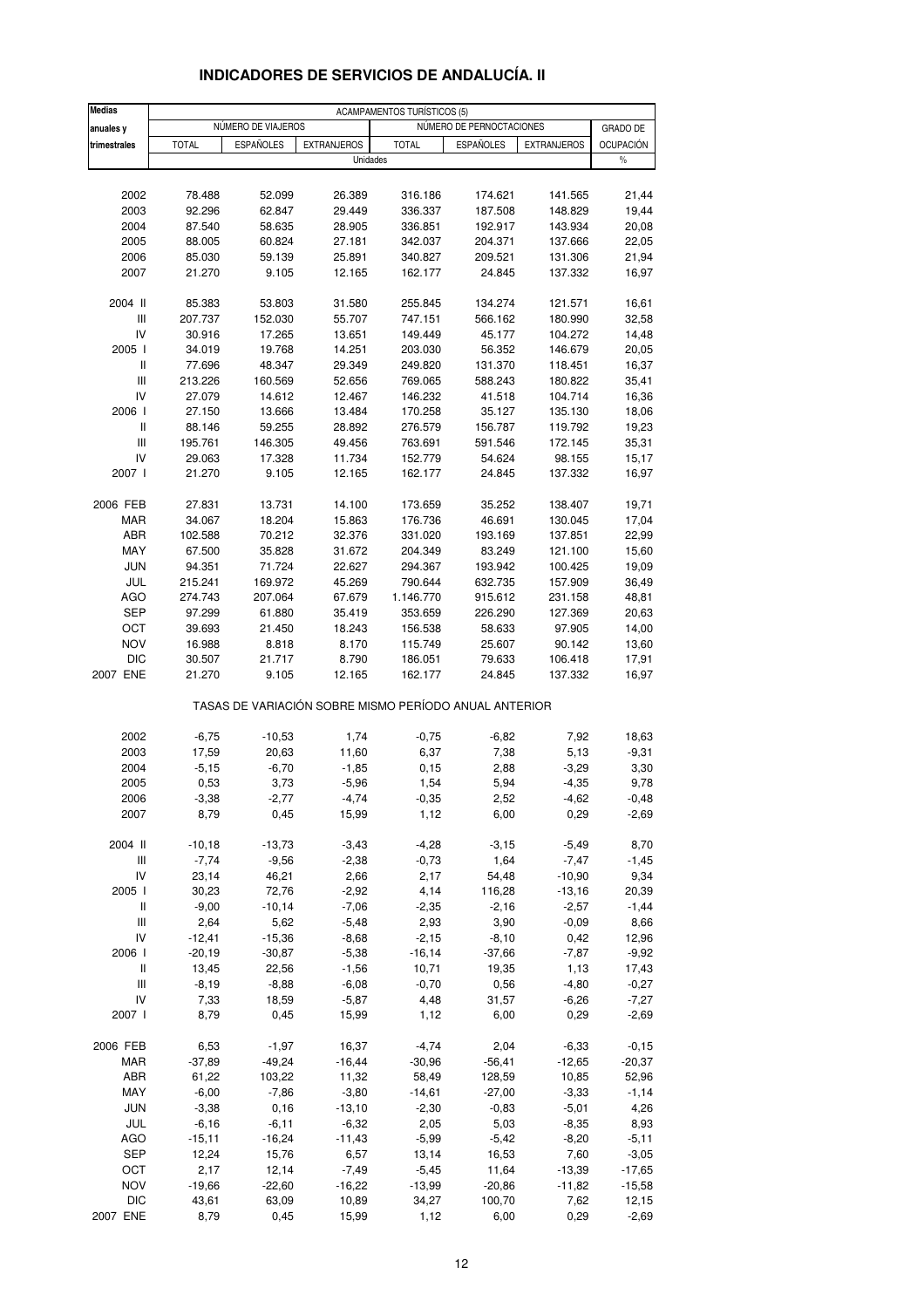| <b>Medias</b>                      | <b>ACAMPAMENTOS TURÍSTICOS (5)</b> |                    |                                                       |              |                          |                    |                  |  |  |
|------------------------------------|------------------------------------|--------------------|-------------------------------------------------------|--------------|--------------------------|--------------------|------------------|--|--|
| anuales y                          |                                    | NÚMERO DE VIAJEROS |                                                       |              | NÚMERO DE PERNOCTACIONES |                    | GRADO DE         |  |  |
| trimestrales                       | <b>TOTAL</b>                       | <b>ESPAÑOLES</b>   | <b>EXTRANJEROS</b>                                    | <b>TOTAL</b> | <b>ESPAÑOLES</b>         | <b>EXTRANJEROS</b> | <b>OCUPACIÓN</b> |  |  |
|                                    |                                    |                    | Unidades                                              |              |                          |                    | $\%$             |  |  |
|                                    |                                    |                    |                                                       |              |                          |                    |                  |  |  |
| 2002                               | 78.488                             | 52.099             | 26.389                                                | 316.186      | 174.621                  | 141.565            | 21,44            |  |  |
| 2003                               | 92.296                             | 62.847             | 29.449                                                | 336.337      | 187.508                  | 148.829            | 19,44            |  |  |
| 2004                               | 87.540                             | 58.635             | 28.905                                                | 336.851      | 192.917                  | 143.934            | 20,08            |  |  |
| 2005                               | 88.005                             | 60.824             | 27.181                                                | 342.037      | 204.371                  | 137.666            | 22,05            |  |  |
| 2006                               | 85.030                             | 59.139             | 25.891                                                | 340.827      | 209.521                  | 131.306            | 21,94            |  |  |
| 2007                               | 21.270                             | 9.105              | 12.165                                                | 162.177      | 24.845                   | 137.332            | 16,97            |  |  |
|                                    |                                    |                    |                                                       |              |                          |                    |                  |  |  |
| 2004 II                            | 85.383                             | 53.803             | 31.580                                                | 255.845      | 134.274                  | 121.571            | 16,61            |  |  |
| Ш                                  | 207.737                            | 152.030            | 55.707                                                | 747.151      | 566.162                  | 180.990            | 32,58            |  |  |
| IV                                 | 30.916                             | 17.265             | 13.651                                                | 149.449      | 45.177                   | 104.272            | 14,48            |  |  |
| 2005 l                             | 34.019                             | 19.768             | 14.251                                                | 203.030      | 56.352                   | 146.679            | 20,05            |  |  |
| Ш                                  | 77.696                             | 48.347             | 29.349                                                | 249.820      | 131.370                  | 118.451            | 16,37            |  |  |
| Ш                                  | 213.226                            | 160.569            | 52.656                                                | 769.065      | 588.243                  | 180.822            | 35,41            |  |  |
| IV                                 | 27.079                             | 14.612             | 12.467                                                | 146.232      | 41.518                   | 104.714            | 16,36            |  |  |
| 2006                               | 27.150                             | 13.666             | 13.484                                                | 170.258      | 35.127                   | 135.130            | 18,06            |  |  |
| Ш                                  | 88.146                             | 59.255             | 28.892                                                | 276.579      | 156.787                  | 119.792            | 19,23            |  |  |
| Ш                                  | 195.761                            | 146.305            | 49.456                                                | 763.691      | 591.546                  | 172.145            | 35,31            |  |  |
| IV                                 | 29.063                             | 17.328             | 11.734                                                | 152.779      | 54.624                   | 98.155             | 15,17            |  |  |
| 2007 l                             | 21.270                             | 9.105              | 12.165                                                | 162.177      | 24.845                   | 137.332            | 16,97            |  |  |
| 2006 FEB                           | 27.831                             | 13.731             | 14.100                                                | 173.659      | 35.252                   | 138.407            | 19,71            |  |  |
| <b>MAR</b>                         | 34.067                             | 18.204             | 15.863                                                | 176.736      | 46.691                   | 130.045            | 17,04            |  |  |
| ABR                                | 102.588                            | 70.212             | 32.376                                                | 331.020      | 193.169                  | 137.851            | 22,99            |  |  |
| MAY                                | 67.500                             | 35.828             | 31.672                                                | 204.349      | 83.249                   | 121.100            | 15,60            |  |  |
| <b>JUN</b>                         | 94.351                             | 71.724             | 22.627                                                | 294.367      | 193.942                  | 100.425            | 19,09            |  |  |
| JUL                                | 215.241                            | 169.972            | 45.269                                                | 790.644      | 632.735                  | 157.909            | 36,49            |  |  |
| <b>AGO</b>                         | 274.743                            | 207.064            | 67.679                                                | 1.146.770    | 915.612                  | 231.158            | 48,81            |  |  |
| <b>SEP</b>                         | 97.299                             | 61.880             | 35.419                                                | 353.659      | 226.290                  | 127.369            | 20,63            |  |  |
| OCT                                | 39.693                             | 21.450             | 18.243                                                | 156.538      | 58.633                   | 97.905             | 14,00            |  |  |
| <b>NOV</b>                         | 16.988                             | 8.818              | 8.170                                                 | 115.749      | 25.607                   | 90.142             | 13,60            |  |  |
| <b>DIC</b>                         | 30.507                             | 21.717             | 8.790                                                 | 186.051      | 79.633                   | 106.418            | 17,91            |  |  |
| 2007 ENE                           | 21.270                             | 9.105              | 12.165                                                | 162.177      | 24.845                   | 137.332            | 16,97            |  |  |
|                                    |                                    |                    | TASAS DE VARIACIÓN SOBRE MISMO PERÍODO ANUAL ANTERIOR |              |                          |                    |                  |  |  |
| 2002                               | $-6,75$                            | $-10,53$           | 1,74                                                  | $-0,75$      | $-6,82$                  | 7,92               | 18,63            |  |  |
| 2003                               | 17,59                              | 20,63              | 11,60                                                 | 6,37         | 7,38                     | 5,13               | $-9,31$          |  |  |
| 2004                               | $-5,15$                            | $-6,70$            | $-1,85$                                               | 0,15         | 2,88                     | $-3,29$            | 3,30             |  |  |
| 2005                               | 0,53                               | 3,73               | $-5,96$                                               | 1,54         | 5,94                     | $-4,35$            | 9,78             |  |  |
| 2006                               | -3,38                              | $-2,77$            | $-4,74$                                               | $-0,35$      | 2,52                     | -4,62              | $-0,48$          |  |  |
| 2007                               | 8,79                               | 0,45               | 15,99                                                 | 1,12         | 6,00                     | 0,29               | $-2,69$          |  |  |
| 2004 II                            | $-10,18$                           | $-13,73$           | $-3,43$                                               | $-4,28$      | $-3,15$                  | $-5,49$            | 8,70             |  |  |
| $\ensuremath{\mathsf{III}}\xspace$ | $-7,74$                            | $-9,56$            | $-2,38$                                               | $-0,73$      | 1,64                     | $-7,47$            | $-1,45$          |  |  |
| IV                                 | 23,14                              | 46,21              | 2,66                                                  | 2,17         | 54,48                    | $-10,90$           | 9,34             |  |  |
| 2005 l                             | 30,23                              | 72,76              | $-2,92$                                               | 4,14         | 116,28                   | $-13,16$           | 20,39            |  |  |
| Ш                                  | $-9,00$                            | $-10,14$           | $-7,06$                                               | $-2,35$      | $-2,16$                  | $-2,57$            | $-1,44$          |  |  |
| $\ensuremath{\mathsf{III}}\xspace$ | 2,64                               | 5,62               | $-5,48$                                               | 2,93         | 3,90                     | $-0,09$            | 8,66             |  |  |
| IV                                 | $-12,41$                           | $-15,36$           | $-8,68$                                               | $-2,15$      | $-8,10$                  | 0,42               | 12,96            |  |  |
| 2006                               | $-20,19$                           | $-30,87$           | $-5,38$                                               | $-16, 14$    | $-37,66$                 | $-7,87$            | $-9,92$          |  |  |
| Ш                                  | 13,45                              | 22,56              | $-1,56$                                               | 10,71        | 19,35                    | 1,13               | 17,43            |  |  |
| Ш                                  | $-8,19$                            | $-8,88$            | $-6,08$                                               | $-0,70$      | 0,56                     | $-4,80$            | $-0,27$          |  |  |
| IV                                 | 7,33                               | 18,59              | $-5,87$                                               | 4,48         | 31,57                    | $-6,26$            | $-7,27$          |  |  |
| 2007 l                             | 8,79                               | 0,45               | 15,99                                                 | 1,12         | 6,00                     | 0,29               | $-2,69$          |  |  |
|                                    |                                    |                    |                                                       |              |                          |                    |                  |  |  |
| 2006 FEB                           | 6,53                               | $-1,97$            | 16,37                                                 | $-4,74$      | 2,04                     | $-6,33$            | $-0, 15$         |  |  |
| MAR                                | $-37,89$                           | $-49,24$           | $-16,44$                                              | $-30,96$     | $-56,41$                 | $-12,65$           | $-20,37$         |  |  |
| ABR                                | 61,22                              | 103,22             | 11,32                                                 | 58,49        | 128,59                   | 10,85              | 52,96            |  |  |
| MAY                                | $-6,00$                            | $-7,86$            | $-3,80$                                               | $-14,61$     | $-27,00$                 | $-3,33$            | $-1,14$          |  |  |
| <b>JUN</b>                         | $-3,38$                            | 0, 16              | $-13,10$                                              | $-2,30$      | $-0,83$                  | $-5,01$            | 4,26             |  |  |
| JUL                                | $-6,16$                            | $-6, 11$           | $-6,32$                                               | 2,05         | 5,03                     | $-8,35$            | 8,93             |  |  |
| <b>AGO</b>                         | $-15,11$                           | $-16,24$           | $-11,43$                                              | $-5,99$      | $-5,42$                  | $-8,20$            | $-5,11$          |  |  |
| <b>SEP</b>                         | 12,24                              | 15,76              | 6,57                                                  | 13,14        | 16,53                    | 7,60               | $-3,05$          |  |  |
| OCT                                | 2,17                               | 12,14              | $-7,49$                                               | $-5,45$      | 11,64                    | $-13,39$           | $-17,65$         |  |  |
| <b>NOV</b>                         | $-19,66$                           | $-22,60$           | $-16,22$                                              | $-13,99$     | $-20,86$                 | $-11,82$           | $-15,58$         |  |  |
| <b>DIC</b>                         | 43,61                              | 63,09              | 10,89                                                 | 34,27        | 100,70                   | 7,62               | 12,15            |  |  |
| 2007 ENE                           | 8,79                               | 0,45               | 15,99                                                 | 1,12         | 6,00                     | 0,29               | $-2,69$          |  |  |

# **INDICADORES DE SERVICIOS DE ANDALUCÍA. II**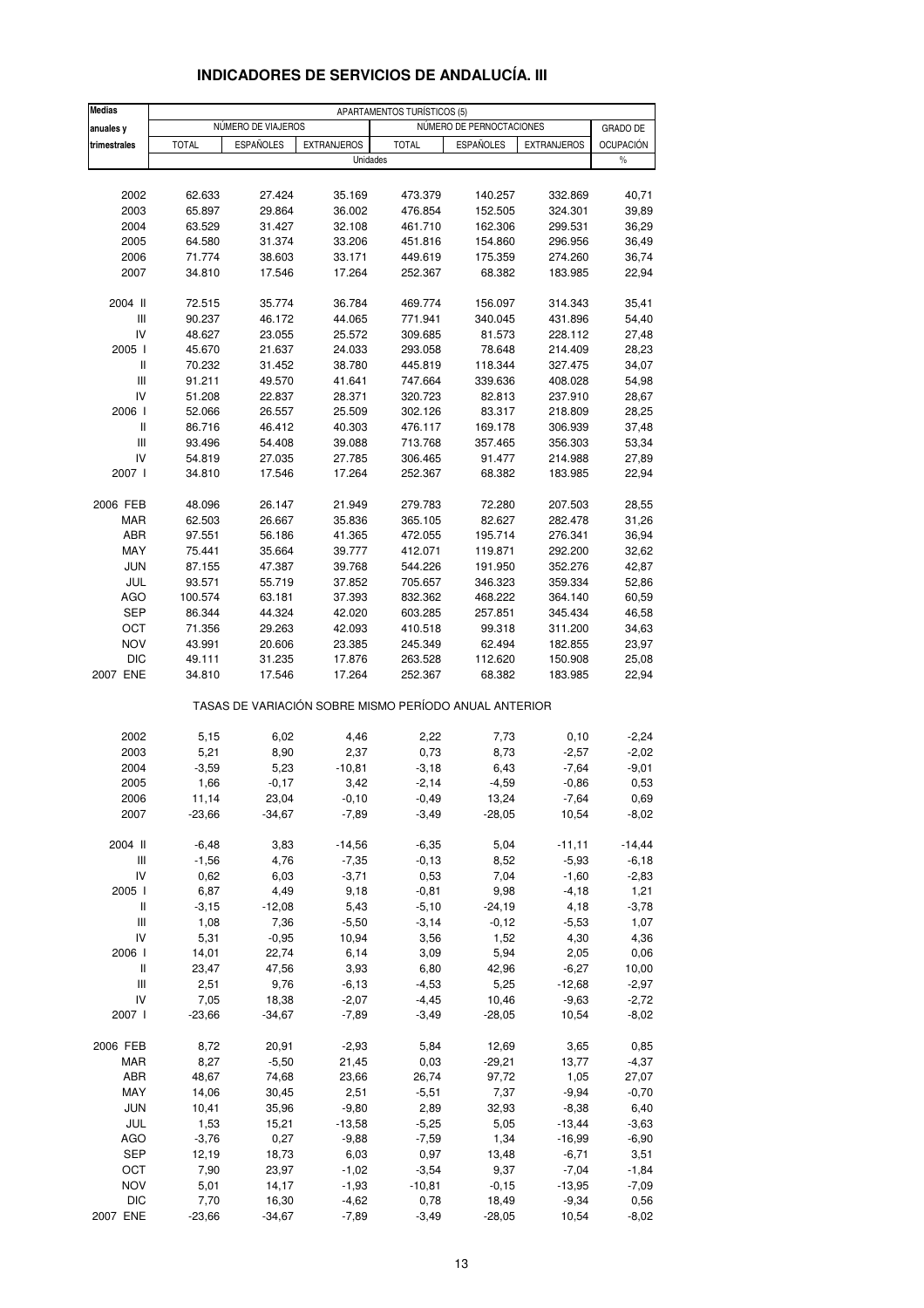| <b>Medias</b>                      |                  |                    |                                                       | APARTAMENTOS TURÍSTICOS (5) |                   |                    |                  |
|------------------------------------|------------------|--------------------|-------------------------------------------------------|-----------------------------|-------------------|--------------------|------------------|
| anuales y                          |                  | NÚMERO DE VIAJEROS |                                                       | NÚMERO DE PERNOCTACIONES    | <b>GRADO DE</b>   |                    |                  |
| trimestrales                       | <b>TOTAL</b>     | <b>ESPAÑOLES</b>   | <b>EXTRANJEROS</b>                                    | <b>TOTAL</b>                | <b>ESPAÑOLES</b>  | <b>EXTRANJEROS</b> | <b>OCUPACIÓN</b> |
|                                    |                  |                    | Unidades                                              |                             |                   |                    | $\frac{0}{0}$    |
|                                    |                  |                    |                                                       |                             |                   |                    |                  |
| 2002                               | 62.633           | 27.424             | 35.169                                                | 473.379                     | 140.257           | 332.869            | 40,71            |
| 2003                               | 65.897           | 29.864             | 36.002                                                | 476.854                     | 152.505           | 324.301            | 39,89            |
| 2004                               | 63.529           | 31.427             | 32.108                                                | 461.710                     | 162.306           | 299.531            | 36,29            |
| 2005                               | 64.580           | 31.374<br>38.603   | 33.206                                                | 451.816                     | 154.860           | 296.956<br>274.260 | 36,49            |
| 2006<br>2007                       | 71.774<br>34.810 | 17.546             | 33.171<br>17.264                                      | 449.619<br>252.367          | 175.359<br>68.382 | 183.985            | 36,74<br>22,94   |
|                                    |                  |                    |                                                       |                             |                   |                    |                  |
| 2004 II                            | 72.515           | 35.774             | 36.784                                                | 469.774                     | 156.097           | 314.343            | 35,41            |
| Ш                                  | 90.237           | 46.172             | 44.065                                                | 771.941                     | 340.045           | 431.896            | 54,40            |
| IV<br>2005 l                       | 48.627<br>45.670 | 23.055<br>21.637   | 25.572<br>24.033                                      | 309.685<br>293.058          | 81.573<br>78.648  | 228.112<br>214.409 | 27,48            |
| Ш                                  | 70.232           | 31.452             | 38.780                                                | 445.819                     | 118.344           | 327.475            | 28,23<br>34,07   |
| Ш                                  | 91.211           | 49.570             | 41.641                                                | 747.664                     | 339.636           | 408.028            | 54,98            |
| IV                                 | 51.208           | 22.837             | 28.371                                                | 320.723                     | 82.813            | 237.910            | 28,67            |
| 2006                               | 52.066           | 26.557             | 25.509                                                | 302.126                     | 83.317            | 218.809            | 28,25            |
| Ш                                  | 86.716           | 46.412             | 40.303                                                | 476.117                     | 169.178           | 306.939            | 37,48            |
| Ш                                  | 93.496           | 54.408             | 39.088                                                | 713.768                     | 357.465           | 356.303            | 53,34            |
| IV                                 | 54.819           | 27.035             | 27.785                                                | 306.465                     | 91.477            | 214.988            | 27,89            |
| 2007 l                             | 34.810           | 17.546             | 17.264                                                | 252.367                     | 68.382            | 183.985            | 22,94            |
| 2006 FEB                           | 48.096           | 26.147             | 21.949                                                | 279.783                     | 72.280            | 207.503            | 28,55            |
| <b>MAR</b>                         | 62.503           | 26.667             | 35.836                                                | 365.105                     | 82.627            | 282.478            | 31,26            |
| ABR                                | 97.551           | 56.186             | 41.365                                                | 472.055                     | 195.714           | 276.341            | 36,94            |
| MAY                                | 75.441           | 35.664             | 39.777                                                | 412.071                     | 119.871           | 292.200            | 32,62            |
| <b>JUN</b>                         | 87.155           | 47.387             | 39.768                                                | 544.226                     | 191.950           | 352.276            | 42,87            |
| JUL                                | 93.571           | 55.719             | 37.852                                                | 705.657                     | 346.323           | 359.334            | 52,86            |
| <b>AGO</b>                         | 100.574          | 63.181             | 37.393                                                | 832.362                     | 468.222           | 364.140            | 60,59            |
| <b>SEP</b>                         | 86.344           | 44.324             | 42.020                                                | 603.285                     | 257.851           | 345.434            | 46,58            |
| OCT                                | 71.356           | 29.263             | 42.093                                                | 410.518                     | 99.318            | 311.200            | 34,63            |
| <b>NOV</b>                         | 43.991           | 20.606             | 23.385                                                | 245.349                     | 62.494            | 182.855            | 23,97            |
| <b>DIC</b>                         | 49.111           | 31.235             | 17.876                                                | 263.528                     | 112.620           | 150.908            | 25,08            |
| 2007 ENE                           | 34.810           | 17.546             | 17.264                                                | 252.367                     | 68.382            | 183.985            | 22,94            |
|                                    |                  |                    | TASAS DE VARIACIÓN SOBRE MISMO PERÍODO ANUAL ANTERIOR |                             |                   |                    |                  |
| 2002                               | 5,15             | 6,02               | 4,46                                                  | 2,22                        | 7,73              | 0, 10              | $-2,24$          |
| 2003                               | 5,21             | 8,90               | 2,37                                                  | 0,73                        | 8,73              | $-2,57$            | $-2,02$          |
| 2004                               | $-3,59$          | 5,23               | $-10,81$                                              | $-3,18$                     | 6,43              | $-7,64$            | -9,01            |
| 2005                               | 1,66             | $-0,17$            | 3,42                                                  | $-2,14$                     | $-4,59$           | $-0,86$            | 0,53             |
| 2006                               | 11,14            | 23,04              | $-0, 10$                                              | $-0,49$                     | 13,24             | $-7,64$            | 0,69             |
| 2007                               | $-23,66$         | $-34,67$           | $-7,89$                                               | $-3,49$                     | $-28,05$          | 10,54              | $-8,02$          |
| 2004 II                            | $-6,48$          | 3,83               | $-14,56$                                              | $-6,35$                     | 5,04              | $-11,11$           | $-14,44$         |
| $\ensuremath{\mathsf{III}}\xspace$ | $-1,56$          | 4,76               | $-7,35$                                               | $-0,13$                     | 8,52              | $-5,93$            | $-6,18$          |
| IV                                 | 0,62             | 6,03               | $-3,71$                                               | 0,53                        | 7,04              | $-1,60$            | $-2,83$          |
| 2005 l                             | 6,87             | 4,49               | 9,18                                                  | $-0,81$                     | 9,98              | $-4,18$            | 1,21             |
| Ш                                  | $-3,15$          | $-12,08$           | 5,43                                                  | $-5,10$                     | $-24,19$          | 4,18               | $-3,78$          |
| Ш                                  | 1,08             | 7,36               | $-5,50$                                               | $-3,14$                     | $-0,12$           | $-5,53$            | 1,07             |
| IV                                 | 5,31             | $-0,95$            | 10,94                                                 | 3,56                        | 1,52              | 4,30               | 4,36             |
| 2006 l                             | 14,01            | 22,74              | 6,14                                                  | 3,09                        | 5,94              | 2,05               | 0,06             |
| Ш                                  | 23,47            | 47,56              | 3,93                                                  | 6,80                        | 42,96             | $-6,27$            | 10,00            |
| Ш                                  | 2,51             | 9,76               | $-6, 13$                                              | $-4,53$                     | 5,25              | $-12,68$           | $-2,97$          |
| IV                                 | 7,05             | 18,38              | $-2,07$                                               | $-4,45$                     | 10,46             | $-9,63$            | $-2,72$          |
| 2007 l                             | $-23,66$         | $-34,67$           | $-7,89$                                               | $-3,49$                     | $-28,05$          | 10,54              | $-8,02$          |
| 2006 FEB                           | 8,72             | 20,91              | $-2,93$                                               | 5,84                        | 12,69             | 3,65               | 0,85             |
| <b>MAR</b>                         | 8,27             | $-5,50$            | 21,45                                                 | 0,03                        | $-29,21$          | 13,77              | $-4,37$          |
| ABR                                | 48,67            | 74,68              | 23,66                                                 | 26,74                       | 97,72             | 1,05               | 27,07            |
| MAY                                | 14,06            | 30,45              | 2,51                                                  | $-5,51$                     | 7,37              | $-9,94$            | $-0,70$          |
| <b>JUN</b>                         | 10,41            | 35,96              | $-9,80$                                               | 2,89                        | 32,93             | $-8,38$            | 6,40             |
| JUL                                | 1,53             | 15,21              | $-13,58$                                              | $-5,25$                     | 5,05              | $-13,44$           | $-3,63$          |
| AGO                                | $-3,76$          | 0,27               | $-9,88$                                               | $-7,59$                     | 1,34              | $-16,99$           | $-6,90$          |
| <b>SEP</b>                         | 12,19            | 18,73              | 6,03                                                  | 0,97                        | 13,48             | $-6,71$            | 3,51             |
| OCT                                | 7,90             | 23,97              | $-1,02$                                               | $-3,54$                     | 9,37              | $-7,04$            | $-1,84$          |
| <b>NOV</b><br><b>DIC</b>           | 5,01             | 14,17              | $-1,93$                                               | $-10,81$                    | $-0,15$           | $-13,95$           | $-7,09$          |
| 2007 ENE                           | 7,70<br>$-23,66$ | 16,30<br>$-34,67$  | $-4,62$<br>$-7,89$                                    | 0,78<br>$-3,49$             | 18,49<br>$-28,05$ | $-9,34$<br>10,54   | 0,56<br>$-8,02$  |
|                                    |                  |                    |                                                       |                             |                   |                    |                  |

### **INDICADORES DE SERVICIOS DE ANDALUCÍA. III**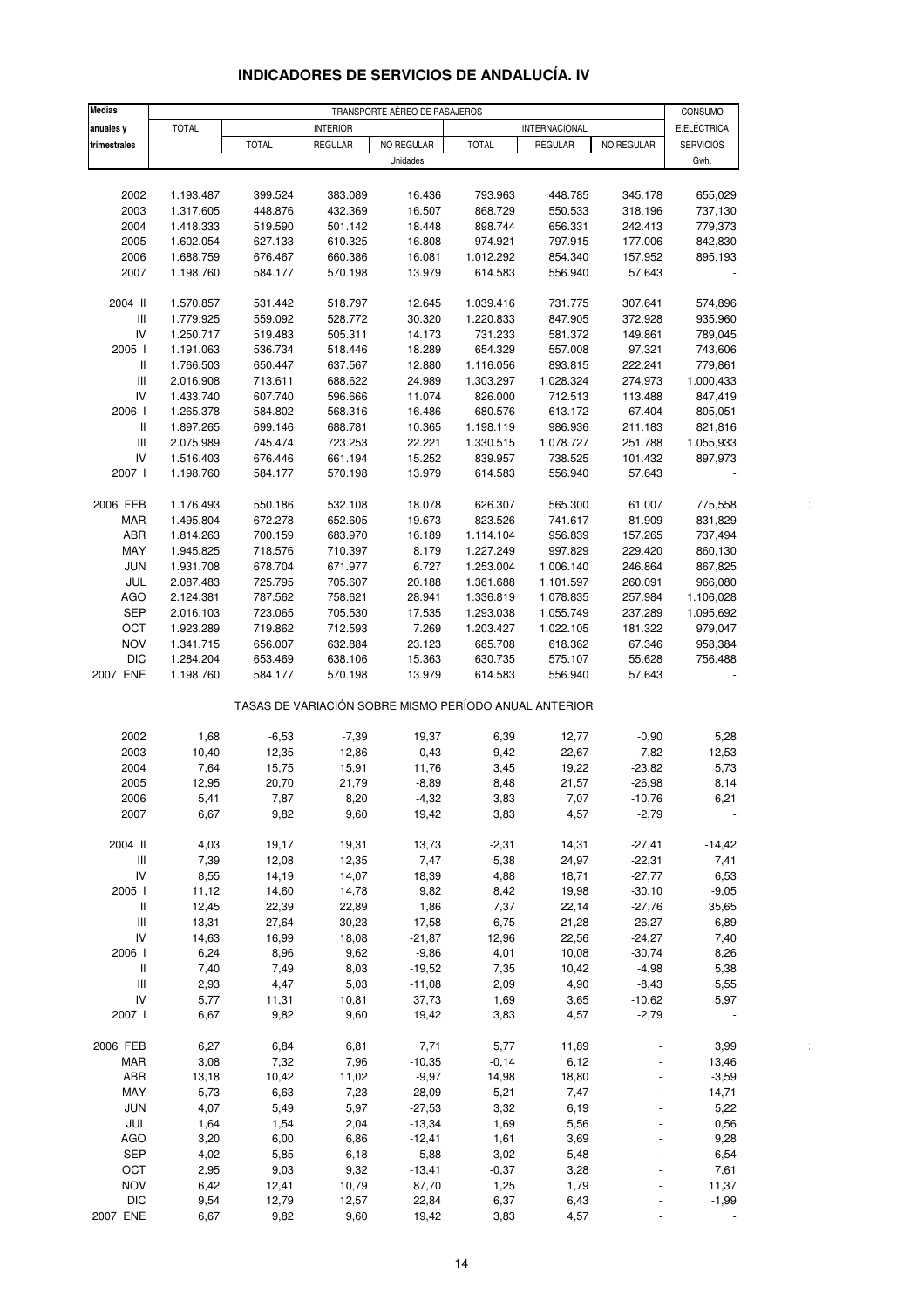| <b>Medias</b>                      |              |                               |                 |            |                                                       |                      |                | CONSUMO          |
|------------------------------------|--------------|-------------------------------|-----------------|------------|-------------------------------------------------------|----------------------|----------------|------------------|
| anuales y                          | <b>TOTAL</b> | TRANSPORTE AÉREO DE PASAJEROS |                 |            |                                                       |                      |                |                  |
|                                    |              |                               | <b>INTERIOR</b> |            |                                                       | <b>INTERNACIONAL</b> |                | E.ELÉCTRICA      |
| trimestrales                       |              | <b>TOTAL</b>                  | <b>REGULAR</b>  | NO REGULAR | <b>TOTAL</b>                                          | <b>REGULAR</b>       | NO REGULAR     | <b>SERVICIOS</b> |
|                                    |              |                               |                 | Unidades   |                                                       |                      |                | Gwh.             |
|                                    |              |                               |                 |            |                                                       |                      |                |                  |
| 2002                               | 1.193.487    | 399.524                       | 383.089         | 16.436     | 793.963                                               | 448.785              | 345.178        | 655,029          |
| 2003                               | 1.317.605    | 448.876                       | 432.369         | 16.507     | 868.729                                               | 550.533              | 318.196        | 737,130          |
| 2004                               | 1.418.333    | 519.590                       | 501.142         | 18.448     | 898.744                                               | 656.331              | 242.413        | 779,373          |
| 2005                               | 1.602.054    | 627.133                       | 610.325         | 16.808     | 974.921                                               | 797.915              | 177.006        | 842,830          |
| 2006                               | 1.688.759    | 676.467                       | 660.386         | 16.081     | 1.012.292                                             | 854.340              | 157.952        | 895,193          |
| 2007                               | 1.198.760    | 584.177                       | 570.198         | 13.979     | 614.583                                               | 556.940              | 57.643         |                  |
|                                    |              |                               |                 |            |                                                       |                      |                |                  |
| 2004 II                            | 1.570.857    | 531.442                       | 518.797         | 12.645     | 1.039.416                                             | 731.775              | 307.641        | 574,896          |
| Ш                                  | 1.779.925    | 559.092                       | 528.772         | 30.320     | 1.220.833                                             | 847.905              | 372.928        | 935,960          |
| IV                                 |              |                               |                 |            |                                                       |                      |                |                  |
|                                    | 1.250.717    | 519.483                       | 505.311         | 14.173     | 731.233                                               | 581.372              | 149.861        | 789,045          |
| 2005 l                             | 1.191.063    | 536.734                       | 518.446         | 18.289     | 654.329                                               | 557.008              | 97.321         | 743,606          |
| Ш                                  | 1.766.503    | 650.447                       | 637.567         | 12.880     | 1.116.056                                             | 893.815              | 222.241        | 779,861          |
| $\ensuremath{\mathsf{III}}\xspace$ | 2.016.908    | 713.611                       | 688.622         | 24.989     | 1.303.297                                             | 1.028.324            | 274.973        | 1.000,433        |
| IV                                 | 1.433.740    | 607.740                       | 596.666         | 11.074     | 826.000                                               | 712.513              | 113.488        | 847,419          |
| 2006                               | 1.265.378    | 584.802                       | 568.316         | 16.486     | 680.576                                               | 613.172              | 67.404         | 805,051          |
| Ш                                  | 1.897.265    | 699.146                       | 688.781         | 10.365     | 1.198.119                                             | 986.936              | 211.183        | 821,816          |
| Ш                                  | 2.075.989    | 745.474                       | 723.253         | 22.221     | 1.330.515                                             | 1.078.727            | 251.788        | 1.055,933        |
| IV                                 | 1.516.403    | 676.446                       | 661.194         | 15.252     | 839.957                                               | 738.525              | 101.432        | 897,973          |
| 2007                               | 1.198.760    | 584.177                       | 570.198         | 13.979     | 614.583                                               | 556.940              | 57.643         |                  |
|                                    |              |                               |                 |            |                                                       |                      |                |                  |
|                                    |              |                               |                 | 18.078     |                                                       |                      |                |                  |
| 2006 FEB                           | 1.176.493    | 550.186                       | 532.108         |            | 626.307                                               | 565.300              | 61.007         | 775,558          |
| <b>MAR</b>                         | 1.495.804    | 672.278                       | 652.605         | 19.673     | 823.526                                               | 741.617              | 81.909         | 831,829          |
| ABR                                | 1.814.263    | 700.159                       | 683.970         | 16.189     | 1.114.104                                             | 956.839              | 157.265        | 737,494          |
| MAY                                | 1.945.825    | 718.576                       | 710.397         | 8.179      | 1.227.249                                             | 997.829              | 229.420        | 860,130          |
| <b>JUN</b>                         | 1.931.708    | 678.704                       | 671.977         | 6.727      | 1.253.004                                             | 1.006.140            | 246.864        | 867,825          |
| JUL                                | 2.087.483    | 725.795                       | 705.607         | 20.188     | 1.361.688                                             | 1.101.597            | 260.091        | 966,080          |
| <b>AGO</b>                         | 2.124.381    | 787.562                       | 758.621         | 28.941     | 1.336.819                                             | 1.078.835            | 257.984        | 1.106,028        |
| <b>SEP</b>                         | 2.016.103    | 723.065                       | 705.530         | 17.535     | 1.293.038                                             | 1.055.749            | 237.289        | 1.095,692        |
| OCT                                | 1.923.289    | 719.862                       | 712.593         | 7.269      | 1.203.427                                             | 1.022.105            | 181.322        | 979,047          |
| <b>NOV</b>                         | 1.341.715    | 656.007                       | 632.884         | 23.123     | 685.708                                               | 618.362              | 67.346         | 958,384          |
| <b>DIC</b>                         | 1.284.204    | 653.469                       | 638.106         | 15.363     | 630.735                                               | 575.107              | 55.628         | 756,488          |
| 2007 ENE                           | 1.198.760    | 584.177                       | 570.198         | 13.979     | 614.583                                               | 556.940              | 57.643         |                  |
|                                    |              |                               |                 |            |                                                       |                      |                |                  |
|                                    |              |                               |                 |            | TASAS DE VARIACIÓN SOBRE MISMO PERÍODO ANUAL ANTERIOR |                      |                |                  |
| 2002                               | 1,68         | $-6,53$                       | $-7,39$         | 19,37      | 6,39                                                  | 12,77                | $-0,90$        | 5,28             |
|                                    |              |                               |                 |            |                                                       |                      |                |                  |
| 2003                               | 10,40        | 12,35                         | 12,86           | 0,43       | 9,42                                                  | 22,67                | $-7,82$        | 12,53            |
| 2004                               | 7,64         | 15,75                         | 15,91           | 11,76      | 3,45                                                  | 19,22                | $-23,82$       | 5,73             |
| 2005                               | 12,95        | 20,70                         | 21,79           | $-8,89$    | 8,48                                                  | 21,57                | $-26,98$       | 8,14             |
| 2006                               | 5,41         | 7,87                          | 8,20            | $-4,32$    | 3,83                                                  | 7,07                 | $-10,76$       | 6,21             |
| 2007                               | 6,67         | 9,82                          | 9,60            | 19,42      | 3,83                                                  | 4,57                 | $-2,79$        |                  |
|                                    |              |                               |                 |            |                                                       |                      |                |                  |
| 2004 II                            | 4,03         | 19,17                         | 19,31           | 13,73      | $-2,31$                                               | 14,31                | $-27,41$       | $-14,42$         |
| Ш                                  | 7,39         | 12,08                         | 12,35           | 7,47       | 5,38                                                  | 24,97                | $-22,31$       | 7,41             |
| ${\sf IV}$                         | 8,55         | 14,19                         | 14,07           | 18,39      | 4,88                                                  | 18,71                | $-27,77$       | 6,53             |
| 2005 l                             | 11,12        | 14,60                         | 14,78           | 9,82       | 8,42                                                  | 19,98                | $-30, 10$      | $-9,05$          |
| Ш                                  | 12,45        | 22,39                         | 22,89           | 1,86       | 7,37                                                  | 22,14                | $-27,76$       | 35,65            |
| $\ensuremath{\mathsf{III}}\xspace$ | 13,31        | 27,64                         | 30,23           | $-17,58$   | 6,75                                                  | 21,28                | $-26,27$       | 6,89             |
| IV                                 | 14,63        | 16,99                         | 18,08           | $-21,87$   | 12,96                                                 | 22,56                | $-24,27$       | 7,40             |
| 2006 l                             | 6,24         | 8,96                          | 9,62            | $-9,86$    | 4,01                                                  | 10,08                | $-30,74$       | 8,26             |
|                                    |              |                               |                 |            |                                                       |                      |                |                  |
| $\, \parallel$                     | 7,40         | 7,49                          | 8,03            | $-19,52$   | 7,35                                                  | 10,42                | $-4,98$        | 5,38             |
| $\ensuremath{\mathsf{III}}\xspace$ | 2,93         | 4,47                          | 5,03            | $-11,08$   | 2,09                                                  | 4,90                 | $-8,43$        | 5,55             |
| ${\sf IV}$                         | 5,77         | 11,31                         | 10,81           | 37,73      | 1,69                                                  | 3,65                 | $-10,62$       | 5,97             |
| 2007 l                             | 6,67         | 9,82                          | 9,60            | 19,42      | 3,83                                                  | 4,57                 | $-2,79$        |                  |
|                                    |              |                               |                 |            |                                                       |                      |                |                  |
| 2006 FEB                           | 6,27         | 6,84                          | 6,81            | 7,71       | 5,77                                                  | 11,89                |                | 3,99             |
| MAR                                | 3,08         | 7,32                          | 7,96            | $-10,35$   | $-0,14$                                               | 6,12                 | $\overline{a}$ | 13,46            |
| ABR                                | 13,18        | 10,42                         | 11,02           | $-9,97$    | 14,98                                                 | 18,80                |                | $-3,59$          |
| MAY                                | 5,73         | 6,63                          | 7,23            | $-28,09$   | 5,21                                                  | 7,47                 |                | 14,71            |
| <b>JUN</b>                         | 4,07         | 5,49                          | 5,97            | $-27,53$   | 3,32                                                  | 6,19                 |                | 5,22             |
| JUL                                | 1,64         | 1,54                          | 2,04            | $-13,34$   | 1,69                                                  | 5,56                 |                | 0,56             |
| AGO                                | 3,20         | 6,00                          | 6,86            | $-12,41$   | 1,61                                                  | 3,69                 |                | 9,28             |
| <b>SEP</b>                         | 4,02         | 5,85                          | 6,18            | $-5,88$    | 3,02                                                  | 5,48                 |                | 6,54             |
| OCT                                | 2,95         | 9,03                          | 9,32            | $-13,41$   | $-0,37$                                               | 3,28                 |                | 7,61             |
| <b>NOV</b>                         | 6,42         | 12,41                         | 10,79           | 87,70      | 1,25                                                  | 1,79                 |                | 11,37            |
|                                    |              |                               |                 |            |                                                       |                      |                |                  |
| <b>DIC</b>                         | 9,54         | 12,79                         | 12,57           | 22,84      | 6,37                                                  | 6,43                 |                | $-1,99$          |
| 2007 ENE                           | 6,67         | 9,82                          | 9,60            | 19,42      | 3,83                                                  | 4,57                 |                |                  |

### **INDICADORES DE SERVICIOS DE ANDALUCÍA. IV**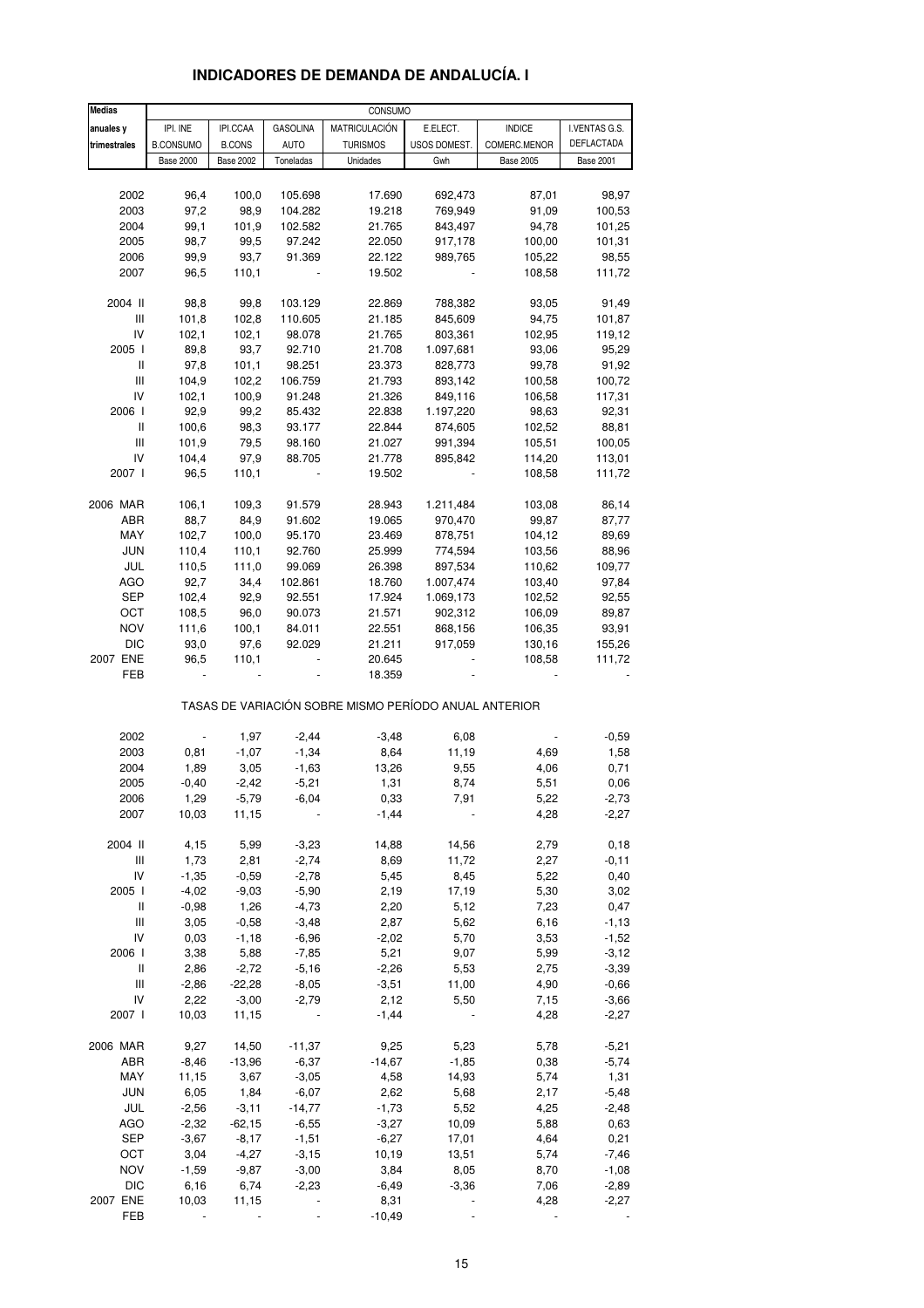| <b>Medias</b>   |                  |                  |                    | CONSUMO                                               |                    |                  |                   |
|-----------------|------------------|------------------|--------------------|-------------------------------------------------------|--------------------|------------------|-------------------|
| anuales y       | IPI. INE         | IPI.CCAA         | <b>GASOLINA</b>    | <b>MATRICULACIÓN</b>                                  | E.ELECT.           | <b>INDICE</b>    | I.VENTAS G.S.     |
| trimestrales    | <b>B.CONSUMO</b> | <b>B.CONS</b>    | <b>AUTO</b>        | <b>TURISMOS</b>                                       | USOS DOMEST.       | COMERC.MENOR     | <b>DEFLACTADA</b> |
|                 | <b>Base 2000</b> | <b>Base 2002</b> | Toneladas          | Unidades                                              | Gwh                | <b>Base 2005</b> | <b>Base 2001</b>  |
|                 |                  |                  |                    |                                                       |                    |                  |                   |
| 2002            | 96,4             | 100,0            | 105.698            | 17.690                                                | 692,473            | 87,01            | 98,97             |
| 2003            | 97,2             | 98,9             | 104.282            | 19.218                                                | 769,949            | 91,09            | 100,53            |
| 2004            | 99,1             | 101,9            | 102.582            | 21.765                                                | 843,497            | 94,78            | 101,25            |
| 2005            | 98,7             | 99,5             | 97.242             | 22.050                                                | 917,178            | 100,00           | 101,31            |
| 2006            | 99,9             | 93,7             | 91.369             | 22.122                                                | 989,765            | 105,22           | 98,55             |
| 2007            | 96,5             | 110,1            |                    | 19.502                                                |                    | 108,58           | 111,72            |
|                 |                  |                  |                    |                                                       |                    |                  |                   |
| 2004 II         | 98,8             | 99,8             | 103.129            | 22.869                                                | 788,382            | 93,05            | 91,49             |
| Ш               | 101,8            | 102,8            | 110.605            | 21.185                                                | 845,609            | 94,75            | 101,87            |
| IV              | 102,1            | 102,1            | 98.078             | 21.765                                                | 803,361            | 102,95           | 119,12            |
| 2005 l          | 89,8             | 93,7             | 92.710             | 21.708                                                | 1.097,681          | 93,06            | 95,29             |
| Ш               | 97,8             | 101,1            | 98.251             | 23.373                                                | 828,773            | 99,78            | 91,92             |
| Ш               | 104,9            | 102,2            | 106.759            | 21.793                                                | 893,142            | 100,58           | 100,72            |
| IV              | 102,1            | 100,9            | 91.248             | 21.326                                                | 849,116            | 106,58           | 117,31            |
| 2006            | 92,9             | 99,2             | 85.432             | 22.838                                                | 1.197,220          | 98,63            | 92,31             |
| Ш<br>Ш          | 100,6<br>101,9   | 98,3<br>79,5     | 93.177<br>98.160   | 22.844                                                | 874,605<br>991,394 | 102,52<br>105,51 | 88,81             |
| IV              | 104,4            | 97,9             | 88.705             | 21.027<br>21.778                                      | 895,842            | 114,20           | 100,05<br>113,01  |
| 2007 l          | 96,5             | 110,1            |                    | 19.502                                                |                    | 108,58           | 111,72            |
|                 |                  |                  |                    |                                                       |                    |                  |                   |
| 2006 MAR        | 106,1            | 109,3            | 91.579             | 28.943                                                | 1.211,484          | 103,08           | 86,14             |
| ABR             | 88,7             | 84,9             | 91.602             | 19.065                                                | 970,470            | 99,87            | 87,77             |
| MAY             | 102,7            | 100,0            | 95.170             | 23.469                                                | 878,751            | 104,12           | 89,69             |
| <b>JUN</b>      | 110,4            | 110,1            | 92.760             | 25.999                                                | 774,594            | 103,56           | 88,96             |
| JUL             | 110,5            | 111,0            | 99.069             | 26.398                                                | 897,534            | 110,62           | 109,77            |
| <b>AGO</b>      | 92,7             | 34,4             | 102.861            | 18.760                                                | 1.007,474          | 103,40           | 97,84             |
| SEP             | 102,4            | 92,9             | 92.551             | 17.924                                                | 1.069,173          | 102,52           | 92,55             |
| OCT             | 108,5            | 96,0             | 90.073             | 21.571                                                | 902,312            | 106,09           | 89,87             |
| <b>NOV</b>      | 111,6            | 100,1            | 84.011             | 22.551                                                | 868,156            | 106,35           | 93,91             |
| <b>DIC</b>      | 93,0             | 97,6             | 92.029             | 21.211                                                | 917,059            | 130,16           | 155,26            |
| 2007 ENE        | 96,5             | 110,1            |                    | 20.645                                                |                    | 108,58           | 111,72            |
| FEB             |                  |                  |                    | 18.359                                                |                    |                  |                   |
|                 |                  |                  |                    | TASAS DE VARIACIÓN SOBRE MISMO PERÍODO ANUAL ANTERIOR |                    |                  |                   |
|                 |                  |                  |                    |                                                       |                    |                  |                   |
| 2002            |                  | 1,97             | $-2,44$            | $-3,48$                                               | 6,08               |                  | $-0,59$           |
| 2003<br>2004    | 0,81<br>1,89     | $-1,07$<br>3,05  | $-1,34$<br>$-1,63$ | 8,64<br>13,26                                         | 11,19              | 4,69<br>4,06     | 1,58<br>0,71      |
| 2005            | $-0,40$          | $-2,42$          | $-5,21$            | 1,31                                                  | 9,55<br>8,74       | 5,51             | 0,06              |
|                 |                  |                  |                    |                                                       |                    |                  |                   |
| 2006<br>2007    | 1,29<br>10,03    | $-5,79$<br>11,15 | -6,04              | 0,33<br>$-1,44$                                       | 7,91               | 5,22<br>4,28     | -2,73<br>$-2,27$  |
|                 |                  |                  |                    |                                                       |                    |                  |                   |
| 2004 II         | 4,15             | 5,99             | $-3,23$            | 14,88                                                 | 14,56              | 2,79             | 0, 18             |
| Ш               | 1,73             | 2,81             | $-2,74$            | 8,69                                                  | 11,72              | 2,27             | $-0, 11$          |
| IV              | $-1,35$          | $-0,59$          | $-2,78$            | 5,45                                                  | 8,45               | 5,22             | 0,40              |
| 2005 l          | $-4,02$          | $-9,03$          | $-5,90$            | 2,19                                                  | 17,19              | 5,30             | 3,02              |
| Ш               | $-0,98$          | 1,26             | $-4,73$            | 2,20                                                  | 5,12               | 7,23             | 0,47              |
| Ш               | 3,05             | $-0,58$          | $-3,48$            | 2,87                                                  | 5,62               | 6,16             | $-1, 13$          |
| IV              | 0,03             | $-1,18$          | $-6,96$            | $-2,02$                                               | 5,70               | 3,53             | $-1,52$           |
| 2006            | 3,38             | 5,88             | $-7,85$            | 5,21                                                  | 9,07               | 5,99             | $-3,12$           |
| Ш               | 2,86             | $-2,72$          | $-5,16$            | $-2,26$                                               | 5,53               | 2,75             | $-3,39$           |
| Ш               | $-2,86$          | $-22,28$         | $-8,05$            | $-3,51$                                               | 11,00              | 4,90             | $-0,66$           |
| IV              | 2,22             | $-3,00$          | $-2,79$            | 2,12                                                  | 5,50               | 7,15             | $-3,66$           |
| 2007 l          | 10,03            | 11,15            |                    | $-1,44$                                               |                    | 4,28             | $-2,27$           |
| 2006 MAR        | 9,27             | 14,50            | $-11,37$           | 9,25                                                  | 5,23               | 5,78             | $-5,21$           |
| ABR             | $-8,46$          | $-13,96$         | $-6,37$            | $-14,67$                                              | $-1,85$            | 0,38             | $-5,74$           |
| MAY             | 11,15            | 3,67             | $-3,05$            | 4,58                                                  | 14,93              | 5,74             | 1,31              |
| JUN             | 6,05             | 1,84             | $-6,07$            | 2,62                                                  | 5,68               | 2,17             | $-5,48$           |
| JUL             | $-2,56$          | $-3,11$          | $-14,77$           | $-1,73$                                               | 5,52               | 4,25             | $-2,48$           |
| AGO             | $-2,32$          | $-62,15$         | $-6,55$            | $-3,27$                                               | 10,09              | 5,88             | 0,63              |
| <b>SEP</b>      | $-3,67$          | $-8,17$          | $-1,51$            | $-6,27$                                               | 17,01              | 4,64             | 0,21              |
| OCT             | 3,04             | $-4,27$          | $-3,15$            | 10,19                                                 | 13,51              | 5,74             | $-7,46$           |
| <b>NOV</b>      | $-1,59$          | $-9,87$          | $-3,00$            | 3,84                                                  | 8,05               | 8,70             | $-1,08$           |
| <b>DIC</b>      | 6,16             | 6,74             | $-2,23$            | $-6,49$                                               | $-3,36$            | 7,06             | $-2,89$           |
| 2007 ENE<br>FEB | 10,03            | 11,15            |                    | 8,31<br>$-10,49$                                      |                    | 4,28             | $-2,27$           |
|                 |                  |                  |                    |                                                       |                    |                  |                   |

### **INDICADORES DE DEMANDA DE ANDALUCÍA. I**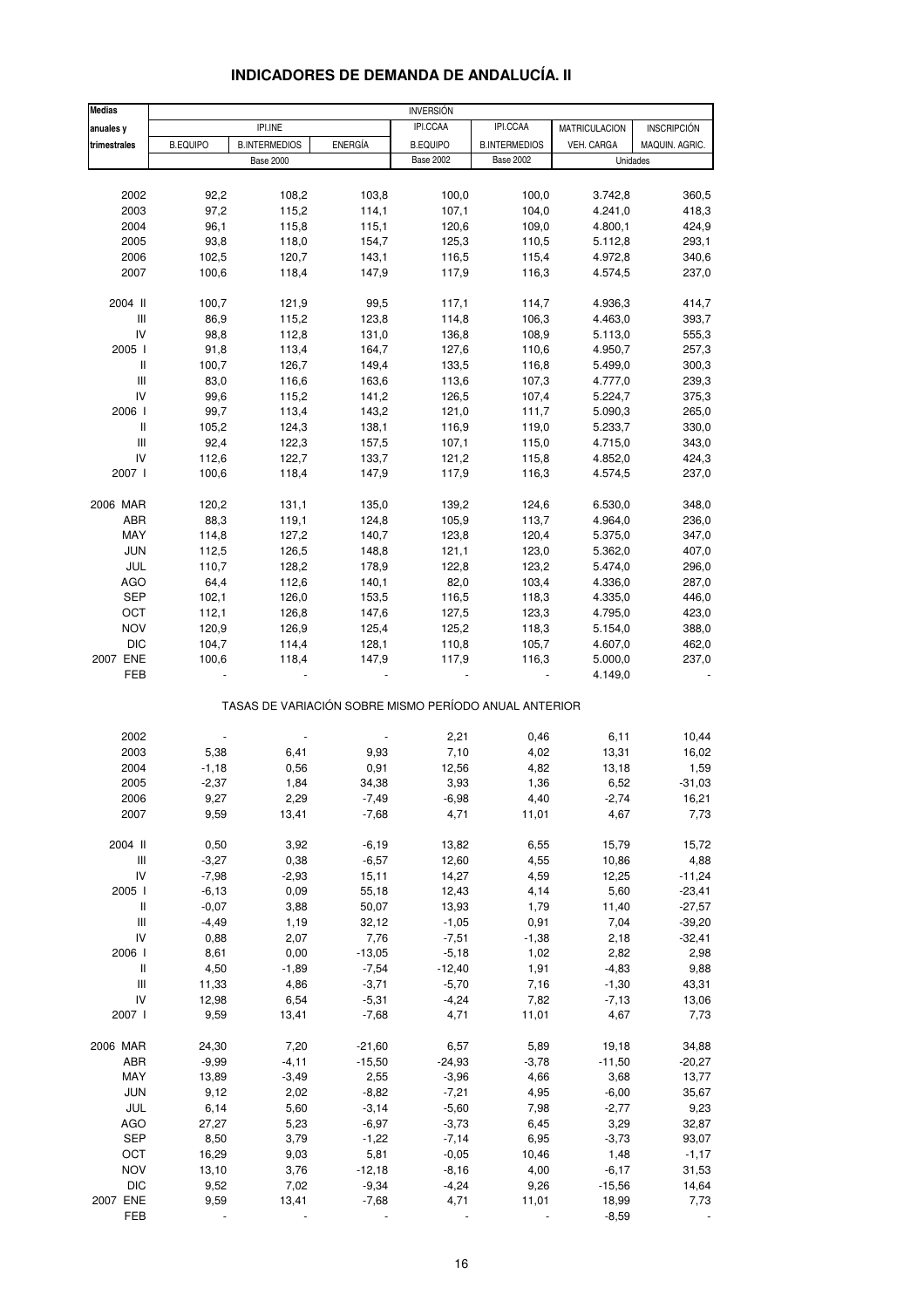| <b>Medias</b>                      |                 |                                                       |                | <b>INVERSIÓN</b> |                      |                    |                    |
|------------------------------------|-----------------|-------------------------------------------------------|----------------|------------------|----------------------|--------------------|--------------------|
| anuales y                          |                 | IPI.INE                                               |                | IPI.CCAA         | IPI.CCAA             | MATRICULACION      | <b>INSCRIPCIÓN</b> |
| trimestrales                       | <b>B.EQUIPO</b> | <b>B.INTERMEDIOS</b>                                  | <b>ENERGÍA</b> | <b>B.EQUIPO</b>  | <b>B.INTERMEDIOS</b> | VEH. CARGA         | MAQUIN. AGRIC.     |
|                                    |                 | <b>Base 2000</b>                                      |                | <b>Base 2002</b> | <b>Base 2002</b>     |                    | Unidades           |
|                                    |                 |                                                       |                |                  |                      |                    |                    |
| 2002                               | 92,2            | 108,2                                                 | 103,8          | 100,0            | 100,0                | 3.742,8            | 360,5              |
| 2003                               | 97,2            | 115,2                                                 | 114,1          | 107,1            | 104,0                | 4.241,0            | 418,3              |
| 2004                               | 96,1            | 115,8                                                 | 115,1          | 120,6            | 109,0                | 4.800,1            | 424,9              |
|                                    |                 |                                                       |                |                  |                      |                    |                    |
| 2005                               | 93,8<br>102,5   | 118,0                                                 | 154,7          | 125,3            | 110,5                | 5.112,8            | 293,1              |
| 2006                               |                 | 120,7                                                 | 143,1          | 116,5            | 115,4                | 4.972,8            | 340,6              |
| 2007                               | 100,6           | 118,4                                                 | 147,9          | 117,9            | 116,3                | 4.574,5            | 237,0              |
| 2004 II                            | 100,7           | 121,9                                                 | 99,5           | 117,1            | 114,7                | 4.936,3            | 414,7              |
| $\ensuremath{\mathsf{III}}\xspace$ | 86,9            | 115,2                                                 | 123,8          | 114,8            | 106,3                | 4.463,0            | 393,7              |
| IV                                 | 98,8            | 112,8                                                 | 131,0          | 136,8            | 108,9                | 5.113,0            | 555,3              |
| 2005                               | 91,8            | 113,4                                                 | 164,7          | 127,6            | 110,6                | 4.950,7            | 257,3              |
| Ш                                  | 100,7           | 126,7                                                 | 149,4          | 133,5            | 116,8                | 5.499,0            | 300,3              |
| Ш                                  | 83,0            | 116,6                                                 | 163,6          | 113,6            | 107,3                | 4.777,0            | 239,3              |
| IV                                 | 99,6            | 115,2                                                 | 141,2          | 126,5            | 107,4                | 5.224,7            | 375,3              |
| 2006                               | 99,7            | 113,4                                                 | 143,2          | 121,0            | 111,7                | 5.090,3            | 265,0              |
| $\, \parallel$                     | 105,2           | 124,3                                                 | 138,1          | 116,9            | 119,0                | 5.233,7            | 330,0              |
| $\ensuremath{\mathsf{III}}\xspace$ | 92,4            | 122,3                                                 | 157,5          | 107,1            | 115,0                | 4.715,0            | 343,0              |
|                                    |                 | 122,7                                                 | 133,7          |                  |                      | 4.852,0            | 424,3              |
| IV                                 | 112,6           |                                                       |                | 121,2            | 115,8                |                    |                    |
| 2007 l                             | 100,6           | 118,4                                                 | 147,9          | 117,9            | 116,3                | 4.574,5            | 237,0              |
| 2006 MAR                           | 120,2           | 131,1                                                 | 135,0          | 139,2            | 124,6                | 6.530,0            | 348,0              |
| ABR                                | 88,3            | 119,1                                                 | 124,8          | 105,9            | 113,7                | 4.964,0            | 236,0              |
| MAY                                | 114,8           | 127,2                                                 | 140,7          | 123,8            | 120,4                | 5.375,0            | 347,0              |
| <b>JUN</b>                         | 112,5           | 126,5                                                 | 148,8          | 121,1            | 123,0                | 5.362,0            | 407,0              |
| JUL                                | 110,7           | 128,2                                                 | 178,9          | 122,8            | 123,2                | 5.474,0            | 296,0              |
| <b>AGO</b>                         | 64,4            | 112,6                                                 | 140,1          | 82,0             | 103,4                | 4.336,0            | 287,0              |
| SEP                                | 102,1           | 126,0                                                 | 153,5          | 116,5            | 118,3                | 4.335,0            | 446,0              |
| OCT                                | 112,1           | 126,8                                                 | 147,6          | 127,5            | 123,3                | 4.795,0            | 423,0              |
| <b>NOV</b>                         | 120,9           | 126,9                                                 | 125,4          | 125,2            | 118,3                | 5.154,0            | 388,0              |
|                                    |                 |                                                       |                |                  |                      |                    |                    |
| <b>DIC</b>                         | 104,7           | 114,4                                                 | 128,1          | 110,8            | 105,7                | 4.607,0            | 462,0              |
| 2007 ENE<br>FEB                    | 100,6           | 118,4                                                 | 147,9          | 117,9            | 116,3                | 5.000,0<br>4.149,0 | 237,0              |
|                                    |                 | TASAS DE VARIACIÓN SOBRE MISMO PERÍODO ANUAL ANTERIOR |                |                  |                      |                    |                    |
|                                    |                 |                                                       |                |                  |                      |                    |                    |
| 2002                               |                 |                                                       |                | 2,21             | 0,46                 | 6,11               | 10,44              |
| 2003                               | 5,38            | 6,41                                                  | 9,93           | 7,10             | 4,02                 | 13,31              | 16,02              |
| 2004                               | $-1,18$         | 0,56                                                  | 0,91           | 12,56            | 4,82                 | 13,18              | 1,59               |
| 2005                               | $-2,37$         | 1,84                                                  | 34,38          | 3,93             | 1,36                 | 6,52               | $-31,03$           |
| 2006                               | 9,27            | 2,29                                                  | $-7,49$        | $-6,98$          | 4,40                 | $-2,74$            | 16,21              |
| 2007                               | 9,59            | 13,41                                                 | $-7,68$        | 4,71             | 11,01                | 4,67               | 7,73               |
| 2004 II                            | 0,50            | 3,92                                                  | $-6,19$        | 13,82            | 6,55                 | 15,79              | 15,72              |
| Ш                                  | $-3,27$         | 0,38                                                  | $-6,57$        | 12,60            | 4,55                 | 10,86              | 4,88               |
| IV                                 | $-7,98$         | $-2,93$                                               | 15,11          | 14,27            | 4,59                 | 12,25              | $-11,24$           |
| 2005                               | $-6, 13$        | 0,09                                                  | 55,18          | 12,43            | 4,14                 | 5,60               | $-23,41$           |
| $\, \parallel$                     | $-0,07$         | 3,88                                                  | 50,07          | 13,93            | 1,79                 | 11,40              | $-27,57$           |
| $\ensuremath{\mathsf{III}}\xspace$ | $-4,49$         |                                                       | 32,12          | $-1,05$          | 0,91                 | 7,04               | $-39,20$           |
| IV                                 |                 | 1,19                                                  |                |                  |                      |                    |                    |
|                                    | 0,88            | 2,07                                                  | 7,76           | $-7,51$          | $-1,38$              | 2,18               | $-32,41$           |
| 2006                               | 8,61            | 0,00                                                  | $-13,05$       | $-5,18$          | 1,02                 | 2,82               | 2,98               |
| Ш                                  | 4,50            | $-1,89$                                               | $-7,54$        | $-12,40$         | 1,91                 | $-4,83$            | 9,88               |
| Ш                                  | 11,33           | 4,86                                                  | $-3,71$        | $-5,70$          | 7,16                 | $-1,30$            | 43,31              |
| IV                                 | 12,98           | 6,54                                                  | $-5,31$        | $-4,24$          | 7,82                 | $-7,13$            | 13,06              |
| 2007 l                             | 9,59            | 13,41                                                 | $-7,68$        | 4,71             | 11,01                | 4,67               | 7,73               |
| 2006 MAR                           | 24,30           | 7,20                                                  | $-21,60$       | 6,57             | 5,89                 | 19,18              | 34,88              |
| ABR                                | $-9,99$         | $-4, 11$                                              | $-15,50$       | $-24,93$         | $-3,78$              | $-11,50$           | $-20,27$           |
| MAY                                | 13,89           | $-3,49$                                               | 2,55           | $-3,96$          | 4,66                 | 3,68               | 13,77              |
| JUN                                | 9,12            | 2,02                                                  | $-8,82$        | $-7,21$          | 4,95                 | $-6,00$            | 35,67              |
| JUL                                | 6,14            | 5,60                                                  | $-3,14$        | $-5,60$          | 7,98                 | $-2,77$            | 9,23               |
| <b>AGO</b>                         | 27,27           | 5,23                                                  | $-6,97$        | $-3,73$          | 6,45                 | 3,29               | 32,87              |
| <b>SEP</b>                         |                 |                                                       |                |                  |                      | $-3,73$            |                    |
|                                    | 8,50            | 3,79                                                  | $-1,22$        | $-7,14$          | 6,95                 |                    | 93,07              |
| OCT                                | 16,29           | 9,03                                                  | 5,81           | $-0,05$          | 10,46                | 1,48               | $-1,17$            |
| <b>NOV</b>                         | 13,10           | 3,76                                                  | $-12,18$       | $-8,16$          | 4,00                 | $-6,17$            | 31,53              |
| <b>DIC</b>                         | 9,52            | 7,02                                                  | $-9,34$        | $-4,24$          | 9,26                 | $-15,56$           | 14,64              |
| 2007 ENE                           | 9,59            | 13,41                                                 | $-7,68$        | 4,71             | 11,01                | 18,99              | 7,73               |
| <b>FEB</b>                         |                 |                                                       |                |                  |                      | $-8,59$            |                    |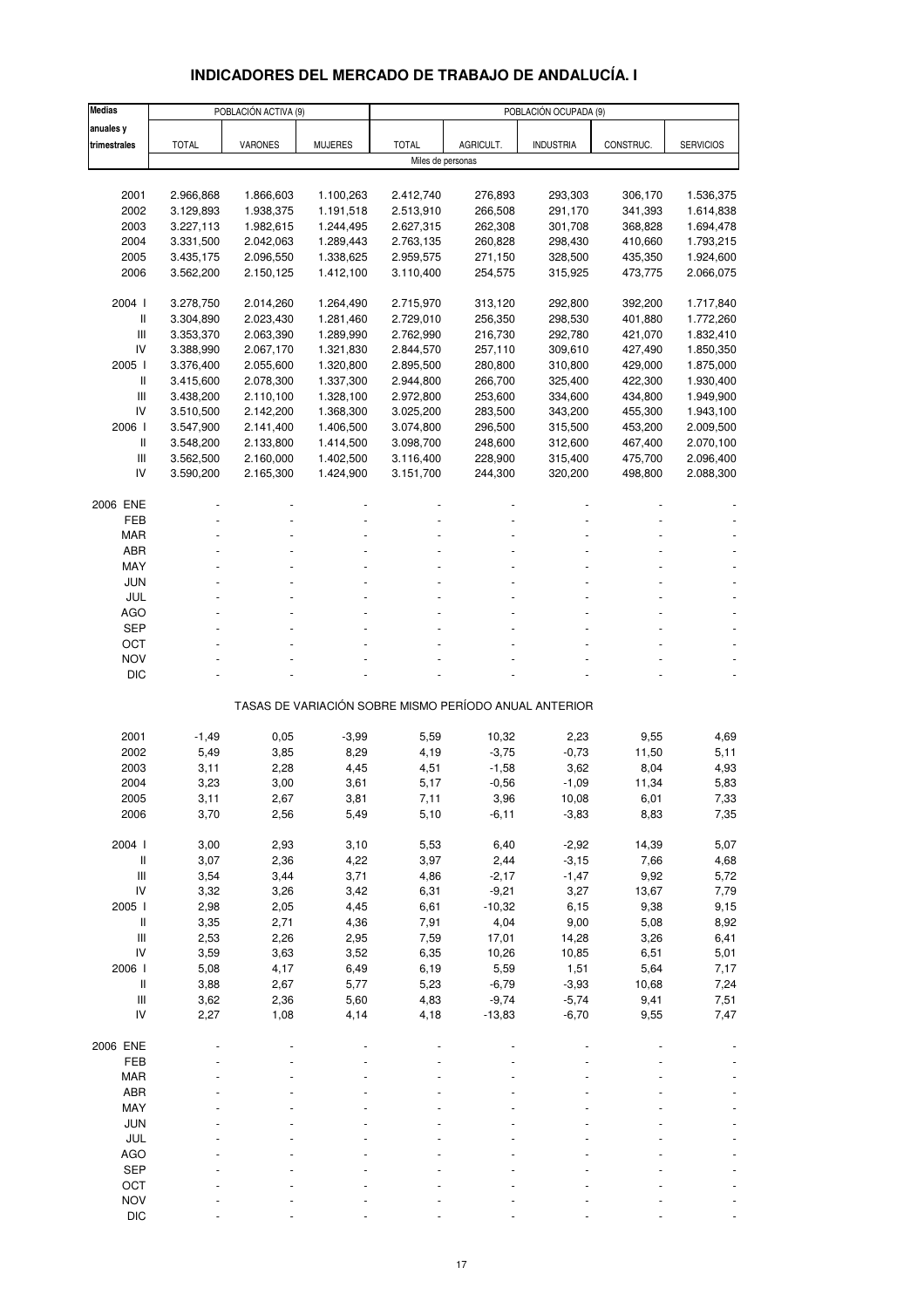# **INDICADORES DEL MERCADO DE TRABAJO DE ANDALUCÍA. I**

| <b>Medias</b>                      |                        | POBLACIÓN ACTIVA (9)   |                        | POBLACIÓN OCUPADA (9)  |                    |                                                       |                    |                        |  |  |  |
|------------------------------------|------------------------|------------------------|------------------------|------------------------|--------------------|-------------------------------------------------------|--------------------|------------------------|--|--|--|
| anuales y                          |                        |                        |                        |                        |                    |                                                       |                    |                        |  |  |  |
| trimestrales                       | <b>TOTAL</b>           | <b>VARONES</b>         | <b>MUJERES</b>         | <b>TOTAL</b>           | AGRICULT.          | <b>INDUSTRIA</b>                                      | CONSTRUC.          | <b>SERVICIOS</b>       |  |  |  |
|                                    |                        |                        |                        | Miles de personas      |                    |                                                       |                    |                        |  |  |  |
|                                    |                        |                        |                        |                        |                    |                                                       |                    |                        |  |  |  |
| 2001<br>2002                       | 2.966,868<br>3.129,893 | 1.866,603<br>1.938,375 | 1.100,263<br>1.191,518 | 2.412,740<br>2.513,910 | 276,893<br>266,508 | 293,303<br>291,170                                    | 306,170<br>341,393 | 1.536,375<br>1.614,838 |  |  |  |
| 2003                               | 3.227,113              | 1.982,615              | 1.244,495              | 2.627,315              | 262,308            | 301,708                                               | 368,828            | 1.694,478              |  |  |  |
| 2004                               | 3.331,500              | 2.042,063              | 1.289,443              | 2.763,135              | 260,828            | 298,430                                               | 410,660            | 1.793,215              |  |  |  |
| 2005                               | 3.435,175              | 2.096,550              | 1.338,625              | 2.959,575              | 271,150            | 328,500                                               | 435,350            | 1.924,600              |  |  |  |
| 2006                               | 3.562,200              | 2.150,125              | 1.412,100              | 3.110,400              | 254,575            | 315,925                                               | 473,775            | 2.066,075              |  |  |  |
|                                    |                        |                        |                        |                        |                    |                                                       |                    |                        |  |  |  |
| 2004 l                             | 3.278,750              | 2.014,260              | 1.264,490              | 2.715,970              | 313,120            | 292,800                                               | 392,200            | 1.717,840              |  |  |  |
| Ш                                  | 3.304,890              | 2.023,430              | 1.281,460              | 2.729,010              | 256,350            | 298,530                                               | 401,880            | 1.772,260              |  |  |  |
| Ш                                  | 3.353,370              | 2.063,390              | 1.289,990              | 2.762,990              | 216,730            | 292,780                                               | 421,070            | 1.832,410              |  |  |  |
| IV                                 | 3.388,990              | 2.067,170              | 1.321,830              | 2.844,570              | 257,110            | 309,610                                               | 427,490            | 1.850,350              |  |  |  |
| 2005 l<br>Ш                        | 3.376,400              | 2.055,600              | 1.320,800              | 2.895,500              | 280,800            | 310,800                                               | 429,000            | 1.875,000              |  |  |  |
| Ш                                  | 3.415,600<br>3.438,200 | 2.078,300<br>2.110,100 | 1.337,300<br>1.328,100 | 2.944,800<br>2.972,800 | 266,700<br>253,600 | 325,400<br>334,600                                    | 422,300<br>434,800 | 1.930,400<br>1.949,900 |  |  |  |
| IV                                 | 3.510,500              | 2.142,200              | 1.368,300              | 3.025,200              | 283,500            | 343,200                                               | 455,300            | 1.943,100              |  |  |  |
| 2006                               | 3.547,900              | 2.141,400              | 1.406,500              | 3.074,800              | 296,500            | 315,500                                               | 453,200            | 2.009,500              |  |  |  |
| Ш                                  | 3.548,200              | 2.133,800              | 1.414,500              | 3.098,700              | 248,600            | 312,600                                               | 467,400            | 2.070,100              |  |  |  |
| $\ensuremath{\mathsf{III}}\xspace$ | 3.562,500              | 2.160,000              | 1.402,500              | 3.116,400              | 228,900            | 315,400                                               | 475,700            | 2.096,400              |  |  |  |
| IV                                 | 3.590,200              | 2.165,300              | 1.424,900              | 3.151,700              | 244,300            | 320,200                                               | 498,800            | 2.088,300              |  |  |  |
|                                    |                        |                        |                        |                        |                    |                                                       |                    |                        |  |  |  |
| 2006 ENE                           |                        |                        |                        |                        |                    |                                                       |                    |                        |  |  |  |
| FEB<br><b>MAR</b>                  |                        |                        |                        |                        |                    |                                                       |                    |                        |  |  |  |
| ABR                                |                        |                        |                        |                        |                    |                                                       |                    |                        |  |  |  |
| MAY                                |                        |                        |                        |                        |                    |                                                       |                    |                        |  |  |  |
| <b>JUN</b>                         |                        |                        |                        |                        |                    |                                                       |                    |                        |  |  |  |
| JUL                                |                        |                        |                        |                        |                    |                                                       |                    |                        |  |  |  |
| <b>AGO</b>                         |                        |                        |                        |                        |                    |                                                       |                    |                        |  |  |  |
| SEP                                |                        |                        |                        |                        |                    |                                                       |                    |                        |  |  |  |
| ОСТ                                |                        |                        |                        |                        |                    |                                                       |                    |                        |  |  |  |
| <b>NOV</b>                         |                        |                        |                        |                        |                    |                                                       |                    |                        |  |  |  |
| <b>DIC</b>                         |                        |                        |                        |                        |                    |                                                       |                    |                        |  |  |  |
|                                    |                        |                        |                        |                        |                    | TASAS DE VARIACIÓN SOBRE MISMO PERÍODO ANUAL ANTERIOR |                    |                        |  |  |  |
|                                    |                        |                        |                        |                        |                    |                                                       |                    |                        |  |  |  |
| 2001                               | $-1,49$                | 0,05                   | $-3,99$                | 5,59                   | 10,32              | 2,23                                                  | 9,55               | 4,69                   |  |  |  |
| 2002                               | 5,49                   | 3,85                   | 8,29                   | 4,19                   | $-3,75$            | $-0,73$                                               | 11,50              | 5,11                   |  |  |  |
| 2003                               | 3,11                   | 2,28                   | 4,45                   | 4,51                   | $-1,58$            | 3,62                                                  | 8,04               | 4,93                   |  |  |  |
| 2004                               | 3,23                   | 3,00                   | 3,61                   | 5,17                   | $-0,56$            | $-1,09$                                               | 11,34              | 5,83                   |  |  |  |
| 2005<br>2006                       | 3,11<br>3,70           | 2,67<br>2,56           | 3,81<br>5,49           | 7,11<br>5,10           | 3,96<br>$-6, 11$   | 10,08<br>$-3,83$                                      | 6,01<br>8,83       | 7,33<br>7,35           |  |  |  |
|                                    |                        |                        |                        |                        |                    |                                                       |                    |                        |  |  |  |
| 2004 l                             | 3,00                   | 2,93                   | 3,10                   | 5,53                   | 6,40               | $-2,92$                                               | 14,39              | 5,07                   |  |  |  |
| $\, \parallel$                     | 3,07                   | 2,36                   | 4,22                   | 3,97                   | 2,44               | $-3,15$                                               | 7,66               | 4,68                   |  |  |  |
| $\ensuremath{\mathsf{III}}\xspace$ | 3,54                   | 3,44                   | 3,71                   | 4,86                   | $-2,17$            | $-1,47$                                               | 9,92               | 5,72                   |  |  |  |
| ${\sf IV}$                         | 3,32                   | 3,26                   | 3,42                   | 6,31                   | $-9,21$            | 3,27                                                  | 13,67              | 7,79                   |  |  |  |
| 2005 l                             | 2,98                   | 2,05                   | 4,45                   | 6,61                   | $-10,32$           | 6, 15                                                 | 9,38               | 9,15                   |  |  |  |
| $\, \parallel$                     | 3,35                   | 2,71                   | 4,36                   | 7,91                   | 4,04               | 9,00                                                  | 5,08               | 8,92                   |  |  |  |
| $\ensuremath{\mathsf{III}}\xspace$ | 2,53                   | 2,26                   | 2,95                   | 7,59                   | 17,01              | 14,28                                                 | 3,26               | 6,41                   |  |  |  |
| IV<br>2006                         | 3,59<br>5,08           | 3,63<br>4,17           | 3,52<br>6,49           | 6,35<br>6,19           | 10,26<br>5,59      | 10,85<br>1,51                                         | 6,51<br>5,64       | 5,01<br>7,17           |  |  |  |
| $\, \parallel$                     | 3,88                   | 2,67                   | 5,77                   | 5,23                   | $-6,79$            | $-3,93$                                               | 10,68              | 7,24                   |  |  |  |
| III                                | 3,62                   | 2,36                   | 5,60                   | 4,83                   | $-9,74$            | $-5,74$                                               | 9,41               | 7,51                   |  |  |  |
| IV                                 | 2,27                   | 1,08                   | 4,14                   | 4,18                   | $-13,83$           | $-6,70$                                               | 9,55               | 7,47                   |  |  |  |
|                                    |                        |                        |                        |                        |                    |                                                       |                    |                        |  |  |  |
| 2006 ENE                           |                        |                        |                        |                        |                    |                                                       |                    |                        |  |  |  |
| FEB                                |                        |                        |                        |                        |                    |                                                       |                    |                        |  |  |  |
| <b>MAR</b>                         |                        |                        |                        |                        |                    |                                                       |                    |                        |  |  |  |
| ABR                                |                        |                        |                        |                        |                    |                                                       |                    |                        |  |  |  |
| MAY                                |                        |                        |                        |                        |                    |                                                       |                    |                        |  |  |  |
| <b>JUN</b><br>JUL                  |                        |                        |                        |                        |                    |                                                       |                    |                        |  |  |  |
| AGO                                |                        |                        |                        |                        |                    |                                                       |                    |                        |  |  |  |
| <b>SEP</b>                         |                        |                        |                        |                        |                    |                                                       |                    |                        |  |  |  |
| OCT                                |                        |                        |                        |                        |                    |                                                       |                    |                        |  |  |  |
| <b>NOV</b>                         |                        |                        |                        |                        |                    |                                                       |                    |                        |  |  |  |
| <b>DIC</b>                         |                        |                        |                        |                        |                    |                                                       |                    |                        |  |  |  |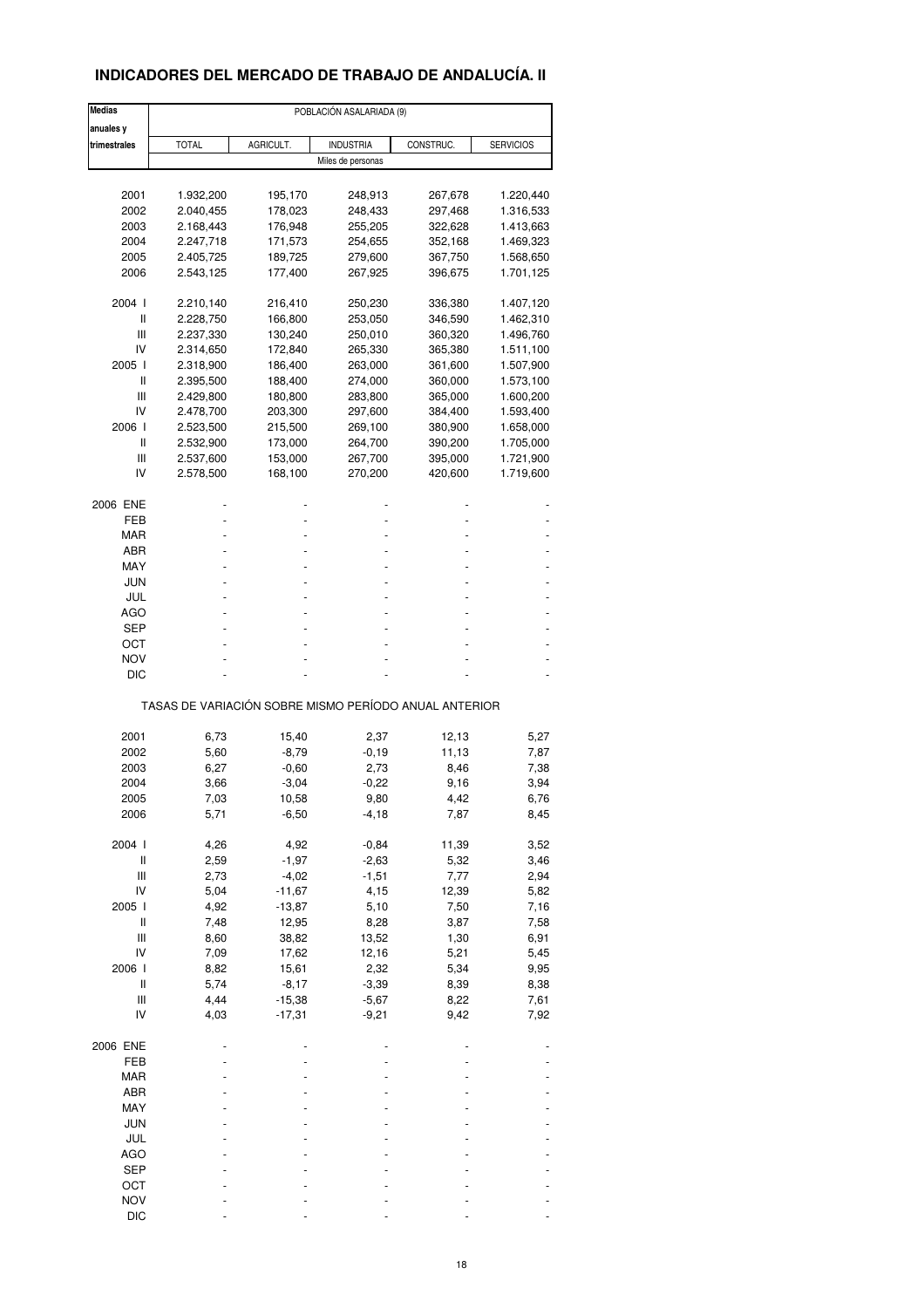## **INDICADORES DEL MERCADO DE TRABAJO DE ANDALUCÍA. II**

| <b>Medias</b>                      |                                                       |           | POBLACIÓN ASALARIADA (9) |           |                  |
|------------------------------------|-------------------------------------------------------|-----------|--------------------------|-----------|------------------|
| anuales y                          |                                                       |           |                          |           |                  |
| trimestrales                       | <b>TOTAL</b>                                          | AGRICULT. | <b>INDUSTRIA</b>         | CONSTRUC. | <b>SERVICIOS</b> |
|                                    |                                                       |           | Miles de personas        |           |                  |
|                                    |                                                       |           |                          |           |                  |
| 2001                               | 1.932,200                                             | 195,170   | 248,913                  | 267,678   | 1.220,440        |
| 2002                               | 2.040,455                                             | 178,023   | 248,433                  | 297,468   | 1.316,533        |
| 2003                               | 2.168,443                                             | 176,948   | 255,205                  | 322,628   | 1.413,663        |
| 2004                               | 2.247,718                                             | 171,573   | 254,655                  | 352,168   | 1.469,323        |
| 2005                               | 2.405,725                                             | 189,725   | 279,600                  | 367,750   | 1.568,650        |
| 2006                               | 2.543,125                                             | 177,400   | 267,925                  | 396,675   | 1.701,125        |
|                                    |                                                       |           |                          |           |                  |
| 2004 l<br>Ш                        | 2.210,140                                             | 216,410   | 250,230                  | 336,380   | 1.407,120        |
|                                    | 2.228,750                                             | 166,800   | 253,050                  | 346,590   | 1.462,310        |
| Ш                                  | 2.237,330                                             | 130,240   | 250,010                  | 360,320   | 1.496,760        |
| IV                                 | 2.314,650                                             | 172,840   | 265,330                  | 365,380   | 1.511,100        |
| 2005 l                             | 2.318,900                                             | 186,400   | 263,000                  | 361,600   | 1.507,900        |
| Ш                                  | 2.395,500                                             | 188,400   | 274,000                  | 360,000   | 1.573,100        |
| Ш                                  | 2.429,800                                             | 180,800   | 283,800                  | 365,000   | 1.600,200        |
| IV                                 | 2.478,700                                             | 203,300   | 297,600                  | 384,400   | 1.593,400        |
| 2006                               | 2.523,500                                             | 215,500   | 269,100                  | 380,900   | 1.658,000        |
| Ш                                  | 2.532,900                                             | 173,000   | 264,700                  | 390,200   | 1.705,000        |
| Ш                                  | 2.537,600                                             | 153,000   | 267,700                  | 395,000   | 1.721,900        |
| IV                                 | 2.578,500                                             | 168,100   | 270,200                  | 420,600   | 1.719,600        |
| 2006 ENE                           |                                                       |           |                          |           |                  |
| FEB                                |                                                       |           |                          |           |                  |
| MAR                                |                                                       |           |                          |           |                  |
|                                    |                                                       |           |                          |           |                  |
| ABR                                |                                                       |           |                          |           |                  |
| MAY                                |                                                       |           |                          |           |                  |
| JUN                                |                                                       |           |                          |           |                  |
| JUL                                |                                                       |           |                          |           |                  |
| AGO                                |                                                       |           |                          |           |                  |
| SEP                                |                                                       |           |                          |           |                  |
| ОСТ                                |                                                       |           |                          |           |                  |
| <b>NOV</b>                         |                                                       |           |                          |           |                  |
| DIC                                |                                                       |           |                          |           |                  |
|                                    | TASAS DE VARIACIÓN SOBRE MISMO PERÍODO ANUAL ANTERIOR |           |                          |           |                  |
| 2001                               |                                                       |           |                          |           |                  |
|                                    | 6,73                                                  | 15,40     | 2,37                     | 12,13     | 5,27             |
| 2002                               | 5,60                                                  | $-8,79$   | $-0,19$                  | 11,13     | 7,87             |
| 2003                               | 6,27                                                  | $-0,60$   | 2,73                     | 8,46      | 7,38             |
| 2004                               | 3,66                                                  | $-3,04$   | $-0,22$                  | 9,16      | 3,94             |
| 2005                               | 7,03                                                  | 10,58     | 9,80                     | 4,42      | 6,76             |
| 2006                               | 5,71                                                  | $-6,50$   | $-4,18$                  | 7,87      | 8,45             |
| 2004 l                             | 4,26                                                  | 4,92      | $-0,84$                  | 11,39     | 3,52             |
| $\sf II$                           | 2,59                                                  | $-1,97$   | $-2,63$                  | 5,32      | 3,46             |
| $\ensuremath{\mathsf{III}}\xspace$ | 2,73                                                  | $-4,02$   | $-1,51$                  | 7,77      | 2,94             |
| IV                                 | 5,04                                                  | $-11,67$  | 4,15                     | 12,39     | 5,82             |
| 2005 l                             | 4,92                                                  | $-13,87$  | 5,10                     | 7,50      | 7,16             |
| $\sf II$                           | 7,48                                                  | 12,95     | 8,28                     | 3,87      | 7,58             |
| $\ensuremath{\mathsf{III}}\xspace$ | 8,60                                                  | 38,82     | 13,52                    | 1,30      | 6,91             |
| IV                                 | 7,09                                                  | 17,62     | 12,16                    | 5,21      | 5,45             |
| 2006                               | 8,82                                                  | 15,61     | 2,32                     | 5,34      | 9,95             |
| Ш                                  | 5,74                                                  |           |                          |           |                  |
|                                    |                                                       | $-8,17$   | $-3,39$                  | 8,39      | 8,38             |
| Ш                                  | 4,44                                                  | $-15,38$  | $-5,67$                  | 8,22      | 7,61             |
| IV                                 | 4,03                                                  | $-17,31$  | $-9,21$                  | 9,42      | 7,92             |
| 2006 ENE                           |                                                       |           |                          |           |                  |
| FEB                                |                                                       |           |                          |           |                  |
| MAR                                |                                                       |           |                          |           |                  |
| ABR                                |                                                       |           |                          |           |                  |
| MAY                                |                                                       |           |                          |           |                  |
| <b>JUN</b>                         |                                                       |           |                          |           |                  |
| JUL                                |                                                       |           |                          |           |                  |
| <b>AGO</b>                         |                                                       |           |                          |           |                  |
| <b>SEP</b>                         |                                                       |           |                          |           |                  |
| OCT                                |                                                       |           |                          |           |                  |
| <b>NOV</b>                         |                                                       |           |                          |           |                  |
| <b>DIC</b>                         |                                                       |           |                          |           |                  |
|                                    |                                                       |           |                          |           |                  |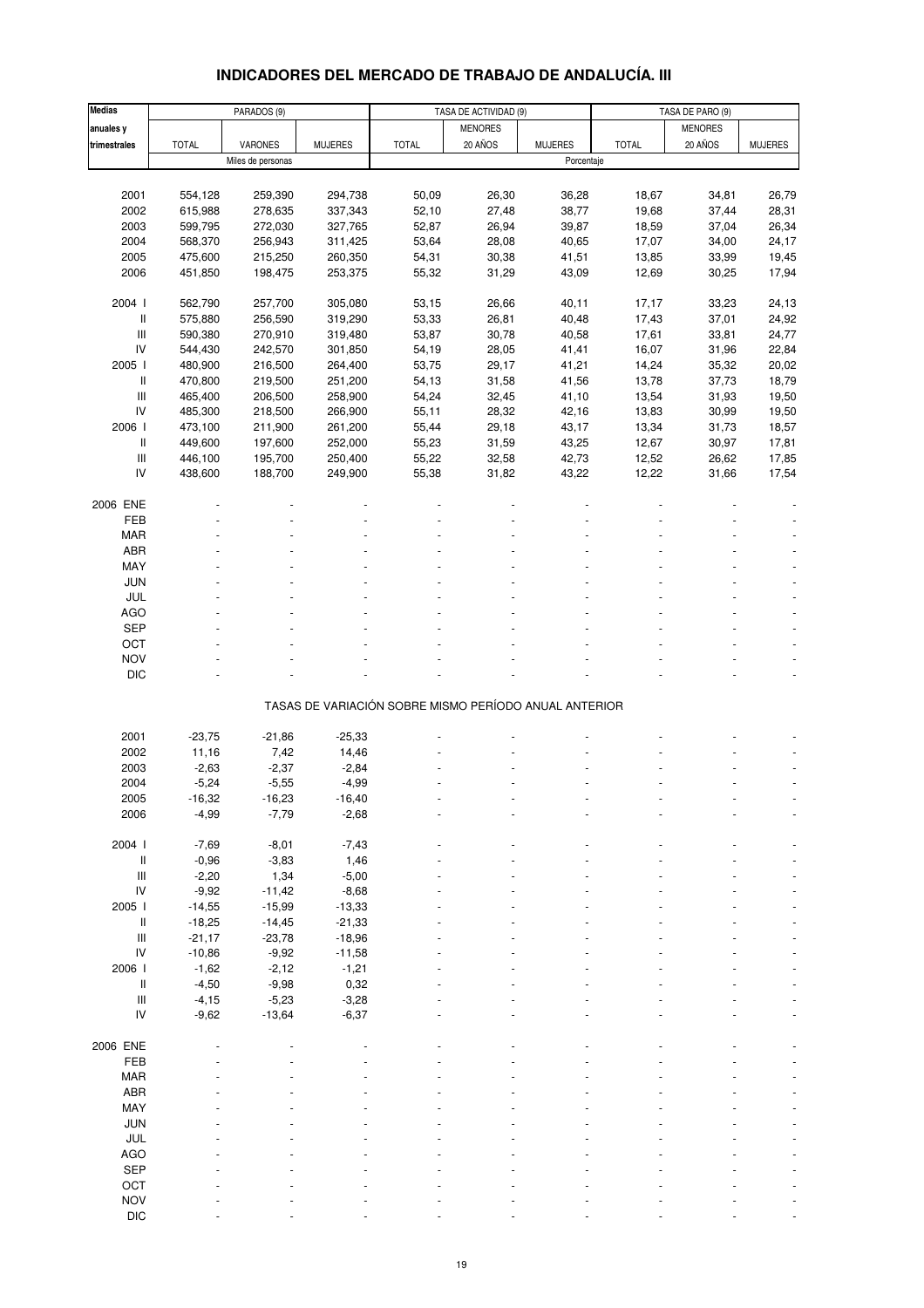# **INDICADORES DEL MERCADO DE TRABAJO DE ANDALUCÍA. III**

| <b>Medias</b>                      |              | PARADOS (9)       |                |                                                       | TASA DE ACTIVIDAD (9) |                | TASA DE PARO (9) |                |                |
|------------------------------------|--------------|-------------------|----------------|-------------------------------------------------------|-----------------------|----------------|------------------|----------------|----------------|
| anuales y                          |              |                   |                |                                                       | <b>MENORES</b>        |                |                  | <b>MENORES</b> |                |
| trimestrales                       | <b>TOTAL</b> | VARONES           | <b>MUJERES</b> | <b>TOTAL</b>                                          | 20 AÑOS               | <b>MUJERES</b> | <b>TOTAL</b>     | 20 AÑOS        | <b>MUJERES</b> |
|                                    |              | Miles de personas |                |                                                       |                       | Porcentaje     |                  |                |                |
|                                    |              |                   |                |                                                       |                       |                |                  |                |                |
| 2001                               | 554,128      | 259,390           | 294,738        | 50,09                                                 | 26,30                 | 36,28          | 18,67            | 34,81          | 26,79          |
| 2002                               | 615,988      | 278,635           | 337,343        | 52,10                                                 | 27,48                 | 38,77          | 19,68            | 37,44          | 28,31          |
| 2003                               |              |                   |                |                                                       |                       |                |                  |                |                |
|                                    | 599,795      | 272,030           | 327,765        | 52,87                                                 | 26,94                 | 39,87          | 18,59            | 37,04          | 26,34          |
| 2004                               | 568,370      | 256,943           | 311,425        | 53,64                                                 | 28,08                 | 40,65          | 17,07            | 34,00          | 24,17          |
| 2005                               | 475,600      | 215,250           | 260,350        | 54,31                                                 | 30,38                 | 41,51          | 13,85            | 33,99          | 19,45          |
| 2006                               | 451,850      | 198,475           | 253,375        | 55,32                                                 | 31,29                 | 43,09          | 12,69            | 30,25          | 17,94          |
|                                    |              |                   |                |                                                       |                       |                |                  |                |                |
| 2004 l                             | 562,790      | 257,700           | 305,080        | 53,15                                                 | 26,66                 | 40,11          | 17,17            | 33,23          | 24,13          |
| $\mathbf{II}$                      | 575,880      | 256,590           | 319,290        | 53,33                                                 | 26,81                 | 40,48          | 17,43            | 37,01          | 24,92          |
| $\ensuremath{\mathsf{III}}\xspace$ | 590,380      | 270,910           | 319,480        | 53,87                                                 | 30,78                 | 40,58          | 17,61            | 33,81          | 24,77          |
| IV                                 | 544,430      | 242,570           | 301,850        | 54,19                                                 | 28,05                 | 41,41          | 16,07            | 31,96          | 22,84          |
| 2005 l                             | 480,900      | 216,500           | 264,400        | 53,75                                                 | 29,17                 | 41,21          | 14,24            | 35,32          | 20,02          |
| Ш                                  | 470,800      | 219,500           | 251,200        | 54,13                                                 | 31,58                 | 41,56          | 13,78            | 37,73          | 18,79          |
| $\ensuremath{\mathsf{III}}\xspace$ | 465,400      | 206,500           | 258,900        | 54,24                                                 | 32,45                 | 41,10          | 13,54            | 31,93          | 19,50          |
| IV                                 | 485,300      | 218,500           | 266,900        | 55,11                                                 | 28,32                 | 42,16          | 13,83            | 30,99          | 19,50          |
| 2006                               | 473,100      | 211,900           | 261,200        | 55,44                                                 | 29,18                 | 43,17          | 13,34            | 31,73          | 18,57          |
| II                                 | 449,600      | 197,600           | 252,000        | 55,23                                                 | 31,59                 | 43,25          | 12,67            | 30,97          | 17,81          |
| $\ensuremath{\mathsf{III}}\xspace$ | 446,100      | 195,700           | 250,400        | 55,22                                                 | 32,58                 | 42,73          | 12,52            | 26,62          | 17,85          |
| IV                                 | 438,600      | 188,700           | 249,900        | 55,38                                                 | 31,82                 | 43,22          | 12,22            | 31,66          | 17,54          |
|                                    |              |                   |                |                                                       |                       |                |                  |                |                |
| 2006 ENE                           |              |                   |                |                                                       |                       |                |                  |                |                |
| FEB                                |              |                   |                |                                                       |                       |                |                  |                |                |
| <b>MAR</b>                         |              |                   |                |                                                       |                       |                |                  |                |                |
| ABR                                |              |                   |                |                                                       |                       |                |                  |                |                |
| MAY                                |              |                   |                |                                                       |                       |                |                  |                |                |
| <b>JUN</b>                         |              |                   |                |                                                       |                       |                |                  |                |                |
| JUL                                |              |                   |                |                                                       |                       |                |                  |                |                |
| <b>AGO</b>                         |              |                   |                |                                                       |                       |                |                  |                |                |
| <b>SEP</b>                         |              |                   |                |                                                       |                       |                |                  |                |                |
|                                    |              |                   |                |                                                       |                       |                |                  |                |                |
| OCT                                |              |                   |                |                                                       |                       |                |                  |                |                |
| <b>NOV</b>                         |              |                   |                |                                                       |                       |                |                  |                |                |
| <b>DIC</b>                         |              |                   |                |                                                       |                       |                |                  |                |                |
|                                    |              |                   |                | TASAS DE VARIACIÓN SOBRE MISMO PERÍODO ANUAL ANTERIOR |                       |                |                  |                |                |
|                                    |              |                   |                |                                                       |                       |                |                  |                |                |
| 2001                               | $-23,75$     | $-21,86$          | $-25.33$       |                                                       |                       |                |                  |                |                |
| 2002                               | 11,16        | 7,42              | 14,46          |                                                       |                       |                |                  |                |                |
| 2003                               | $-2,63$      | $-2,37$           | $-2,84$        |                                                       |                       |                |                  |                |                |
| 2004                               | $-5,24$      | $-5,55$           | $-4,99$        |                                                       |                       |                |                  |                |                |
| 2005                               | -16,32       | -16,23            | -16,40         |                                                       |                       |                |                  |                |                |
| 2006                               | $-4,99$      | $-7,79$           | $-2,68$        |                                                       |                       |                |                  |                |                |
|                                    |              |                   |                |                                                       |                       |                |                  |                |                |
| 2004 l                             | $-7,69$      | $-8,01$           | $-7,43$        |                                                       |                       |                |                  |                |                |
| Ш                                  | $-0,96$      | $-3,83$           | 1,46           |                                                       |                       |                |                  |                |                |
| $\ensuremath{\mathsf{III}}\xspace$ | $-2,20$      | 1,34              | $-5,00$        |                                                       |                       |                |                  |                |                |
| ${\sf IV}$                         | $-9,92$      | $-11,42$          | $-8,68$        |                                                       |                       |                |                  |                |                |
| 2005 l                             | $-14,55$     | $-15,99$          | $-13,33$       |                                                       |                       |                |                  |                |                |
| II                                 | $-18,25$     | $-14,45$          | $-21,33$       |                                                       |                       |                |                  |                |                |
| $\ensuremath{\mathsf{III}}\xspace$ | $-21,17$     | $-23,78$          | $-18,96$       |                                                       |                       |                |                  |                |                |
| IV                                 | $-10,86$     | $-9,92$           | $-11,58$       |                                                       |                       |                |                  |                |                |
| 2006                               | $-1,62$      | $-2,12$           | $-1,21$        |                                                       |                       |                |                  |                |                |
| $\, \parallel$                     | $-4,50$      | $-9,98$           | 0,32           |                                                       |                       |                |                  |                |                |
| $\ensuremath{\mathsf{III}}\xspace$ | $-4,15$      | $-5,23$           | $-3,28$        |                                                       |                       |                |                  |                |                |
| IV                                 | $-9,62$      | $-13,64$          | $-6,37$        |                                                       |                       |                |                  |                |                |
|                                    |              |                   |                |                                                       |                       |                |                  |                |                |
| 2006 ENE                           |              |                   |                |                                                       |                       |                |                  |                |                |
| FEB                                |              |                   |                |                                                       |                       |                |                  |                |                |
| <b>MAR</b>                         |              |                   |                |                                                       |                       |                |                  |                |                |
| ABR                                |              |                   |                |                                                       |                       |                |                  |                |                |
|                                    |              |                   |                |                                                       |                       |                |                  |                |                |
| MAY                                |              |                   |                |                                                       |                       |                |                  |                |                |
| JUN                                |              |                   |                |                                                       |                       |                |                  |                |                |
| JUL                                |              |                   |                |                                                       |                       |                |                  |                |                |
| <b>AGO</b>                         |              |                   |                |                                                       |                       |                |                  |                |                |
| SEP                                |              |                   |                |                                                       |                       |                |                  |                |                |
| OCT                                |              |                   |                |                                                       |                       |                |                  |                |                |
| <b>NOV</b>                         |              |                   |                |                                                       |                       |                |                  |                |                |
| <b>DIC</b>                         |              |                   |                |                                                       |                       |                |                  |                |                |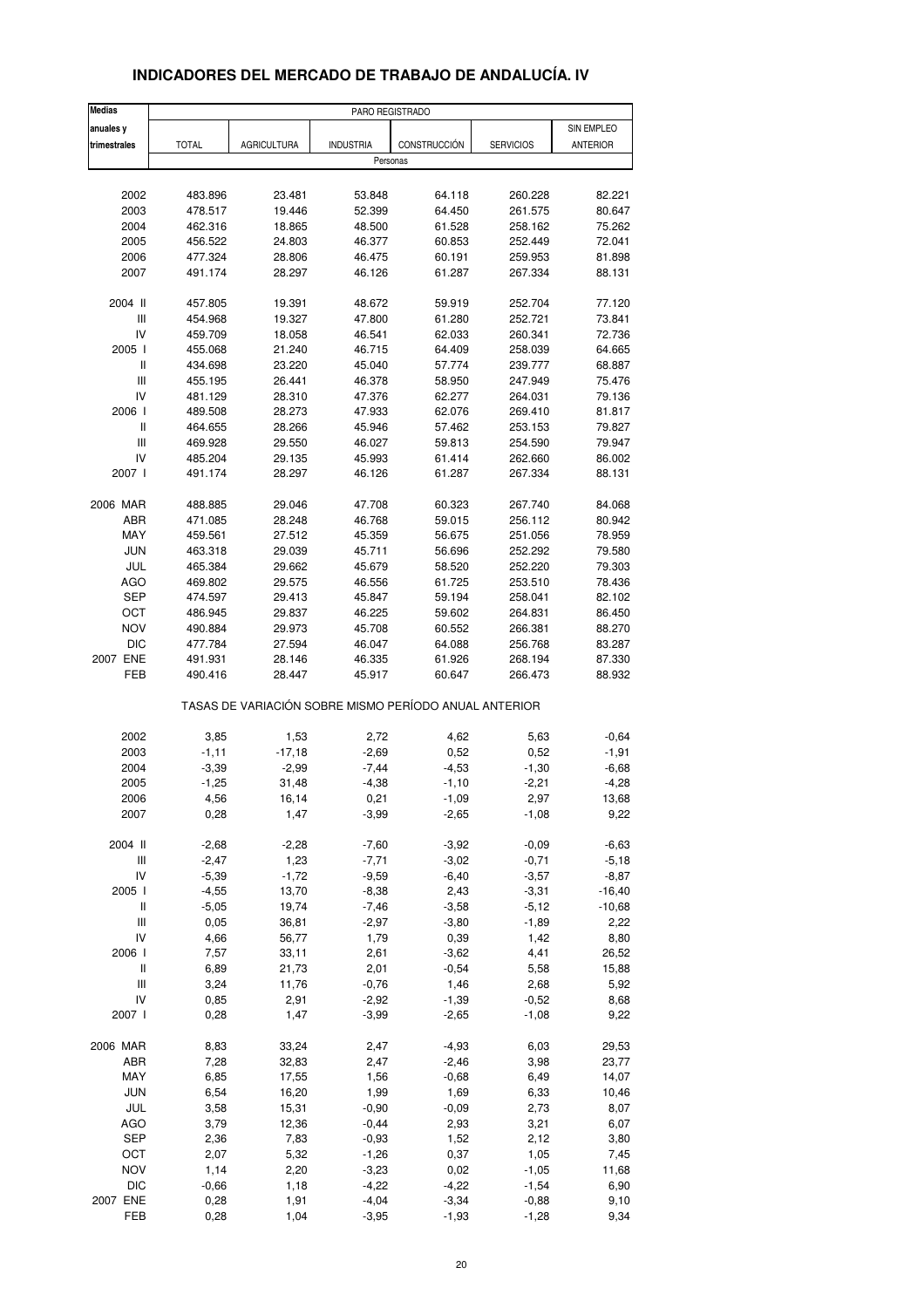| <b>Medias</b>                      |              |                    |                    | PARO REGISTRADO                                       |                    |                 |
|------------------------------------|--------------|--------------------|--------------------|-------------------------------------------------------|--------------------|-----------------|
| anuales y                          |              |                    |                    |                                                       |                    | SIN EMPLEO      |
| trimestrales                       | <b>TOTAL</b> | <b>AGRICULTURA</b> | <b>INDUSTRIA</b>   | CONSTRUCCIÓN                                          | <b>SERVICIOS</b>   | <b>ANTERIOR</b> |
|                                    |              |                    |                    | Personas                                              |                    |                 |
|                                    |              |                    |                    |                                                       |                    |                 |
| 2002                               | 483.896      | 23.481             | 53.848             | 64.118                                                | 260.228            | 82.221          |
| 2003                               | 478.517      | 19.446             | 52.399             | 64.450                                                | 261.575            | 80.647          |
| 2004                               | 462.316      | 18.865             | 48.500             | 61.528                                                | 258.162            | 75.262          |
| 2005                               | 456.522      | 24.803             | 46.377             | 60.853                                                | 252.449            | 72.041          |
| 2006                               | 477.324      | 28.806             | 46.475             | 60.191                                                | 259.953            | 81.898          |
| 2007                               | 491.174      | 28.297             | 46.126             | 61.287                                                | 267.334            | 88.131          |
| 2004 II                            | 457.805      | 19.391             | 48.672             | 59.919                                                | 252.704            | 77.120          |
| Ш                                  | 454.968      | 19.327             | 47.800             | 61.280                                                | 252.721            | 73.841          |
| IV                                 | 459.709      | 18.058             | 46.541             | 62.033                                                | 260.341            | 72.736          |
| 2005 l                             | 455.068      | 21.240             | 46.715             | 64.409                                                | 258.039            | 64.665          |
| Ш                                  | 434.698      | 23.220             | 45.040             | 57.774                                                | 239.777            | 68.887          |
| Ш                                  | 455.195      | 26.441             | 46.378             | 58.950                                                | 247.949            | 75.476          |
| IV                                 | 481.129      | 28.310             | 47.376             | 62.277                                                | 264.031            | 79.136          |
| 2006 l                             | 489.508      | 28.273             | 47.933             | 62.076                                                | 269.410            | 81.817          |
| Ш                                  | 464.655      | 28.266             | 45.946             | 57.462                                                | 253.153            | 79.827          |
| $\ensuremath{\mathsf{III}}\xspace$ | 469.928      | 29.550             | 46.027             | 59.813                                                | 254.590            | 79.947          |
| IV                                 | 485.204      | 29.135             | 45.993             | 61.414                                                | 262.660            | 86.002          |
| 2007 l                             | 491.174      | 28.297             | 46.126             | 61.287                                                | 267.334            | 88.131          |
| 2006 MAR                           | 488.885      | 29.046             | 47.708             | 60.323                                                | 267.740            | 84.068          |
| ABR                                | 471.085      | 28.248             | 46.768             | 59.015                                                | 256.112            | 80.942          |
| MAY                                | 459.561      | 27.512             | 45.359             | 56.675                                                | 251.056            | 78.959          |
| <b>JUN</b>                         | 463.318      | 29.039             | 45.711             | 56.696                                                | 252.292            | 79.580          |
| JUL                                | 465.384      | 29.662             | 45.679             | 58.520                                                | 252.220            | 79.303          |
| <b>AGO</b>                         |              |                    |                    |                                                       |                    | 78.436          |
| <b>SEP</b>                         | 469.802      | 29.575             | 46.556             | 61.725                                                | 253.510            |                 |
|                                    | 474.597      | 29.413             | 45.847             | 59.194                                                | 258.041            | 82.102          |
| OCT                                | 486.945      | 29.837             | 46.225             | 59.602                                                | 264.831            | 86.450          |
| <b>NOV</b>                         | 490.884      | 29.973             | 45.708             | 60.552                                                | 266.381            | 88.270          |
| <b>DIC</b>                         | 477.784      | 27.594             | 46.047             | 64.088                                                | 256.768            | 83.287          |
| 2007 ENE                           | 491.931      | 28.146             | 46.335             | 61.926                                                | 268.194            | 87.330          |
| FEB                                | 490.416      | 28.447             | 45.917             | 60.647                                                | 266.473            | 88.932          |
|                                    |              |                    |                    | TASAS DE VARIACIÓN SOBRE MISMO PERÍODO ANUAL ANTERIOR |                    |                 |
| 2002                               | 3,85         | 1,53               | 2,72               | 4,62                                                  | 5,63               | $-0,64$         |
| 2003                               | $-1,11$      | $-17,18$           | $-2,69$            | 0,52                                                  | 0,52               | $-1,91$         |
| 2004                               | $-3,39$      | $-2,99$            | $-7,44$            | $-4,53$                                               | $-1,30$            | $-6,68$         |
| 2005                               | $-1,25$      | 31,48              | $-4,38$            | $-1,10$                                               | $-2,21$            | $-4,28$         |
| 2006                               | 4,56         | 16,14              | 0,21               | -1,09                                                 | 2,97               | 13,68           |
| 2007                               | 0,28         | 1,47               | $-3,99$            | $-2,65$                                               | $-1,08$            | 9,22            |
| 2004 II                            | $-2,68$      | $-2,28$            | $-7,60$            | $-3,92$                                               | $-0,09$            | $-6,63$         |
| $\ensuremath{\mathsf{III}}\xspace$ | $-2,47$      | 1,23               | $-7,71$            | $-3,02$                                               | $-0,71$            | $-5,18$         |
| IV                                 | $-5,39$      | $-1,72$            | $-9,59$            | $-6,40$                                               | $-3,57$            | $-8,87$         |
| 2005 l                             | $-4,55$      | 13,70              | $-8,38$            | 2,43                                                  | $-3,31$            | $-16,40$        |
| Ш                                  | $-5,05$      | 19,74              | $-7,46$            | $-3,58$                                               | $-5,12$            | $-10,68$        |
|                                    |              |                    |                    |                                                       |                    |                 |
| Ш<br>IV                            | 0,05<br>4,66 | 36,81              | $-2,97$<br>1,79    | $-3,80$                                               | $-1,89$<br>1,42    | 2,22            |
|                                    |              | 56,77              |                    | 0,39                                                  |                    | 8,80            |
| 2006 l                             | 7,57         | 33,11              | 2,61               | $-3,62$                                               | 4,41               | 26,52           |
| $\sf II$                           | 6,89         | 21,73              | 2,01               | $-0,54$                                               | 5,58               | 15,88           |
| $\ensuremath{\mathsf{III}}\xspace$ | 3,24         | 11,76              | $-0,76$            | 1,46                                                  | 2,68               | 5,92            |
| IV<br>2007 l                       | 0,85<br>0,28 | 2,91<br>1,47       | $-2,92$<br>$-3,99$ | $-1,39$<br>$-2,65$                                    | $-0,52$<br>$-1,08$ | 8,68<br>9,22    |
|                                    |              |                    |                    |                                                       |                    |                 |
| 2006 MAR                           | 8,83         | 33,24              | 2,47               | $-4,93$                                               | 6,03               | 29,53           |
| ABR                                | 7,28         | 32,83              | 2,47               | $-2,46$                                               | 3,98               | 23,77           |
| MAY                                | 6,85         | 17,55              | 1,56               | $-0,68$                                               | 6,49               | 14,07           |
| <b>JUN</b>                         | 6,54         | 16,20              | 1,99               | 1,69                                                  | 6,33               | 10,46           |
| JUL                                | 3,58         | 15,31              | $-0,90$            | $-0,09$                                               | 2,73               | 8,07            |
| <b>AGO</b>                         | 3,79         | 12,36              | $-0,44$            | 2,93                                                  | 3,21               | 6,07            |
| SEP                                | 2,36         | 7,83               | $-0,93$            | 1,52                                                  | 2,12               | 3,80            |
| OCT                                | 2,07         | 5,32               | $-1,26$            | 0,37                                                  | 1,05               | 7,45            |
| <b>NOV</b>                         | 1,14         | 2,20               | $-3,23$            | 0,02                                                  | $-1,05$            | 11,68           |
| <b>DIC</b>                         | $-0,66$      | 1,18               | $-4,22$            | $-4,22$                                               | $-1,54$            | 6,90            |
| 2007 ENE                           | 0,28         | 1,91               | $-4,04$            | $-3,34$                                               | $-0,88$            | 9,10            |

#### **INDICADORES DEL MERCADO DE TRABAJO DE ANDALUCÍA. IV**

FEB 0,28 1,04 -3,95 -1,93 -1,28 9,34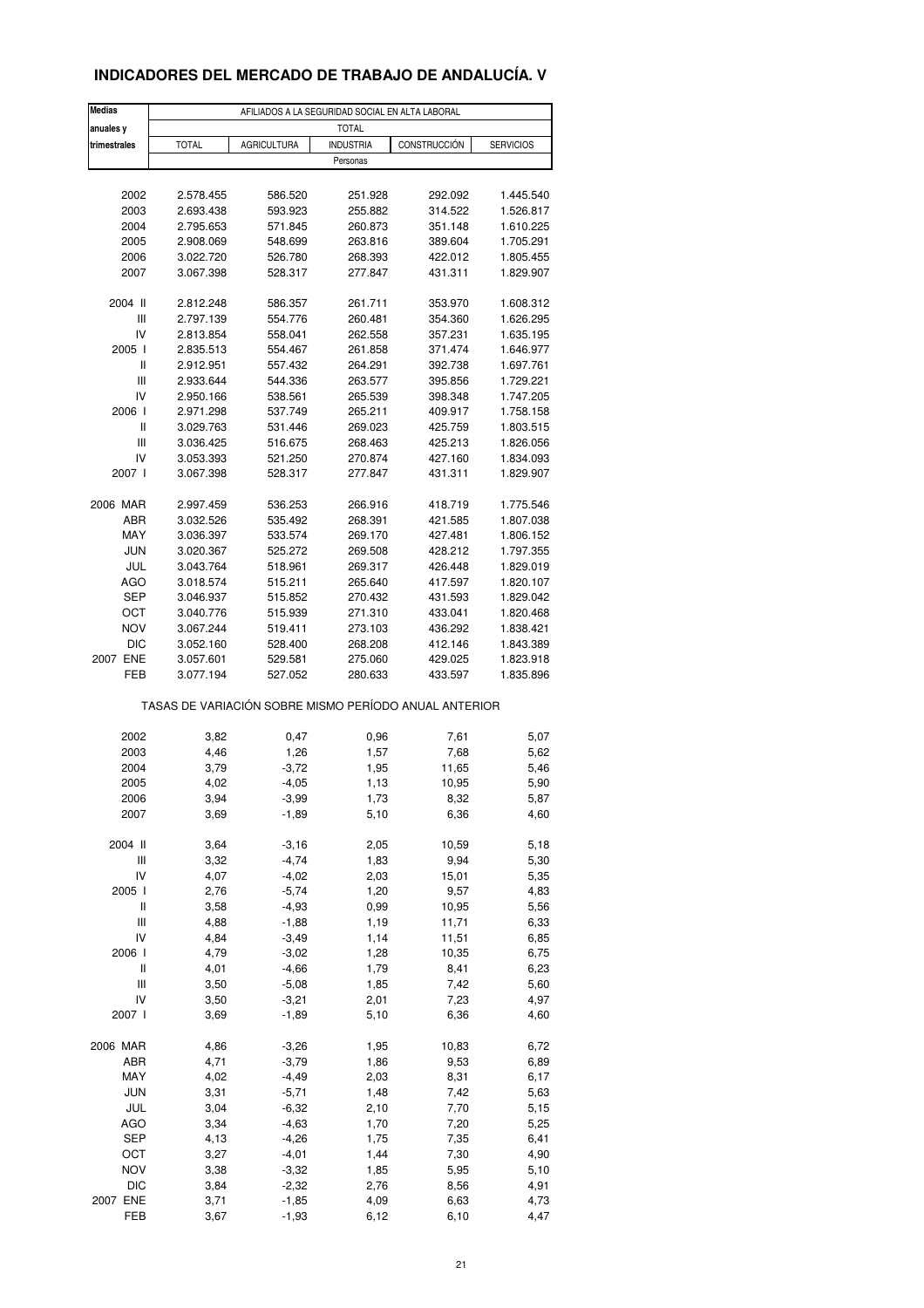### **INDICADORES DEL MERCADO DE TRABAJO DE ANDALUCÍA. V**

| Medias         | AFILIADOS A LA SEGURIDAD SOCIAL EN ALTA LABORAL       |                    |                  |              |                  |  |  |  |
|----------------|-------------------------------------------------------|--------------------|------------------|--------------|------------------|--|--|--|
| anuales y      |                                                       |                    | <b>TOTAL</b>     |              |                  |  |  |  |
| trimestrales   | <b>TOTAL</b>                                          | <b>AGRICULTURA</b> | <b>INDUSTRIA</b> | CONSTRUCCIÓN | <b>SERVICIOS</b> |  |  |  |
|                |                                                       |                    | Personas         |              |                  |  |  |  |
| 2002           | 2.578.455                                             | 586.520            | 251.928          | 292.092      | 1.445.540        |  |  |  |
| 2003           | 2.693.438                                             | 593.923            | 255.882          | 314.522      | 1.526.817        |  |  |  |
| 2004           | 2.795.653                                             | 571.845            | 260.873          | 351.148      | 1.610.225        |  |  |  |
| 2005           | 2.908.069                                             | 548.699            | 263.816          | 389.604      | 1.705.291        |  |  |  |
| 2006           | 3.022.720                                             | 526.780            | 268.393          | 422.012      | 1.805.455        |  |  |  |
| 2007           | 3.067.398                                             | 528.317            | 277.847          | 431.311      | 1.829.907        |  |  |  |
|                |                                                       |                    |                  |              |                  |  |  |  |
| 2004 II        | 2.812.248                                             | 586.357            | 261.711          | 353.970      | 1.608.312        |  |  |  |
| Ш              | 2.797.139                                             | 554.776            | 260.481          | 354.360      | 1.626.295        |  |  |  |
| IV             | 2.813.854                                             | 558.041            | 262.558          | 357.231      | 1.635.195        |  |  |  |
| 2005 l         | 2.835.513                                             | 554.467            | 261.858          | 371.474      | 1.646.977        |  |  |  |
| Ш              | 2.912.951                                             | 557.432            | 264.291          | 392.738      | 1.697.761        |  |  |  |
| $\mathsf{III}$ | 2.933.644                                             | 544.336            | 263.577          | 395.856      | 1.729.221        |  |  |  |
| IV             | 2.950.166                                             | 538.561            | 265.539          | 398.348      | 1.747.205        |  |  |  |
| 2006           | 2.971.298                                             | 537.749            | 265.211          | 409.917      | 1.758.158        |  |  |  |
| $\mathsf{I}$   | 3.029.763                                             | 531.446            | 269.023          | 425.759      | 1.803.515        |  |  |  |
| Ш              | 3.036.425                                             | 516.675            | 268.463          | 425.213      | 1.826.056        |  |  |  |
| IV             | 3.053.393                                             | 521.250            | 270.874          | 427.160      | 1.834.093        |  |  |  |
| 2007 l         | 3.067.398                                             | 528.317            | 277.847          | 431.311      | 1.829.907        |  |  |  |
|                |                                                       |                    |                  |              |                  |  |  |  |
| 2006 MAR       | 2.997.459                                             | 536.253            | 266.916          | 418.719      | 1.775.546        |  |  |  |
| ABR            | 3.032.526                                             | 535.492            | 268.391          | 421.585      | 1.807.038        |  |  |  |
| MAY            | 3.036.397                                             | 533.574            | 269.170          | 427.481      | 1.806.152        |  |  |  |
| <b>JUN</b>     | 3.020.367                                             | 525.272            | 269.508          | 428.212      | 1.797.355        |  |  |  |
| JUL            | 3.043.764                                             | 518.961            | 269.317          | 426.448      | 1.829.019        |  |  |  |
| AGO            | 3.018.574                                             | 515.211            | 265.640          | 417.597      | 1.820.107        |  |  |  |
| <b>SEP</b>     | 3.046.937                                             | 515.852            | 270.432          | 431.593      | 1.829.042        |  |  |  |
| OCT            | 3.040.776                                             | 515.939            | 271.310          | 433.041      | 1.820.468        |  |  |  |
| <b>NOV</b>     | 3.067.244                                             | 519.411            | 273.103          | 436.292      | 1.838.421        |  |  |  |
| <b>DIC</b>     | 3.052.160                                             | 528.400            | 268.208          | 412.146      | 1.843.389        |  |  |  |
| 2007 ENE       | 3.057.601                                             | 529.581            | 275.060          | 429.025      | 1.823.918        |  |  |  |
| FEB            | 3.077.194                                             | 527.052            | 280.633          | 433.597      | 1.835.896        |  |  |  |
|                | TASAS DE VARIACIÓN SOBRE MISMO PERÍODO ANUAL ANTERIOR |                    |                  |              |                  |  |  |  |
| 2002           |                                                       |                    |                  |              |                  |  |  |  |
|                | 3,82                                                  | 0,47               | 0,96             | 7,61         | 5,07             |  |  |  |
| 2003           | 4,46                                                  | 1,26               | 1,57             | 7,68         | 5,62             |  |  |  |
| 2004           | 3,79                                                  | $-3,72$            | 1,95             | 11,65        | 5,46             |  |  |  |
| 2005           | 4,02                                                  | $-4,05$            | 1,13             | 10,95        | 5,90             |  |  |  |
| 2006           | 3,94                                                  | $-3,99$            | 1,73             | 8,32         | 5,87             |  |  |  |
| 2007           | 3,69                                                  | $-1,89$            | 5,10             | 6,36         | 4,60             |  |  |  |
| 2004 II        | 3,64                                                  | $-3,16$            | 2,05             | 10,59        | 5,18             |  |  |  |
| Ш              | 3,32                                                  | $-4,74$            | 1,83             | 9,94         | 5,30             |  |  |  |
| IV             | 4,07                                                  | $-4,02$            | 2,03             | 15,01        | 5,35             |  |  |  |
| 2005 l         | 2,76                                                  | $-5,74$            | 1,20             | 9,57         | 4,83             |  |  |  |
| Ш              | 3,58                                                  | $-4,93$            | 0,99             | 10,95        | 5,56             |  |  |  |
| Ш              | 4,88                                                  | $-1,88$            | 1,19             | 11,71        | 6,33             |  |  |  |
| IV             | 4,84                                                  | $-3,49$            | 1,14             | 11,51        | 6,85             |  |  |  |
| 2006           | 4,79                                                  | $-3,02$            | 1,28             | 10,35        | 6,75             |  |  |  |
|                |                                                       |                    |                  |              |                  |  |  |  |
| Ш              | 4,01                                                  | $-4,66$            | 1,79             | 8,41         | 6,23             |  |  |  |
| Ш              | 3,50                                                  | $-5,08$            | 1,85             | 7,42         | 5,60             |  |  |  |
| IV             | 3,50                                                  | $-3,21$            | 2,01             | 7,23         | 4,97             |  |  |  |
| 2007 l         | 3,69                                                  | $-1,89$            | 5,10             | 6,36         | 4,60             |  |  |  |
| 2006 MAR       | 4,86                                                  | $-3,26$            | 1,95             | 10,83        | 6,72             |  |  |  |
| ABR            | 4,71                                                  | $-3,79$            | 1,86             | 9,53         | 6,89             |  |  |  |
| MAY            | 4,02                                                  | $-4,49$            | 2,03             | 8,31         | 6,17             |  |  |  |
| <b>JUN</b>     | 3,31                                                  | $-5,71$            | 1,48             | 7,42         | 5,63             |  |  |  |
| JUL            | 3,04                                                  | $-6,32$            | 2,10             | 7,70         | 5,15             |  |  |  |
| AGO            | 3,34                                                  | $-4,63$            | 1,70             | 7,20         | 5,25             |  |  |  |
| SEP            | 4,13                                                  | $-4,26$            | 1,75             | 7,35         | 6,41             |  |  |  |
|                |                                                       |                    |                  |              |                  |  |  |  |
| OCT            | 3,27                                                  | $-4,01$            | 1,44             | 7,30         | 4,90             |  |  |  |
| <b>NOV</b>     | 3,38                                                  | $-3,32$            | 1,85             | 5,95         | 5,10             |  |  |  |
| <b>DIC</b>     | 3,84                                                  | $-2,32$            | 2,76             | 8,56         | 4,91             |  |  |  |
| 2007 ENE       | 3,71                                                  | $-1,85$            | 4,09             | 6,63         | 4,73             |  |  |  |
| FEB            | 3,67                                                  | $-1,93$            | 6,12             | 6,10         | 4,47             |  |  |  |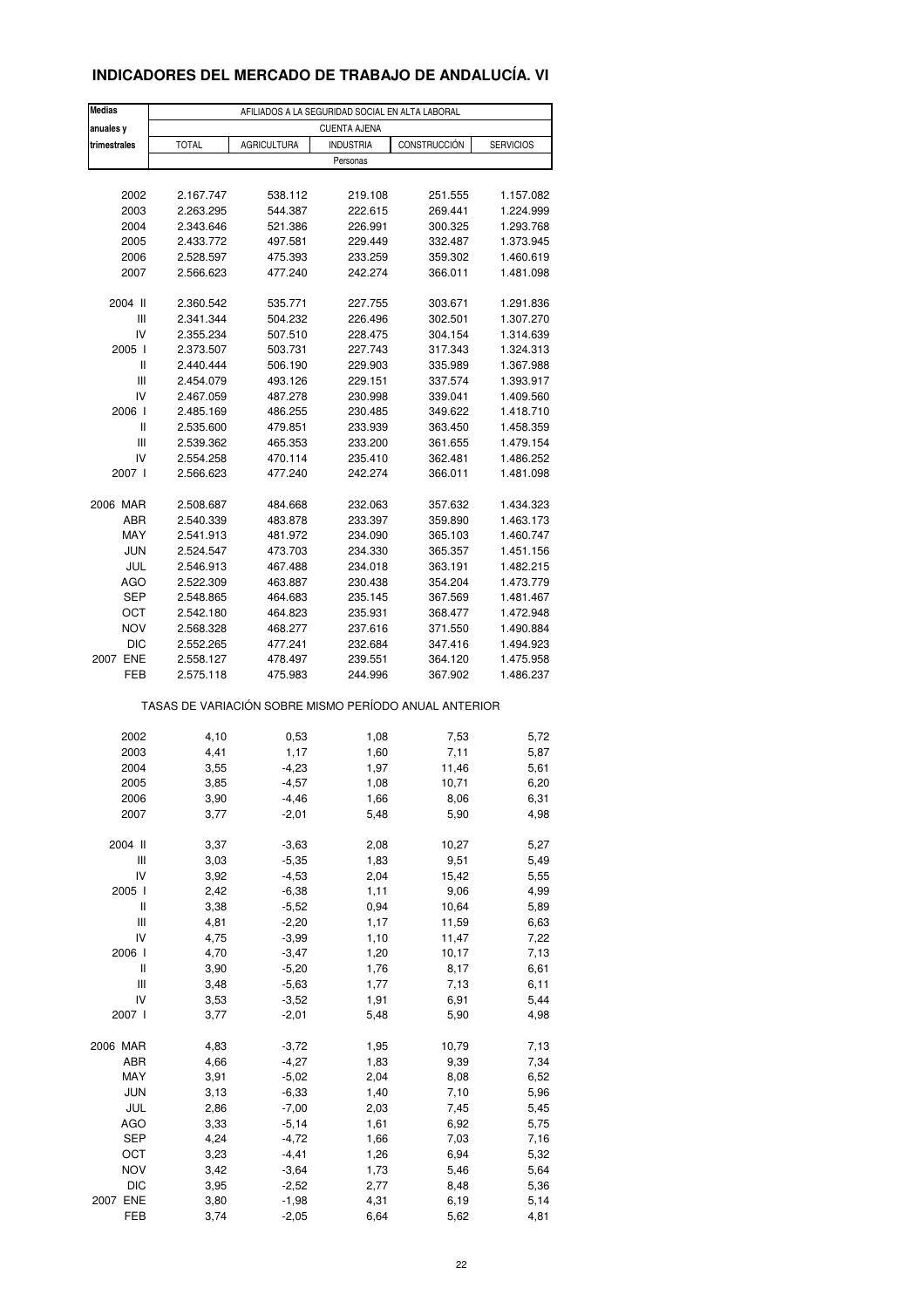### **INDICADORES DEL MERCADO DE TRABAJO DE ANDALUCÍA. VI**

| Medias         | AFILIADOS A LA SEGURIDAD SOCIAL EN ALTA LABORAL       |                    |                     |              |                  |  |  |  |  |
|----------------|-------------------------------------------------------|--------------------|---------------------|--------------|------------------|--|--|--|--|
| anuales y      |                                                       |                    | <b>CUENTA AJENA</b> |              |                  |  |  |  |  |
| trimestrales   | <b>TOTAL</b>                                          | <b>AGRICULTURA</b> | <b>INDUSTRIA</b>    | CONSTRUCCIÓN | <b>SERVICIOS</b> |  |  |  |  |
|                |                                                       |                    | Personas            |              |                  |  |  |  |  |
|                |                                                       |                    |                     |              |                  |  |  |  |  |
| 2002           | 2.167.747                                             | 538.112            | 219.108             | 251.555      | 1.157.082        |  |  |  |  |
| 2003           | 2.263.295                                             | 544.387            | 222.615             | 269.441      | 1.224.999        |  |  |  |  |
| 2004           | 2.343.646                                             | 521.386            | 226.991             | 300.325      | 1.293.768        |  |  |  |  |
| 2005           | 2.433.772                                             | 497.581            | 229.449             | 332.487      | 1.373.945        |  |  |  |  |
| 2006           | 2.528.597                                             | 475.393            | 233.259<br>242.274  | 359.302      | 1.460.619        |  |  |  |  |
| 2007           | 2.566.623                                             | 477.240            |                     | 366.011      | 1.481.098        |  |  |  |  |
| 2004 II        | 2.360.542                                             | 535.771            | 227.755             | 303.671      | 1.291.836        |  |  |  |  |
| Ш              | 2.341.344                                             | 504.232            | 226.496             | 302.501      | 1.307.270        |  |  |  |  |
| IV             | 2.355.234                                             | 507.510            | 228.475             | 304.154      | 1.314.639        |  |  |  |  |
| 2005 l         | 2.373.507                                             | 503.731            | 227.743             | 317.343      | 1.324.313        |  |  |  |  |
| $\mathsf{I}$   | 2.440.444                                             | 506.190            | 229.903             | 335.989      | 1.367.988        |  |  |  |  |
| $\mathbf{III}$ | 2.454.079                                             | 493.126            | 229.151             | 337.574      | 1.393.917        |  |  |  |  |
| IV             | 2.467.059                                             | 487.278            | 230.998             | 339.041      | 1.409.560        |  |  |  |  |
| 2006 l         | 2.485.169                                             | 486.255            | 230.485             | 349.622      | 1.418.710        |  |  |  |  |
| $\mathsf{I}$   | 2.535.600                                             | 479.851            | 233.939             | 363.450      | 1.458.359        |  |  |  |  |
| Ш              | 2.539.362                                             | 465.353            | 233.200             | 361.655      | 1.479.154        |  |  |  |  |
| IV             | 2.554.258                                             | 470.114            | 235.410             | 362.481      | 1.486.252        |  |  |  |  |
| 2007 l         | 2.566.623                                             | 477.240            | 242.274             | 366.011      | 1.481.098        |  |  |  |  |
|                |                                                       |                    |                     |              |                  |  |  |  |  |
| 2006 MAR       | 2.508.687                                             | 484.668            | 232.063             | 357.632      | 1.434.323        |  |  |  |  |
| <b>ABR</b>     | 2.540.339                                             | 483.878            | 233.397             | 359.890      | 1.463.173        |  |  |  |  |
| MAY            | 2.541.913                                             | 481.972            | 234.090             | 365.103      | 1.460.747        |  |  |  |  |
| <b>JUN</b>     | 2.524.547                                             | 473.703            | 234.330             | 365.357      | 1.451.156        |  |  |  |  |
| JUL            | 2.546.913                                             | 467.488            | 234.018             | 363.191      | 1.482.215        |  |  |  |  |
| AGO            | 2.522.309                                             | 463.887            | 230.438             | 354.204      | 1.473.779        |  |  |  |  |
| <b>SEP</b>     | 2.548.865                                             | 464.683            | 235.145             | 367.569      | 1.481.467        |  |  |  |  |
| OCT            | 2.542.180                                             | 464.823            | 235.931             | 368.477      | 1.472.948        |  |  |  |  |
| <b>NOV</b>     | 2.568.328                                             | 468.277            | 237.616             | 371.550      | 1.490.884        |  |  |  |  |
| <b>DIC</b>     | 2.552.265                                             | 477.241            | 232.684             | 347.416      | 1.494.923        |  |  |  |  |
| 2007 ENE       | 2.558.127                                             | 478.497            | 239.551             | 364.120      | 1.475.958        |  |  |  |  |
| FEB            | 2.575.118                                             | 475.983            | 244.996             | 367.902      | 1.486.237        |  |  |  |  |
|                | TASAS DE VARIACIÓN SOBRE MISMO PERÍODO ANUAL ANTERIOR |                    |                     |              |                  |  |  |  |  |
| 2002           | 4,10                                                  | 0,53               | 1,08                | 7,53         | 5,72             |  |  |  |  |
| 2003           | 4,41                                                  | 1,17               | 1,60                | 7,11         | 5,87             |  |  |  |  |
| 2004           | 3,55                                                  | $-4,23$            | 1,97                | 11,46        | 5,61             |  |  |  |  |
| 2005           | 3,85                                                  | $-4,57$            | 1,08                | 10,71        | 6,20             |  |  |  |  |
| 2006           | 3,90                                                  | $-4,46$            | 1,66                | 8,06         | 6,31             |  |  |  |  |
| 2007           | 3,77                                                  | $-2,01$            | 5,48                | 5,90         | 4,98             |  |  |  |  |
|                |                                                       |                    |                     |              |                  |  |  |  |  |
| 2004 II        | 3,37                                                  | $-3,63$            | 2,08                | 10,27        | 5,27             |  |  |  |  |
| Ш              | 3,03                                                  | $-5,35$            | 1,83                | 9,51         | 5,49             |  |  |  |  |
| IV             | 3,92                                                  | $-4,53$            | 2,04                | 15,42        | 5,55             |  |  |  |  |
| 2005 l         | 2,42                                                  | $-6,38$            | 1,11                | 9,06         | 4,99             |  |  |  |  |
| Ш              | 3,38                                                  | $-5,52$            | 0,94                | 10,64        | 5,89             |  |  |  |  |
| Ш              | 4,81                                                  | $-2,20$            | 1,17                | 11,59        | 6,63             |  |  |  |  |
| IV             | 4,75                                                  | $-3,99$            | 1,10                | 11,47        | 7,22             |  |  |  |  |
| 2006           | 4,70                                                  | $-3,47$            | 1,20                | 10,17        | 7,13             |  |  |  |  |
| Ш              | 3,90                                                  | $-5,20$            | 1,76                | 8,17         | 6,61             |  |  |  |  |
| Ш              | 3,48                                                  | $-5,63$            | 1,77                | 7,13         | 6,11             |  |  |  |  |
| IV             | 3,53                                                  | $-3,52$            | 1,91                | 6,91         | 5,44             |  |  |  |  |
| 2007 l         | 3,77                                                  | $-2,01$            | 5,48                | 5,90         | 4,98             |  |  |  |  |
| 2006 MAR       | 4,83                                                  | $-3,72$            | 1,95                | 10,79        | 7,13             |  |  |  |  |
| ABR            | 4,66                                                  | $-4,27$            | 1,83                | 9,39         | 7,34             |  |  |  |  |
| MAY            | 3,91                                                  | $-5,02$            | 2,04                | 8,08         | 6,52             |  |  |  |  |
| <b>JUN</b>     | 3,13                                                  | $-6,33$            | 1,40                | 7,10         | 5,96             |  |  |  |  |
| JUL            | 2,86                                                  | $-7,00$            | 2,03                | 7,45         | 5,45             |  |  |  |  |
| AGO            | 3,33                                                  | $-5,14$            | 1,61                | 6,92         | 5,75             |  |  |  |  |
| <b>SEP</b>     | 4,24                                                  | $-4,72$            | 1,66                | 7,03         | 7,16             |  |  |  |  |
| OCT            | 3,23                                                  | $-4,41$            | 1,26                | 6,94         | 5,32             |  |  |  |  |
| <b>NOV</b>     | 3,42                                                  | $-3,64$            | 1,73                | 5,46         | 5,64             |  |  |  |  |
| <b>DIC</b>     | 3,95                                                  | $-2,52$            | 2,77                | 8,48         | 5,36             |  |  |  |  |
| 2007 ENE       | 3,80                                                  | $-1,98$            | 4,31                | 6,19         | 5,14             |  |  |  |  |
| FEB            | 3,74                                                  | $-2,05$            | 6,64                | 5,62         | 4,81             |  |  |  |  |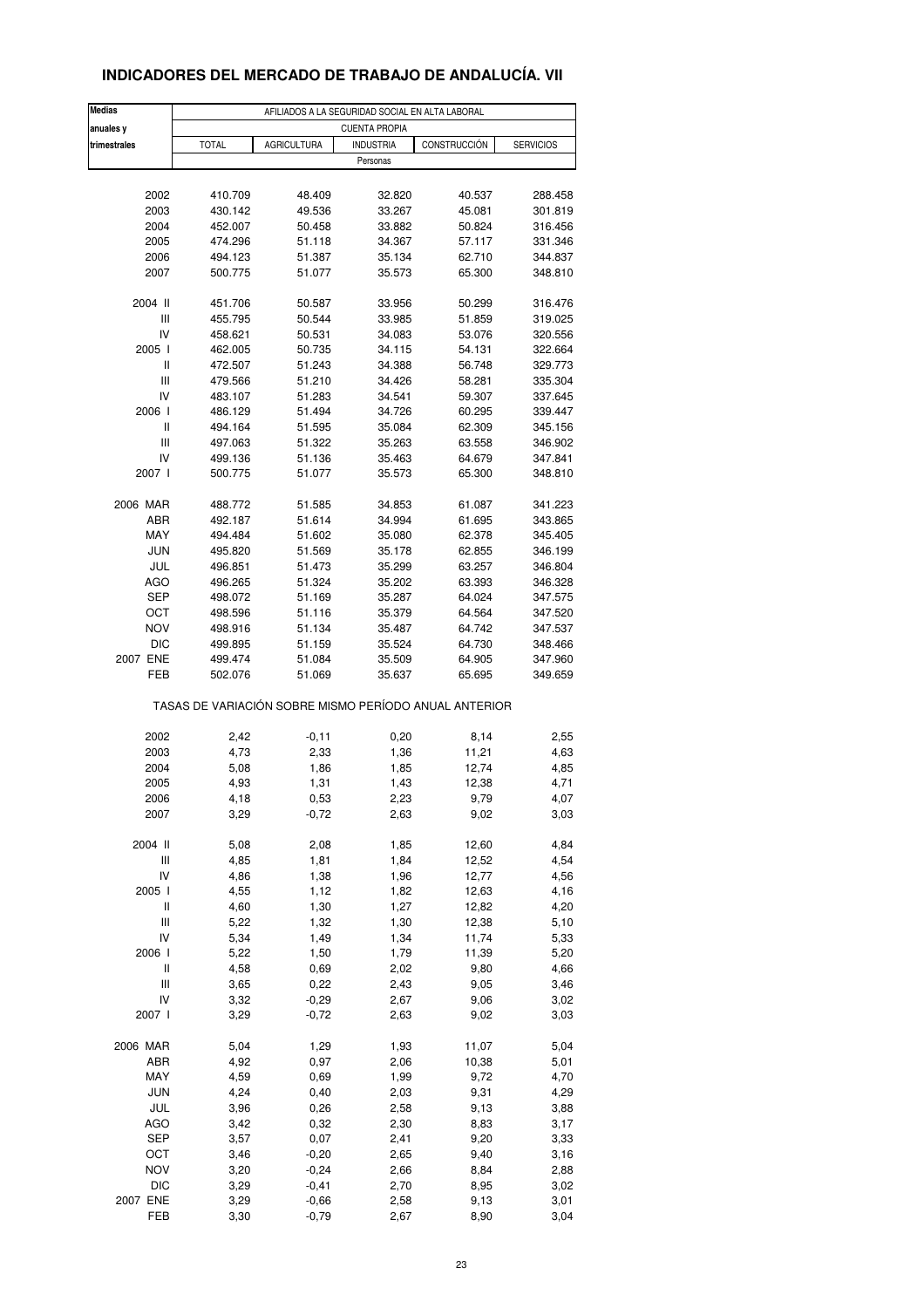#### **Medias AFILIADOS A LA SEGURIDAD SOCIAL EN ALTA LABORAL anuales y trimestrales** TOTAL AGRICULTURA INDUSTRIA CONSTRUCCIÓN SERVICIOS Personas 2002 410.709 48.409 32.820 40.537 288.458 2003 430.142 49.536 33.267 45.081 301.819 2004 452.007 50.458 33.882 50.824 316.456 2005 474.296 51.118 34.367 57.117 331.346 2006 494.123 51.387 35.134 62.710 344.837 2007 500.775 51.077 35.573 65.300 348.810 2004 II 451.706 50.587 33.956 50.299 316.476 III 455.795 50.544 33.985 51.859 319.025 IV 458.621 50.531 34.083 53.076 320.556 2005 I 462.005 50.735 34.115 54.131 322.664 II 472.507 51.243 34.388 56.748 329.773 III 479.566 51.210 34.426 58.281 335.304 IV 483.107 51.283 34.541 59.307 337.645 2006 I 486.129 51.494 34.726 60.295 339.447 II 494.164 51.595 35.084 62.309 345.156 III 497.063 51.322 35.263 63.558 346.902 IV 499.136 51.136 35.463 64.679 347.841 2007 I 500.775 51.077 35.573 65.300 348.810 2006 MAR 488.772 51.585 34.853 61.087 341.223 ABR 492.187 51.614 34.994 61.695 343.865 MAY 494.484 51.602 35.080 62.378 345.405 JUN 495.820 51.569 35.178 62.855 346.199 JUL 496.851 51.473 35.299 63.257 346.804 AGO 496.265 51.324 35.202 63.393 346.328 SEP 498.072 51.169 35.287 64.024 347.575 OCT 498.596 51.116 35.379 64.564 347.520 NOV 498.916 51.134 35.487 64.742 347.537 DIC 499.895 51.159 35.524 64.730 348.466 2007 ENE 499.474 51.084 35.509 64.905 347.960 FEB 502.076 51.069 35.637 65.695 349.659 2002 2,42 -0,11 0,20 8,14 2,55 2003 4,73 2,33 1,36 11,21 4,63 2004 5,08 1,86 1,85 12,74 4,85 2005 4,93 1,31 1,43 12,38 4,71 2006 4,18 0,53 2,23 9,79 4,07 2007 3,29 -0,72 2,63 9,02 3,03 2004 II 5,08 2,08 1,85 12,60 4,84 III 4,85 1,81 1,84 12,52 4,54 IV 4,86 1,38 1,96 12,77 4,56 2005 I 4,55 1,12 1,82 12,63 4,16 II 4,60 1,30 1,27 12,82 4,20 III 5,22 1,32 1,30 12,38 5,10 IV 5,34 1,49 1,34 11,74 5,33 2006 I 5,22 1,50 1,79 11,39 5,20 II 4,58 0,69 2,02 9,80 4,66 III 3,65 0,22 2,43 9,05 3,46 IV 3,32 -0,29 2,67 9,06 3,02 2007 I 3,29 -0,72 2,63 9,02 3,03 2006 MAR 5,04 1,29 1,93 11,07 5,04 ABR 4,92 0,97 2,06 10,38 5,01 MAY 4,59 0,69 1,99 9,72 4,70 JUN 4,24 0,40 2,03 9,31 4,29 JUL 3,96 0,26 2,58 9,13 3,88 AGO 3,42 0,32 2,30 8,83 3,17 SEP 3,57 0,07 2,41 9,20 3,33 OCT 3,46 -0,20 2,65 9,40 3,16 NOV 3,20 -0,24 2,66 8,84 2,88 DIC 3,29 -0,41 2,70 8,95 3,02 2007 ENE 3,29 -0,66 2,58 9,13 3,01 TASAS DE VARIACIÓN SOBRE MISMO PERÍODO ANUAL ANTERIOR CUENTA PROPIA

# **INDICADORES DEL MERCADO DE TRABAJO DE ANDALUCÍA. VII**

FEB 3,30 -0,79 2,67 8,90 3,04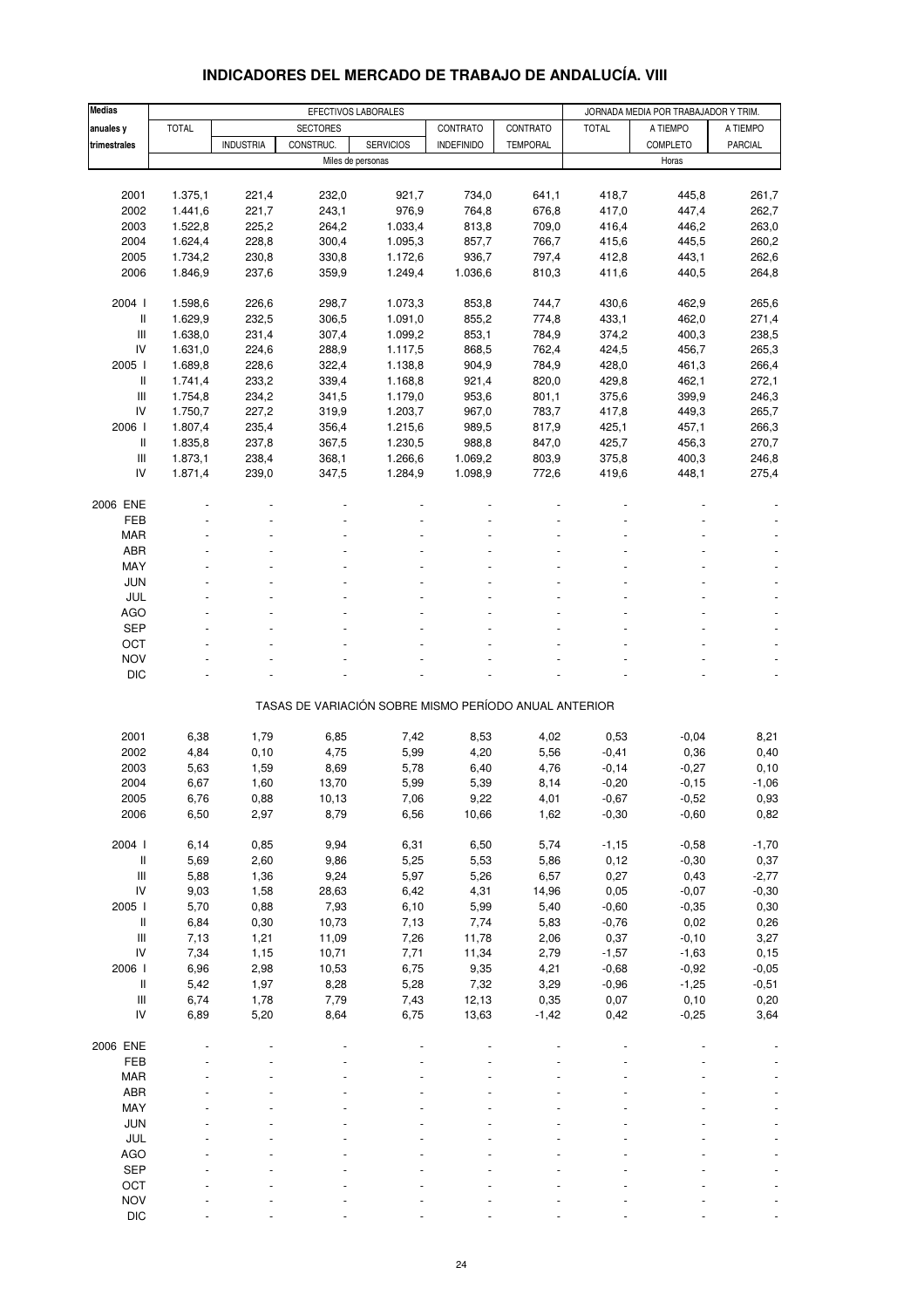| <b>Medias</b>                      |              |                  |                                                       | EFECTIVOS LABORALES |                   |                 | JORNADA MEDIA POR TRABAJADOR Y TRIM. |          |          |
|------------------------------------|--------------|------------------|-------------------------------------------------------|---------------------|-------------------|-----------------|--------------------------------------|----------|----------|
| anuales y                          | <b>TOTAL</b> |                  | <b>SECTORES</b>                                       |                     | CONTRATO          | CONTRATO        | <b>TOTAL</b>                         | A TIEMPO | A TIEMPO |
| trimestrales                       |              | <b>INDUSTRIA</b> | CONSTRUC.                                             | <b>SERVICIOS</b>    | <b>INDEFINIDO</b> | <b>TEMPORAL</b> |                                      | COMPLETO | PARCIAL  |
|                                    |              |                  |                                                       | Miles de personas   |                   |                 |                                      | Horas    |          |
|                                    |              |                  |                                                       |                     |                   |                 |                                      |          |          |
| 2001                               | 1.375,1      | 221,4            | 232,0                                                 | 921,7               | 734,0             | 641,1           | 418,7                                | 445,8    | 261,7    |
| 2002                               | 1.441,6      | 221,7            | 243,1                                                 | 976,9               | 764,8             | 676,8           | 417,0                                | 447,4    | 262,7    |
| 2003                               | 1.522,8      | 225,2            | 264,2                                                 | 1.033,4             | 813,8             | 709,0           | 416,4                                | 446,2    | 263,0    |
| 2004                               | 1.624,4      | 228,8            | 300,4                                                 | 1.095,3             | 857,7             | 766,7           | 415,6                                | 445,5    | 260,2    |
| 2005                               | 1.734,2      | 230,8            | 330,8                                                 | 1.172,6             | 936,7             | 797,4           | 412,8                                | 443,1    | 262,6    |
| 2006                               | 1.846,9      | 237,6            | 359,9                                                 | 1.249,4             | 1.036,6           | 810,3           | 411,6                                | 440,5    | 264,8    |
| 2004 l                             | 1.598,6      | 226,6            | 298,7                                                 | 1.073,3             | 853,8             | 744,7           | 430,6                                | 462,9    | 265,6    |
| Ш                                  | 1.629,9      | 232,5            | 306,5                                                 | 1.091,0             | 855,2             | 774,8           | 433,1                                | 462,0    | 271,4    |
| Ш                                  | 1.638,0      | 231,4            | 307,4                                                 | 1.099,2             | 853,1             | 784,9           | 374,2                                | 400,3    | 238,5    |
| IV                                 | 1.631,0      | 224,6            | 288,9                                                 | 1.117,5             | 868,5             | 762,4           | 424,5                                | 456,7    | 265,3    |
| 2005 l                             | 1.689,8      | 228,6            | 322,4                                                 | 1.138,8             | 904,9             | 784,9           | 428,0                                | 461,3    | 266,4    |
| Ш                                  | 1.741,4      | 233,2            | 339,4                                                 | 1.168,8             | 921,4             | 820,0           | 429,8                                | 462,1    | 272,1    |
| Ш                                  | 1.754,8      | 234,2            | 341,5                                                 | 1.179,0             | 953,6             | 801,1           | 375,6                                | 399,9    | 246,3    |
| IV                                 | 1.750,7      | 227,2            | 319,9                                                 | 1.203,7             | 967,0             | 783,7           | 417,8                                | 449,3    | 265,7    |
| 2006                               | 1.807,4      | 235,4            | 356,4                                                 | 1.215,6             | 989,5             | 817,9           | 425,1                                | 457,1    | 266,3    |
| Ш                                  | 1.835,8      | 237,8            | 367,5                                                 | 1.230,5             | 988,8             | 847,0           | 425,7                                | 456,3    | 270,7    |
| Ш                                  | 1.873,1      | 238,4            | 368,1                                                 | 1.266,6             | 1.069,2           | 803,9           | 375,8                                | 400,3    | 246,8    |
| IV                                 | 1.871,4      | 239,0            | 347,5                                                 | 1.284,9             | 1.098,9           | 772,6           | 419,6                                | 448,1    | 275,4    |
| 2006 ENE                           |              |                  |                                                       |                     |                   |                 |                                      |          |          |
| FEB                                |              |                  |                                                       |                     |                   |                 |                                      |          |          |
| <b>MAR</b>                         |              |                  |                                                       |                     |                   |                 |                                      |          |          |
| <b>ABR</b>                         |              |                  |                                                       |                     |                   |                 |                                      |          |          |
| MAY                                |              |                  |                                                       |                     |                   |                 |                                      |          |          |
| <b>JUN</b>                         |              |                  |                                                       |                     |                   |                 |                                      |          |          |
| JUL                                |              |                  |                                                       |                     |                   |                 |                                      |          |          |
| <b>AGO</b><br><b>SEP</b>           |              |                  |                                                       |                     |                   |                 |                                      |          |          |
| OCT                                |              |                  |                                                       |                     |                   |                 |                                      |          |          |
| <b>NOV</b>                         |              |                  |                                                       |                     |                   |                 |                                      |          |          |
| <b>DIC</b>                         |              |                  |                                                       |                     |                   |                 |                                      |          |          |
|                                    |              |                  |                                                       |                     |                   |                 |                                      |          |          |
|                                    |              |                  | TASAS DE VARIACIÓN SOBRE MISMO PERÍODO ANUAL ANTERIOR |                     |                   |                 |                                      |          |          |
| 2001                               | 6,38         | 1,79             | 6,85                                                  | 7,42                | 8,53              | 4,02            | 0,53                                 | $-0,04$  | 8,21     |
| 2002                               | 4,84         | 0, 10            | 4,75                                                  | 5,99                | 4,20              | 5,56            | $-0,41$                              | 0,36     | 0,40     |
| 2003                               | 5,63         | 1,59             | 8,69                                                  | 5,78                | 6,40              | 4,76            | $-0,14$                              | $-0,27$  | 0, 10    |
| 2004                               | 6,67         | 1,60             | 13,70                                                 | 5,99                | 5,39              | 8,14            | $-0,20$                              | $-0, 15$ | $-1,06$  |
| 2005                               | 6,76         | 0,88             | 10,13                                                 | 7,06                | 9,22              | 4,01            | $-0,67$                              | $-0,52$  | 0,93     |
| 2006                               | 6,50         | 2,97             | 8,79                                                  | 6,56                | 10,66             | 1,62            | $-0,30$                              | $-0,60$  | 0,82     |
| 2004 l                             | 6,14         | 0,85             | 9,94                                                  | 6,31                | 6,50              | 5,74            | $-1,15$                              | $-0,58$  | $-1,70$  |
| $\, \parallel$                     | 5,69         | 2,60             | 9,86                                                  | 5,25                | 5,53              | 5,86            | 0,12                                 | $-0,30$  | 0,37     |
| $\ensuremath{\mathsf{III}}\xspace$ | 5,88         | 1,36             | 9,24                                                  | 5,97                | 5,26              | 6,57            | 0,27                                 | 0,43     | $-2,77$  |
| IV                                 | 9,03         | 1,58             | 28,63                                                 | 6,42                | 4,31              | 14,96           | 0,05                                 | $-0,07$  | $-0,30$  |
| 2005 l                             | 5,70         | 0,88             | 7,93                                                  | 6, 10               | 5,99              | 5,40            | $-0,60$                              | $-0,35$  | 0,30     |
| $\, \parallel$                     | 6,84         | 0,30             | 10,73                                                 | 7,13                | 7,74              | 5,83            | $-0,76$                              | 0,02     | 0,26     |
| $\ensuremath{\mathsf{III}}\xspace$ | 7,13         | 1,21             | 11,09                                                 | 7,26                | 11,78             | 2,06            | 0,37                                 | $-0, 10$ | 3,27     |
| IV                                 | 7,34         | 1,15             | 10,71                                                 | 7,71                | 11,34             | 2,79            | $-1,57$                              | $-1,63$  | 0,15     |
| 2006 l                             | 6,96         | 2,98             | 10,53                                                 | 6,75                | 9,35              | 4,21            | $-0,68$                              | $-0,92$  | $-0,05$  |
| $\, \parallel$                     | 5,42         | 1,97             | 8,28                                                  | 5,28                | 7,32              | 3,29            | $-0,96$                              | $-1,25$  | $-0,51$  |
| $\ensuremath{\mathsf{III}}\xspace$ | 6,74         | 1,78             | 7,79                                                  | 7,43                | 12,13             | 0,35            | 0,07                                 | 0,10     | 0,20     |
| IV                                 | 6,89         | 5,20             | 8,64                                                  | 6,75                | 13,63             | $-1,42$         | 0,42                                 | $-0,25$  | 3,64     |
| 2006 ENE                           |              |                  |                                                       |                     |                   |                 |                                      |          |          |
| FEB                                |              |                  |                                                       |                     |                   |                 |                                      |          |          |
| MAR                                |              |                  |                                                       |                     |                   |                 |                                      |          |          |
| ABR                                |              |                  |                                                       |                     |                   |                 |                                      |          |          |
| MAY                                |              |                  |                                                       |                     |                   |                 |                                      |          |          |
| JUN                                |              |                  |                                                       |                     |                   |                 |                                      |          |          |
| JUL                                |              |                  |                                                       |                     |                   |                 |                                      |          |          |
| AGO                                |              |                  |                                                       |                     |                   |                 |                                      |          |          |
| SEP                                |              |                  |                                                       |                     |                   |                 |                                      |          |          |
| OCT                                |              |                  |                                                       |                     |                   |                 |                                      |          |          |
| <b>NOV</b>                         |              |                  |                                                       |                     |                   |                 |                                      |          |          |

#### **INDICADORES DEL MERCADO DE TRABAJO DE ANDALUCÍA. VIII**

DIC - - - - - - - - -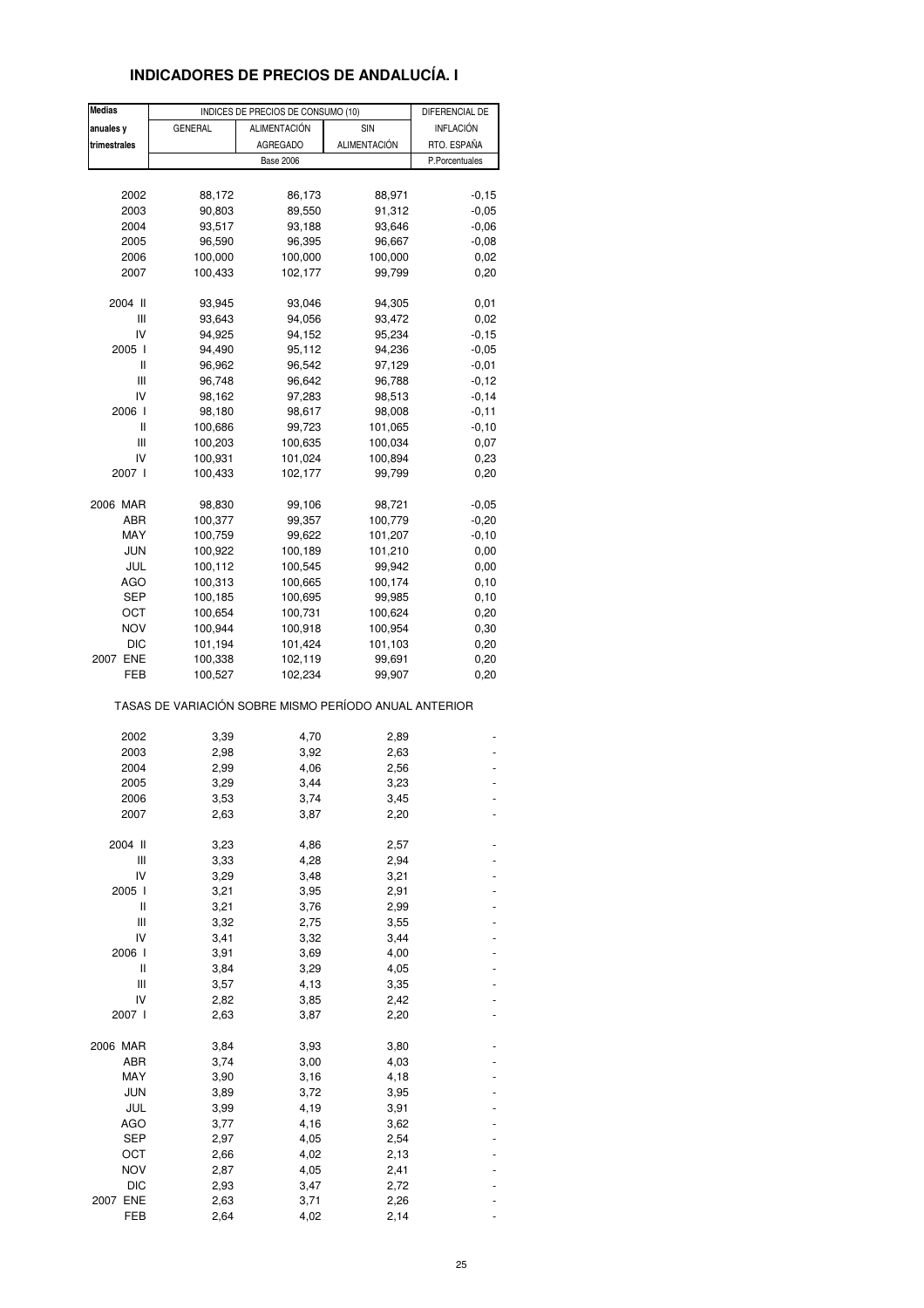## **INDICADORES DE PRECIOS DE ANDALUCÍA. I**

| <b>Medias</b>   |                                                       | INDICES DE PRECIOS DE CONSUMO (10) |                     | DIFERENCIAL DE |
|-----------------|-------------------------------------------------------|------------------------------------|---------------------|----------------|
| anuales y       | <b>GENERAL</b>                                        | ALIMENTACIÓN                       | SIN                 | INFLACIÓN      |
| trimestrales    |                                                       | AGREGADO                           | <b>ALIMENTACIÓN</b> | RTO. ESPAÑA    |
|                 |                                                       | <b>Base 2006</b>                   |                     | P.Porcentuales |
|                 |                                                       |                                    |                     |                |
| 2002            | 88,172                                                | 86,173                             | 88,971              | $-0,15$        |
| 2003            | 90,803                                                | 89,550                             | 91,312              | $-0,05$        |
| 2004            | 93,517                                                | 93,188                             | 93,646              | $-0,06$        |
| 2005            | 96,590                                                | 96,395                             | 96,667              | $-0,08$        |
| 2006            | 100,000                                               | 100,000                            | 100,000             | 0,02           |
| 2007            | 100,433                                               | 102,177                            | 99,799              | 0,20           |
|                 |                                                       |                                    |                     |                |
| 2004 II         | 93,945                                                | 93,046                             | 94,305              | 0,01           |
| Ш               | 93,643                                                | 94,056                             | 93,472              | 0,02           |
| IV              | 94,925                                                | 94,152                             | 95,234              | $-0, 15$       |
| 2005 l          | 94,490                                                | 95,112                             | 94,236              | $-0,05$        |
| Ш               | 96,962                                                | 96,542                             | 97,129              | $-0,01$        |
| Ш               | 96,748                                                | 96,642                             | 96,788              | $-0,12$        |
| IV              | 98,162                                                | 97,283                             | 98,513              | $-0,14$        |
| 2006 l          |                                                       |                                    |                     |                |
|                 | 98,180                                                | 98,617                             | 98,008              | $-0,11$        |
| Ш               | 100,686                                               | 99,723                             | 101,065             | $-0, 10$       |
| Ш               | 100,203                                               | 100,635                            | 100,034             | 0,07           |
| IV              | 100,931                                               | 101,024                            | 100,894             | 0,23           |
| 2007 l          | 100,433                                               | 102,177                            | 99,799              | 0,20           |
|                 |                                                       |                                    |                     |                |
| 2006 MAR        | 98,830                                                | 99,106                             | 98,721              | $-0,05$        |
| ABR             | 100,377                                               | 99,357                             | 100,779             | $-0,20$        |
| MAY             | 100,759                                               | 99,622                             | 101,207             | $-0,10$        |
| JUN             | 100,922                                               | 100,189                            | 101,210             | 0,00           |
| JUL             | 100,112                                               | 100,545                            | 99,942              | 0,00           |
| AGO             | 100,313                                               | 100,665                            | 100,174             | 0,10           |
| SEP             | 100,185                                               | 100,695                            | 99,985              | 0,10           |
| OCT             | 100,654                                               | 100,731                            | 100,624             | 0,20           |
| <b>NOV</b>      | 100,944                                               | 100,918                            | 100,954             | 0,30           |
| DIC             | 101,194                                               | 101,424                            | 101,103             | 0,20           |
| 2007 ENE        | 100,338                                               | 102,119                            | 99,691              | 0,20           |
| FEB             | 100,527                                               | 102,234                            | 99,907              | 0,20           |
|                 | TASAS DE VARIACIÓN SOBRE MISMO PERÍODO ANUAL ANTERIOR |                                    |                     |                |
|                 |                                                       |                                    |                     |                |
| 2002            | 3,39                                                  | 4,70                               | 2,89                |                |
| 2003            | 2,98                                                  | 3,92                               | 2,63                |                |
| 2004            | 2,99                                                  | 4,06                               | 2,56                |                |
| 2005            | 3,29                                                  | 3,44                               | 3,23                |                |
| 2006            | 3,53                                                  | 3,74                               | 3,45                |                |
| 2007            | 2,63                                                  | 3,87                               | 2,20                |                |
|                 |                                                       |                                    |                     |                |
| 2004 II         | 3,23                                                  | 4,86                               | 2,57                |                |
| Ш               | 3,33                                                  | 4,28                               | 2,94                |                |
| IV              | 3,29                                                  | 3,48                               | 3,21                |                |
| 2005 l          | 3,21                                                  | 3,95                               | 2,91                |                |
| Ш               | 3,21                                                  | 3,76                               | 2,99                |                |
| Ш               | 3,32                                                  | 2,75                               | 3,55                |                |
| IV              | 3,41                                                  | 3,32                               | 3,44                |                |
| 2006 l          | 3,91                                                  | 3,69                               | 4,00                |                |
| Ш               | 3,84                                                  | 3,29                               | 4,05                |                |
| Ш               | 3,57                                                  | 4,13                               | 3,35                |                |
| IV              | 2,82                                                  | 3,85                               | 2,42                |                |
| 2007 l          | 2,63                                                  | 3,87                               | 2,20                |                |
|                 |                                                       |                                    |                     |                |
| 2006 MAR<br>ABR | 3,84                                                  | 3,93                               | 3,80                |                |
|                 | 3,74                                                  | 3,00                               | 4,03                |                |
| MAY             | 3,90                                                  | 3,16                               | 4,18                |                |
| <b>JUN</b>      | 3,89                                                  | 3,72                               | 3,95                |                |
| JUL             | 3,99                                                  | 4,19                               | 3,91                |                |
| <b>AGO</b>      | 3,77                                                  | 4,16                               | 3,62                |                |
| SEP             | 2,97                                                  | 4,05                               | 2,54                |                |
| OCT             | 2,66                                                  | 4,02                               | 2,13                |                |
| <b>NOV</b>      | 2,87                                                  | 4,05                               | 2,41                |                |
| <b>DIC</b>      | 2,93                                                  | 3,47                               | 2,72                |                |
| 2007 ENE        | 2,63                                                  | 3,71                               | 2,26                |                |
| FEB             | 2,64                                                  | 4,02                               | 2,14                |                |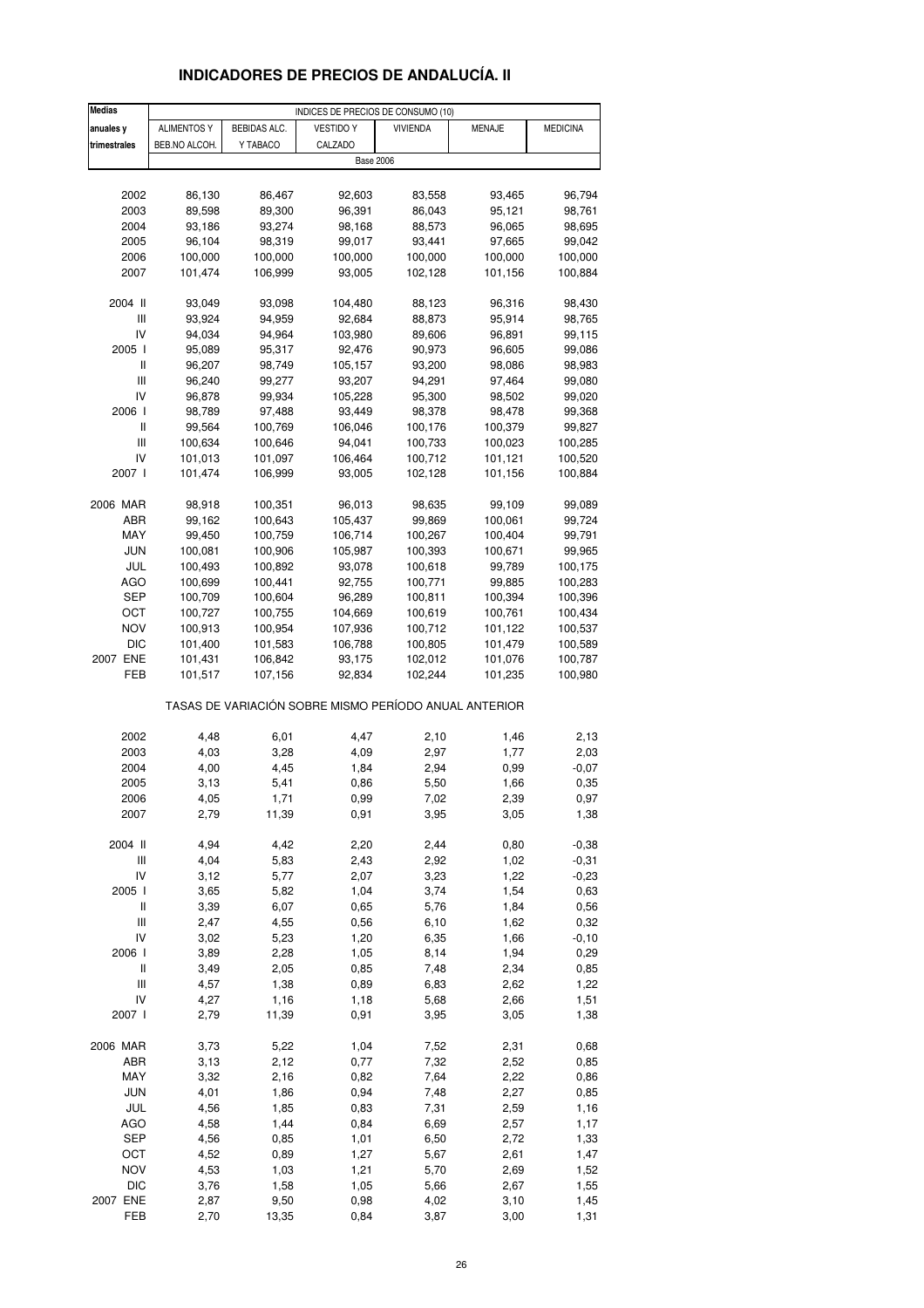# **INDICADORES DE PRECIOS DE ANDALUCÍA. II**

| <b>ALIMENTOS Y</b><br>BEBIDAS ALC.<br><b>VESTIDO Y</b><br>MENAJE<br><b>MEDICINA</b><br>anuales y<br><b>VIVIENDA</b><br>trimestrales<br>BEB.NO ALCOH.<br>Y TABACO<br>CALZADO<br><b>Base 2006</b><br>2002<br>86,130<br>86,467<br>92,603<br>83,558<br>93,465<br>96,794<br>89,598<br>96,391<br>2003<br>89,300<br>86,043<br>95,121<br>98,761<br>2004<br>93,186<br>93,274<br>98,168<br>88,573<br>96,065<br>98,695<br>96,104<br>97,665<br>2005<br>98,319<br>99,017<br>93,441<br>99,042<br>2006<br>100,000<br>100,000<br>100,000<br>100,000<br>100,000<br>100,000<br>2007<br>101,474<br>106,999<br>93,005<br>102,128<br>101,156<br>100,884<br>2004 II<br>93,049<br>93,098<br>104,480<br>88,123<br>96,316<br>98,430<br>Ш<br>94,959<br>92,684<br>95,914<br>93,924<br>88,873<br>98,765<br>IV<br>94,034<br>94,964<br>103,980<br>89,606<br>96,891<br>99,115<br>2005 l<br>95,089<br>95,317<br>92,476<br>90,973<br>96,605<br>99,086<br>II<br>96,207<br>98,749<br>105,157<br>93,200<br>98,086<br>98,983<br>Ш<br>96,240<br>99,277<br>93,207<br>94,291<br>97,464<br>99,080<br>IV<br>96,878<br>99,934<br>105,228<br>95,300<br>98,502<br>99,020<br>2006  <br>98,789<br>97,488<br>93,449<br>98,378<br>98,478<br>99,368<br>II<br>99,564<br>100,769<br>106,046<br>100,176<br>100,379<br>99,827<br>Ш<br>100,634<br>100,646<br>94,041<br>100,733<br>100,023<br>100,285<br>IV<br>101,013<br>101,097<br>106,464<br>100,712<br>101,121<br>100,520<br>2007 l<br>101,474<br>106,999<br>93,005<br>102,128<br>101,156<br>100,884<br>2006 MAR<br>98,918<br>100,351<br>96,013<br>98,635<br>99,109<br>99,089<br>ABR<br>99,162<br>100,643<br>105,437<br>99,869<br>100,061<br>99,724<br>MAY<br>100,759<br>106,714<br>100,267<br>100,404<br>99,450<br>99,791<br>JUN<br>100,081<br>100,906<br>105,987<br>100,393<br>100,671<br>99,965<br>JUL<br>100,493<br>100,892<br>93,078<br>100,618<br>99,789<br>100,175<br>AGO<br>100,699<br>100,441<br>92,755<br>100,771<br>99,885<br>100,283<br>SEP<br>100,709<br>100,604<br>96,289<br>100,811<br>100,394<br>100,396<br>100,727<br>100,755<br>100,619<br>OCT<br>104,669<br>100,761<br>100,434<br><b>NOV</b><br>100,913<br>100,954<br>107,936<br>100,712<br>101,122<br>100,537<br>DIC<br>101,400<br>101,583<br>100,805<br>106,788<br>101,479<br>100,589<br>2007 ENE<br>101,431<br>106,842<br>93,175<br>102,012<br>101,076<br>100,787<br>FEB<br>102,244<br>101,517<br>107,156<br>92,834<br>101,235<br>100,980<br>TASAS DE VARIACIÓN SOBRE MISMO PERÍODO ANUAL ANTERIOR<br>6,01<br>2,10<br>2,13<br>2002<br>4,48<br>4,47<br>1,46<br>2003<br>4,03<br>3,28<br>2,97<br>1,77<br>2,03<br>4,09<br>1,84<br>$-0,07$<br>2004<br>4,00<br>4,45<br>2,94<br>0,99<br>2005<br>3,13<br>5,41<br>0,86<br>5,50<br>0,35<br>1,66<br>2006<br>4,05<br>1,71<br>0,97<br>0,99<br>7,02<br>2,39<br>11,39<br>0,91<br>3,95<br>1,38<br>2007<br>2,79<br>3,05<br>2004 II<br>4,94<br>4,42<br>2,20<br>2,44<br>0,80<br>$-0,38$<br>Ш<br>4,04<br>5,83<br>2,43<br>2,92<br>1,02<br>$-0,31$<br>IV<br>3,12<br>5,77<br>2,07<br>3,23<br>1,22<br>$-0,23$<br>2005 l<br>3,65<br>5,82<br>1,04<br>3,74<br>1,54<br>0,63<br>$\,$ $\,$ $\,$ $\,$<br>3,39<br>6,07<br>0,65<br>1,84<br>0,56<br>5,76<br>Ш<br>2,47<br>4,55<br>0,56<br>6,10<br>1,62<br>0,32<br>IV<br>3,02<br>1,20<br>6,35<br>1,66<br>5,23<br>$-0,10$<br>1,94<br>2006 l<br>3,89<br>2,28<br>1,05<br>8,14<br>0,29<br>Ш<br>3,49<br>2,05<br>0,85<br>7,48<br>2,34<br>0,85<br>$\ensuremath{\mathsf{III}}\xspace$<br>4,57<br>1,38<br>1,22<br>0,89<br>6,83<br>2,62<br>IV<br>4,27<br>1,16<br>5,68<br>1,51<br>1,18<br>2,66<br>2007 l<br>2,79<br>11,39<br>0,91<br>3,95<br>3,05<br>1,38<br>2006 MAR<br>5,22<br>7,52<br>2,31<br>3,73<br>1,04<br>0,68<br>ABR<br>3,13<br>2,12<br>0,77<br>7,32<br>2,52<br>0,85<br>MAY<br>3,32<br>2,16<br>7,64<br>0,82<br>2,22<br>0,86<br>JUN<br>4,01<br>1,86<br>0,94<br>7,48<br>2,27<br>0,85<br>JUL<br>4,56<br>1,85<br>0,83<br>7,31<br>2,59<br>1,16<br>AGO<br>4,58<br>1,44<br>0,84<br>2,57<br>1,17<br>6,69<br><b>SEP</b><br>4,56<br>0,85<br>1,01<br>6,50<br>2,72<br>1,33<br>OCT<br>4,52<br>1,27<br>2,61<br>1,47<br>0,89<br>5,67<br><b>NOV</b><br>4,53<br>1,03<br>1,21<br>5,70<br>1,52<br>2,69<br><b>DIC</b><br>3,76<br>1,58<br>1,05<br>5,66<br>1,55<br>2,67 | <b>Medias</b> |  | INDICES DE PRECIOS DE CONSUMO (10) |  |  |
|------------------------------------------------------------------------------------------------------------------------------------------------------------------------------------------------------------------------------------------------------------------------------------------------------------------------------------------------------------------------------------------------------------------------------------------------------------------------------------------------------------------------------------------------------------------------------------------------------------------------------------------------------------------------------------------------------------------------------------------------------------------------------------------------------------------------------------------------------------------------------------------------------------------------------------------------------------------------------------------------------------------------------------------------------------------------------------------------------------------------------------------------------------------------------------------------------------------------------------------------------------------------------------------------------------------------------------------------------------------------------------------------------------------------------------------------------------------------------------------------------------------------------------------------------------------------------------------------------------------------------------------------------------------------------------------------------------------------------------------------------------------------------------------------------------------------------------------------------------------------------------------------------------------------------------------------------------------------------------------------------------------------------------------------------------------------------------------------------------------------------------------------------------------------------------------------------------------------------------------------------------------------------------------------------------------------------------------------------------------------------------------------------------------------------------------------------------------------------------------------------------------------------------------------------------------------------------------------------------------------------------------------------------------------------------------------------------------------------------------------------------------------------------------------------------------------------------------------------------------------------------------------------------------------------------------------------------------------------------------------------------------------------------------------------------------------------------------------------------------------------------------------------------------------------------------------------------------------------------------------------------------------------------------------------------------------------------------------------------------------------------------------------------------------------------------------------------------------------------------------------------------------------------------------------------------------------------------------------------------------------------------------------------------------------------------------------------------------------------------------------------------------------------------------------------------------------------------------------------------------------------------------------------------------------------------------------------------------------------------------------------------------------------------------------------------------------------------------------------------------------------------------------------------------------|---------------|--|------------------------------------|--|--|
|                                                                                                                                                                                                                                                                                                                                                                                                                                                                                                                                                                                                                                                                                                                                                                                                                                                                                                                                                                                                                                                                                                                                                                                                                                                                                                                                                                                                                                                                                                                                                                                                                                                                                                                                                                                                                                                                                                                                                                                                                                                                                                                                                                                                                                                                                                                                                                                                                                                                                                                                                                                                                                                                                                                                                                                                                                                                                                                                                                                                                                                                                                                                                                                                                                                                                                                                                                                                                                                                                                                                                                                                                                                                                                                                                                                                                                                                                                                                                                                                                                                                                                                                                                              |               |  |                                    |  |  |
|                                                                                                                                                                                                                                                                                                                                                                                                                                                                                                                                                                                                                                                                                                                                                                                                                                                                                                                                                                                                                                                                                                                                                                                                                                                                                                                                                                                                                                                                                                                                                                                                                                                                                                                                                                                                                                                                                                                                                                                                                                                                                                                                                                                                                                                                                                                                                                                                                                                                                                                                                                                                                                                                                                                                                                                                                                                                                                                                                                                                                                                                                                                                                                                                                                                                                                                                                                                                                                                                                                                                                                                                                                                                                                                                                                                                                                                                                                                                                                                                                                                                                                                                                                              |               |  |                                    |  |  |
|                                                                                                                                                                                                                                                                                                                                                                                                                                                                                                                                                                                                                                                                                                                                                                                                                                                                                                                                                                                                                                                                                                                                                                                                                                                                                                                                                                                                                                                                                                                                                                                                                                                                                                                                                                                                                                                                                                                                                                                                                                                                                                                                                                                                                                                                                                                                                                                                                                                                                                                                                                                                                                                                                                                                                                                                                                                                                                                                                                                                                                                                                                                                                                                                                                                                                                                                                                                                                                                                                                                                                                                                                                                                                                                                                                                                                                                                                                                                                                                                                                                                                                                                                                              |               |  |                                    |  |  |
|                                                                                                                                                                                                                                                                                                                                                                                                                                                                                                                                                                                                                                                                                                                                                                                                                                                                                                                                                                                                                                                                                                                                                                                                                                                                                                                                                                                                                                                                                                                                                                                                                                                                                                                                                                                                                                                                                                                                                                                                                                                                                                                                                                                                                                                                                                                                                                                                                                                                                                                                                                                                                                                                                                                                                                                                                                                                                                                                                                                                                                                                                                                                                                                                                                                                                                                                                                                                                                                                                                                                                                                                                                                                                                                                                                                                                                                                                                                                                                                                                                                                                                                                                                              |               |  |                                    |  |  |
|                                                                                                                                                                                                                                                                                                                                                                                                                                                                                                                                                                                                                                                                                                                                                                                                                                                                                                                                                                                                                                                                                                                                                                                                                                                                                                                                                                                                                                                                                                                                                                                                                                                                                                                                                                                                                                                                                                                                                                                                                                                                                                                                                                                                                                                                                                                                                                                                                                                                                                                                                                                                                                                                                                                                                                                                                                                                                                                                                                                                                                                                                                                                                                                                                                                                                                                                                                                                                                                                                                                                                                                                                                                                                                                                                                                                                                                                                                                                                                                                                                                                                                                                                                              |               |  |                                    |  |  |
|                                                                                                                                                                                                                                                                                                                                                                                                                                                                                                                                                                                                                                                                                                                                                                                                                                                                                                                                                                                                                                                                                                                                                                                                                                                                                                                                                                                                                                                                                                                                                                                                                                                                                                                                                                                                                                                                                                                                                                                                                                                                                                                                                                                                                                                                                                                                                                                                                                                                                                                                                                                                                                                                                                                                                                                                                                                                                                                                                                                                                                                                                                                                                                                                                                                                                                                                                                                                                                                                                                                                                                                                                                                                                                                                                                                                                                                                                                                                                                                                                                                                                                                                                                              |               |  |                                    |  |  |
|                                                                                                                                                                                                                                                                                                                                                                                                                                                                                                                                                                                                                                                                                                                                                                                                                                                                                                                                                                                                                                                                                                                                                                                                                                                                                                                                                                                                                                                                                                                                                                                                                                                                                                                                                                                                                                                                                                                                                                                                                                                                                                                                                                                                                                                                                                                                                                                                                                                                                                                                                                                                                                                                                                                                                                                                                                                                                                                                                                                                                                                                                                                                                                                                                                                                                                                                                                                                                                                                                                                                                                                                                                                                                                                                                                                                                                                                                                                                                                                                                                                                                                                                                                              |               |  |                                    |  |  |
|                                                                                                                                                                                                                                                                                                                                                                                                                                                                                                                                                                                                                                                                                                                                                                                                                                                                                                                                                                                                                                                                                                                                                                                                                                                                                                                                                                                                                                                                                                                                                                                                                                                                                                                                                                                                                                                                                                                                                                                                                                                                                                                                                                                                                                                                                                                                                                                                                                                                                                                                                                                                                                                                                                                                                                                                                                                                                                                                                                                                                                                                                                                                                                                                                                                                                                                                                                                                                                                                                                                                                                                                                                                                                                                                                                                                                                                                                                                                                                                                                                                                                                                                                                              |               |  |                                    |  |  |
|                                                                                                                                                                                                                                                                                                                                                                                                                                                                                                                                                                                                                                                                                                                                                                                                                                                                                                                                                                                                                                                                                                                                                                                                                                                                                                                                                                                                                                                                                                                                                                                                                                                                                                                                                                                                                                                                                                                                                                                                                                                                                                                                                                                                                                                                                                                                                                                                                                                                                                                                                                                                                                                                                                                                                                                                                                                                                                                                                                                                                                                                                                                                                                                                                                                                                                                                                                                                                                                                                                                                                                                                                                                                                                                                                                                                                                                                                                                                                                                                                                                                                                                                                                              |               |  |                                    |  |  |
|                                                                                                                                                                                                                                                                                                                                                                                                                                                                                                                                                                                                                                                                                                                                                                                                                                                                                                                                                                                                                                                                                                                                                                                                                                                                                                                                                                                                                                                                                                                                                                                                                                                                                                                                                                                                                                                                                                                                                                                                                                                                                                                                                                                                                                                                                                                                                                                                                                                                                                                                                                                                                                                                                                                                                                                                                                                                                                                                                                                                                                                                                                                                                                                                                                                                                                                                                                                                                                                                                                                                                                                                                                                                                                                                                                                                                                                                                                                                                                                                                                                                                                                                                                              |               |  |                                    |  |  |
|                                                                                                                                                                                                                                                                                                                                                                                                                                                                                                                                                                                                                                                                                                                                                                                                                                                                                                                                                                                                                                                                                                                                                                                                                                                                                                                                                                                                                                                                                                                                                                                                                                                                                                                                                                                                                                                                                                                                                                                                                                                                                                                                                                                                                                                                                                                                                                                                                                                                                                                                                                                                                                                                                                                                                                                                                                                                                                                                                                                                                                                                                                                                                                                                                                                                                                                                                                                                                                                                                                                                                                                                                                                                                                                                                                                                                                                                                                                                                                                                                                                                                                                                                                              |               |  |                                    |  |  |
|                                                                                                                                                                                                                                                                                                                                                                                                                                                                                                                                                                                                                                                                                                                                                                                                                                                                                                                                                                                                                                                                                                                                                                                                                                                                                                                                                                                                                                                                                                                                                                                                                                                                                                                                                                                                                                                                                                                                                                                                                                                                                                                                                                                                                                                                                                                                                                                                                                                                                                                                                                                                                                                                                                                                                                                                                                                                                                                                                                                                                                                                                                                                                                                                                                                                                                                                                                                                                                                                                                                                                                                                                                                                                                                                                                                                                                                                                                                                                                                                                                                                                                                                                                              |               |  |                                    |  |  |
|                                                                                                                                                                                                                                                                                                                                                                                                                                                                                                                                                                                                                                                                                                                                                                                                                                                                                                                                                                                                                                                                                                                                                                                                                                                                                                                                                                                                                                                                                                                                                                                                                                                                                                                                                                                                                                                                                                                                                                                                                                                                                                                                                                                                                                                                                                                                                                                                                                                                                                                                                                                                                                                                                                                                                                                                                                                                                                                                                                                                                                                                                                                                                                                                                                                                                                                                                                                                                                                                                                                                                                                                                                                                                                                                                                                                                                                                                                                                                                                                                                                                                                                                                                              |               |  |                                    |  |  |
|                                                                                                                                                                                                                                                                                                                                                                                                                                                                                                                                                                                                                                                                                                                                                                                                                                                                                                                                                                                                                                                                                                                                                                                                                                                                                                                                                                                                                                                                                                                                                                                                                                                                                                                                                                                                                                                                                                                                                                                                                                                                                                                                                                                                                                                                                                                                                                                                                                                                                                                                                                                                                                                                                                                                                                                                                                                                                                                                                                                                                                                                                                                                                                                                                                                                                                                                                                                                                                                                                                                                                                                                                                                                                                                                                                                                                                                                                                                                                                                                                                                                                                                                                                              |               |  |                                    |  |  |
|                                                                                                                                                                                                                                                                                                                                                                                                                                                                                                                                                                                                                                                                                                                                                                                                                                                                                                                                                                                                                                                                                                                                                                                                                                                                                                                                                                                                                                                                                                                                                                                                                                                                                                                                                                                                                                                                                                                                                                                                                                                                                                                                                                                                                                                                                                                                                                                                                                                                                                                                                                                                                                                                                                                                                                                                                                                                                                                                                                                                                                                                                                                                                                                                                                                                                                                                                                                                                                                                                                                                                                                                                                                                                                                                                                                                                                                                                                                                                                                                                                                                                                                                                                              |               |  |                                    |  |  |
|                                                                                                                                                                                                                                                                                                                                                                                                                                                                                                                                                                                                                                                                                                                                                                                                                                                                                                                                                                                                                                                                                                                                                                                                                                                                                                                                                                                                                                                                                                                                                                                                                                                                                                                                                                                                                                                                                                                                                                                                                                                                                                                                                                                                                                                                                                                                                                                                                                                                                                                                                                                                                                                                                                                                                                                                                                                                                                                                                                                                                                                                                                                                                                                                                                                                                                                                                                                                                                                                                                                                                                                                                                                                                                                                                                                                                                                                                                                                                                                                                                                                                                                                                                              |               |  |                                    |  |  |
|                                                                                                                                                                                                                                                                                                                                                                                                                                                                                                                                                                                                                                                                                                                                                                                                                                                                                                                                                                                                                                                                                                                                                                                                                                                                                                                                                                                                                                                                                                                                                                                                                                                                                                                                                                                                                                                                                                                                                                                                                                                                                                                                                                                                                                                                                                                                                                                                                                                                                                                                                                                                                                                                                                                                                                                                                                                                                                                                                                                                                                                                                                                                                                                                                                                                                                                                                                                                                                                                                                                                                                                                                                                                                                                                                                                                                                                                                                                                                                                                                                                                                                                                                                              |               |  |                                    |  |  |
|                                                                                                                                                                                                                                                                                                                                                                                                                                                                                                                                                                                                                                                                                                                                                                                                                                                                                                                                                                                                                                                                                                                                                                                                                                                                                                                                                                                                                                                                                                                                                                                                                                                                                                                                                                                                                                                                                                                                                                                                                                                                                                                                                                                                                                                                                                                                                                                                                                                                                                                                                                                                                                                                                                                                                                                                                                                                                                                                                                                                                                                                                                                                                                                                                                                                                                                                                                                                                                                                                                                                                                                                                                                                                                                                                                                                                                                                                                                                                                                                                                                                                                                                                                              |               |  |                                    |  |  |
|                                                                                                                                                                                                                                                                                                                                                                                                                                                                                                                                                                                                                                                                                                                                                                                                                                                                                                                                                                                                                                                                                                                                                                                                                                                                                                                                                                                                                                                                                                                                                                                                                                                                                                                                                                                                                                                                                                                                                                                                                                                                                                                                                                                                                                                                                                                                                                                                                                                                                                                                                                                                                                                                                                                                                                                                                                                                                                                                                                                                                                                                                                                                                                                                                                                                                                                                                                                                                                                                                                                                                                                                                                                                                                                                                                                                                                                                                                                                                                                                                                                                                                                                                                              |               |  |                                    |  |  |
|                                                                                                                                                                                                                                                                                                                                                                                                                                                                                                                                                                                                                                                                                                                                                                                                                                                                                                                                                                                                                                                                                                                                                                                                                                                                                                                                                                                                                                                                                                                                                                                                                                                                                                                                                                                                                                                                                                                                                                                                                                                                                                                                                                                                                                                                                                                                                                                                                                                                                                                                                                                                                                                                                                                                                                                                                                                                                                                                                                                                                                                                                                                                                                                                                                                                                                                                                                                                                                                                                                                                                                                                                                                                                                                                                                                                                                                                                                                                                                                                                                                                                                                                                                              |               |  |                                    |  |  |
|                                                                                                                                                                                                                                                                                                                                                                                                                                                                                                                                                                                                                                                                                                                                                                                                                                                                                                                                                                                                                                                                                                                                                                                                                                                                                                                                                                                                                                                                                                                                                                                                                                                                                                                                                                                                                                                                                                                                                                                                                                                                                                                                                                                                                                                                                                                                                                                                                                                                                                                                                                                                                                                                                                                                                                                                                                                                                                                                                                                                                                                                                                                                                                                                                                                                                                                                                                                                                                                                                                                                                                                                                                                                                                                                                                                                                                                                                                                                                                                                                                                                                                                                                                              |               |  |                                    |  |  |
|                                                                                                                                                                                                                                                                                                                                                                                                                                                                                                                                                                                                                                                                                                                                                                                                                                                                                                                                                                                                                                                                                                                                                                                                                                                                                                                                                                                                                                                                                                                                                                                                                                                                                                                                                                                                                                                                                                                                                                                                                                                                                                                                                                                                                                                                                                                                                                                                                                                                                                                                                                                                                                                                                                                                                                                                                                                                                                                                                                                                                                                                                                                                                                                                                                                                                                                                                                                                                                                                                                                                                                                                                                                                                                                                                                                                                                                                                                                                                                                                                                                                                                                                                                              |               |  |                                    |  |  |
|                                                                                                                                                                                                                                                                                                                                                                                                                                                                                                                                                                                                                                                                                                                                                                                                                                                                                                                                                                                                                                                                                                                                                                                                                                                                                                                                                                                                                                                                                                                                                                                                                                                                                                                                                                                                                                                                                                                                                                                                                                                                                                                                                                                                                                                                                                                                                                                                                                                                                                                                                                                                                                                                                                                                                                                                                                                                                                                                                                                                                                                                                                                                                                                                                                                                                                                                                                                                                                                                                                                                                                                                                                                                                                                                                                                                                                                                                                                                                                                                                                                                                                                                                                              |               |  |                                    |  |  |
|                                                                                                                                                                                                                                                                                                                                                                                                                                                                                                                                                                                                                                                                                                                                                                                                                                                                                                                                                                                                                                                                                                                                                                                                                                                                                                                                                                                                                                                                                                                                                                                                                                                                                                                                                                                                                                                                                                                                                                                                                                                                                                                                                                                                                                                                                                                                                                                                                                                                                                                                                                                                                                                                                                                                                                                                                                                                                                                                                                                                                                                                                                                                                                                                                                                                                                                                                                                                                                                                                                                                                                                                                                                                                                                                                                                                                                                                                                                                                                                                                                                                                                                                                                              |               |  |                                    |  |  |
|                                                                                                                                                                                                                                                                                                                                                                                                                                                                                                                                                                                                                                                                                                                                                                                                                                                                                                                                                                                                                                                                                                                                                                                                                                                                                                                                                                                                                                                                                                                                                                                                                                                                                                                                                                                                                                                                                                                                                                                                                                                                                                                                                                                                                                                                                                                                                                                                                                                                                                                                                                                                                                                                                                                                                                                                                                                                                                                                                                                                                                                                                                                                                                                                                                                                                                                                                                                                                                                                                                                                                                                                                                                                                                                                                                                                                                                                                                                                                                                                                                                                                                                                                                              |               |  |                                    |  |  |
|                                                                                                                                                                                                                                                                                                                                                                                                                                                                                                                                                                                                                                                                                                                                                                                                                                                                                                                                                                                                                                                                                                                                                                                                                                                                                                                                                                                                                                                                                                                                                                                                                                                                                                                                                                                                                                                                                                                                                                                                                                                                                                                                                                                                                                                                                                                                                                                                                                                                                                                                                                                                                                                                                                                                                                                                                                                                                                                                                                                                                                                                                                                                                                                                                                                                                                                                                                                                                                                                                                                                                                                                                                                                                                                                                                                                                                                                                                                                                                                                                                                                                                                                                                              |               |  |                                    |  |  |
|                                                                                                                                                                                                                                                                                                                                                                                                                                                                                                                                                                                                                                                                                                                                                                                                                                                                                                                                                                                                                                                                                                                                                                                                                                                                                                                                                                                                                                                                                                                                                                                                                                                                                                                                                                                                                                                                                                                                                                                                                                                                                                                                                                                                                                                                                                                                                                                                                                                                                                                                                                                                                                                                                                                                                                                                                                                                                                                                                                                                                                                                                                                                                                                                                                                                                                                                                                                                                                                                                                                                                                                                                                                                                                                                                                                                                                                                                                                                                                                                                                                                                                                                                                              |               |  |                                    |  |  |
|                                                                                                                                                                                                                                                                                                                                                                                                                                                                                                                                                                                                                                                                                                                                                                                                                                                                                                                                                                                                                                                                                                                                                                                                                                                                                                                                                                                                                                                                                                                                                                                                                                                                                                                                                                                                                                                                                                                                                                                                                                                                                                                                                                                                                                                                                                                                                                                                                                                                                                                                                                                                                                                                                                                                                                                                                                                                                                                                                                                                                                                                                                                                                                                                                                                                                                                                                                                                                                                                                                                                                                                                                                                                                                                                                                                                                                                                                                                                                                                                                                                                                                                                                                              |               |  |                                    |  |  |
|                                                                                                                                                                                                                                                                                                                                                                                                                                                                                                                                                                                                                                                                                                                                                                                                                                                                                                                                                                                                                                                                                                                                                                                                                                                                                                                                                                                                                                                                                                                                                                                                                                                                                                                                                                                                                                                                                                                                                                                                                                                                                                                                                                                                                                                                                                                                                                                                                                                                                                                                                                                                                                                                                                                                                                                                                                                                                                                                                                                                                                                                                                                                                                                                                                                                                                                                                                                                                                                                                                                                                                                                                                                                                                                                                                                                                                                                                                                                                                                                                                                                                                                                                                              |               |  |                                    |  |  |
|                                                                                                                                                                                                                                                                                                                                                                                                                                                                                                                                                                                                                                                                                                                                                                                                                                                                                                                                                                                                                                                                                                                                                                                                                                                                                                                                                                                                                                                                                                                                                                                                                                                                                                                                                                                                                                                                                                                                                                                                                                                                                                                                                                                                                                                                                                                                                                                                                                                                                                                                                                                                                                                                                                                                                                                                                                                                                                                                                                                                                                                                                                                                                                                                                                                                                                                                                                                                                                                                                                                                                                                                                                                                                                                                                                                                                                                                                                                                                                                                                                                                                                                                                                              |               |  |                                    |  |  |
|                                                                                                                                                                                                                                                                                                                                                                                                                                                                                                                                                                                                                                                                                                                                                                                                                                                                                                                                                                                                                                                                                                                                                                                                                                                                                                                                                                                                                                                                                                                                                                                                                                                                                                                                                                                                                                                                                                                                                                                                                                                                                                                                                                                                                                                                                                                                                                                                                                                                                                                                                                                                                                                                                                                                                                                                                                                                                                                                                                                                                                                                                                                                                                                                                                                                                                                                                                                                                                                                                                                                                                                                                                                                                                                                                                                                                                                                                                                                                                                                                                                                                                                                                                              |               |  |                                    |  |  |
|                                                                                                                                                                                                                                                                                                                                                                                                                                                                                                                                                                                                                                                                                                                                                                                                                                                                                                                                                                                                                                                                                                                                                                                                                                                                                                                                                                                                                                                                                                                                                                                                                                                                                                                                                                                                                                                                                                                                                                                                                                                                                                                                                                                                                                                                                                                                                                                                                                                                                                                                                                                                                                                                                                                                                                                                                                                                                                                                                                                                                                                                                                                                                                                                                                                                                                                                                                                                                                                                                                                                                                                                                                                                                                                                                                                                                                                                                                                                                                                                                                                                                                                                                                              |               |  |                                    |  |  |
|                                                                                                                                                                                                                                                                                                                                                                                                                                                                                                                                                                                                                                                                                                                                                                                                                                                                                                                                                                                                                                                                                                                                                                                                                                                                                                                                                                                                                                                                                                                                                                                                                                                                                                                                                                                                                                                                                                                                                                                                                                                                                                                                                                                                                                                                                                                                                                                                                                                                                                                                                                                                                                                                                                                                                                                                                                                                                                                                                                                                                                                                                                                                                                                                                                                                                                                                                                                                                                                                                                                                                                                                                                                                                                                                                                                                                                                                                                                                                                                                                                                                                                                                                                              |               |  |                                    |  |  |
|                                                                                                                                                                                                                                                                                                                                                                                                                                                                                                                                                                                                                                                                                                                                                                                                                                                                                                                                                                                                                                                                                                                                                                                                                                                                                                                                                                                                                                                                                                                                                                                                                                                                                                                                                                                                                                                                                                                                                                                                                                                                                                                                                                                                                                                                                                                                                                                                                                                                                                                                                                                                                                                                                                                                                                                                                                                                                                                                                                                                                                                                                                                                                                                                                                                                                                                                                                                                                                                                                                                                                                                                                                                                                                                                                                                                                                                                                                                                                                                                                                                                                                                                                                              |               |  |                                    |  |  |
|                                                                                                                                                                                                                                                                                                                                                                                                                                                                                                                                                                                                                                                                                                                                                                                                                                                                                                                                                                                                                                                                                                                                                                                                                                                                                                                                                                                                                                                                                                                                                                                                                                                                                                                                                                                                                                                                                                                                                                                                                                                                                                                                                                                                                                                                                                                                                                                                                                                                                                                                                                                                                                                                                                                                                                                                                                                                                                                                                                                                                                                                                                                                                                                                                                                                                                                                                                                                                                                                                                                                                                                                                                                                                                                                                                                                                                                                                                                                                                                                                                                                                                                                                                              |               |  |                                    |  |  |
|                                                                                                                                                                                                                                                                                                                                                                                                                                                                                                                                                                                                                                                                                                                                                                                                                                                                                                                                                                                                                                                                                                                                                                                                                                                                                                                                                                                                                                                                                                                                                                                                                                                                                                                                                                                                                                                                                                                                                                                                                                                                                                                                                                                                                                                                                                                                                                                                                                                                                                                                                                                                                                                                                                                                                                                                                                                                                                                                                                                                                                                                                                                                                                                                                                                                                                                                                                                                                                                                                                                                                                                                                                                                                                                                                                                                                                                                                                                                                                                                                                                                                                                                                                              |               |  |                                    |  |  |
|                                                                                                                                                                                                                                                                                                                                                                                                                                                                                                                                                                                                                                                                                                                                                                                                                                                                                                                                                                                                                                                                                                                                                                                                                                                                                                                                                                                                                                                                                                                                                                                                                                                                                                                                                                                                                                                                                                                                                                                                                                                                                                                                                                                                                                                                                                                                                                                                                                                                                                                                                                                                                                                                                                                                                                                                                                                                                                                                                                                                                                                                                                                                                                                                                                                                                                                                                                                                                                                                                                                                                                                                                                                                                                                                                                                                                                                                                                                                                                                                                                                                                                                                                                              |               |  |                                    |  |  |
|                                                                                                                                                                                                                                                                                                                                                                                                                                                                                                                                                                                                                                                                                                                                                                                                                                                                                                                                                                                                                                                                                                                                                                                                                                                                                                                                                                                                                                                                                                                                                                                                                                                                                                                                                                                                                                                                                                                                                                                                                                                                                                                                                                                                                                                                                                                                                                                                                                                                                                                                                                                                                                                                                                                                                                                                                                                                                                                                                                                                                                                                                                                                                                                                                                                                                                                                                                                                                                                                                                                                                                                                                                                                                                                                                                                                                                                                                                                                                                                                                                                                                                                                                                              |               |  |                                    |  |  |
|                                                                                                                                                                                                                                                                                                                                                                                                                                                                                                                                                                                                                                                                                                                                                                                                                                                                                                                                                                                                                                                                                                                                                                                                                                                                                                                                                                                                                                                                                                                                                                                                                                                                                                                                                                                                                                                                                                                                                                                                                                                                                                                                                                                                                                                                                                                                                                                                                                                                                                                                                                                                                                                                                                                                                                                                                                                                                                                                                                                                                                                                                                                                                                                                                                                                                                                                                                                                                                                                                                                                                                                                                                                                                                                                                                                                                                                                                                                                                                                                                                                                                                                                                                              |               |  |                                    |  |  |
|                                                                                                                                                                                                                                                                                                                                                                                                                                                                                                                                                                                                                                                                                                                                                                                                                                                                                                                                                                                                                                                                                                                                                                                                                                                                                                                                                                                                                                                                                                                                                                                                                                                                                                                                                                                                                                                                                                                                                                                                                                                                                                                                                                                                                                                                                                                                                                                                                                                                                                                                                                                                                                                                                                                                                                                                                                                                                                                                                                                                                                                                                                                                                                                                                                                                                                                                                                                                                                                                                                                                                                                                                                                                                                                                                                                                                                                                                                                                                                                                                                                                                                                                                                              |               |  |                                    |  |  |
|                                                                                                                                                                                                                                                                                                                                                                                                                                                                                                                                                                                                                                                                                                                                                                                                                                                                                                                                                                                                                                                                                                                                                                                                                                                                                                                                                                                                                                                                                                                                                                                                                                                                                                                                                                                                                                                                                                                                                                                                                                                                                                                                                                                                                                                                                                                                                                                                                                                                                                                                                                                                                                                                                                                                                                                                                                                                                                                                                                                                                                                                                                                                                                                                                                                                                                                                                                                                                                                                                                                                                                                                                                                                                                                                                                                                                                                                                                                                                                                                                                                                                                                                                                              |               |  |                                    |  |  |
|                                                                                                                                                                                                                                                                                                                                                                                                                                                                                                                                                                                                                                                                                                                                                                                                                                                                                                                                                                                                                                                                                                                                                                                                                                                                                                                                                                                                                                                                                                                                                                                                                                                                                                                                                                                                                                                                                                                                                                                                                                                                                                                                                                                                                                                                                                                                                                                                                                                                                                                                                                                                                                                                                                                                                                                                                                                                                                                                                                                                                                                                                                                                                                                                                                                                                                                                                                                                                                                                                                                                                                                                                                                                                                                                                                                                                                                                                                                                                                                                                                                                                                                                                                              |               |  |                                    |  |  |
|                                                                                                                                                                                                                                                                                                                                                                                                                                                                                                                                                                                                                                                                                                                                                                                                                                                                                                                                                                                                                                                                                                                                                                                                                                                                                                                                                                                                                                                                                                                                                                                                                                                                                                                                                                                                                                                                                                                                                                                                                                                                                                                                                                                                                                                                                                                                                                                                                                                                                                                                                                                                                                                                                                                                                                                                                                                                                                                                                                                                                                                                                                                                                                                                                                                                                                                                                                                                                                                                                                                                                                                                                                                                                                                                                                                                                                                                                                                                                                                                                                                                                                                                                                              |               |  |                                    |  |  |
|                                                                                                                                                                                                                                                                                                                                                                                                                                                                                                                                                                                                                                                                                                                                                                                                                                                                                                                                                                                                                                                                                                                                                                                                                                                                                                                                                                                                                                                                                                                                                                                                                                                                                                                                                                                                                                                                                                                                                                                                                                                                                                                                                                                                                                                                                                                                                                                                                                                                                                                                                                                                                                                                                                                                                                                                                                                                                                                                                                                                                                                                                                                                                                                                                                                                                                                                                                                                                                                                                                                                                                                                                                                                                                                                                                                                                                                                                                                                                                                                                                                                                                                                                                              |               |  |                                    |  |  |
|                                                                                                                                                                                                                                                                                                                                                                                                                                                                                                                                                                                                                                                                                                                                                                                                                                                                                                                                                                                                                                                                                                                                                                                                                                                                                                                                                                                                                                                                                                                                                                                                                                                                                                                                                                                                                                                                                                                                                                                                                                                                                                                                                                                                                                                                                                                                                                                                                                                                                                                                                                                                                                                                                                                                                                                                                                                                                                                                                                                                                                                                                                                                                                                                                                                                                                                                                                                                                                                                                                                                                                                                                                                                                                                                                                                                                                                                                                                                                                                                                                                                                                                                                                              |               |  |                                    |  |  |
|                                                                                                                                                                                                                                                                                                                                                                                                                                                                                                                                                                                                                                                                                                                                                                                                                                                                                                                                                                                                                                                                                                                                                                                                                                                                                                                                                                                                                                                                                                                                                                                                                                                                                                                                                                                                                                                                                                                                                                                                                                                                                                                                                                                                                                                                                                                                                                                                                                                                                                                                                                                                                                                                                                                                                                                                                                                                                                                                                                                                                                                                                                                                                                                                                                                                                                                                                                                                                                                                                                                                                                                                                                                                                                                                                                                                                                                                                                                                                                                                                                                                                                                                                                              |               |  |                                    |  |  |
|                                                                                                                                                                                                                                                                                                                                                                                                                                                                                                                                                                                                                                                                                                                                                                                                                                                                                                                                                                                                                                                                                                                                                                                                                                                                                                                                                                                                                                                                                                                                                                                                                                                                                                                                                                                                                                                                                                                                                                                                                                                                                                                                                                                                                                                                                                                                                                                                                                                                                                                                                                                                                                                                                                                                                                                                                                                                                                                                                                                                                                                                                                                                                                                                                                                                                                                                                                                                                                                                                                                                                                                                                                                                                                                                                                                                                                                                                                                                                                                                                                                                                                                                                                              |               |  |                                    |  |  |
|                                                                                                                                                                                                                                                                                                                                                                                                                                                                                                                                                                                                                                                                                                                                                                                                                                                                                                                                                                                                                                                                                                                                                                                                                                                                                                                                                                                                                                                                                                                                                                                                                                                                                                                                                                                                                                                                                                                                                                                                                                                                                                                                                                                                                                                                                                                                                                                                                                                                                                                                                                                                                                                                                                                                                                                                                                                                                                                                                                                                                                                                                                                                                                                                                                                                                                                                                                                                                                                                                                                                                                                                                                                                                                                                                                                                                                                                                                                                                                                                                                                                                                                                                                              |               |  |                                    |  |  |
|                                                                                                                                                                                                                                                                                                                                                                                                                                                                                                                                                                                                                                                                                                                                                                                                                                                                                                                                                                                                                                                                                                                                                                                                                                                                                                                                                                                                                                                                                                                                                                                                                                                                                                                                                                                                                                                                                                                                                                                                                                                                                                                                                                                                                                                                                                                                                                                                                                                                                                                                                                                                                                                                                                                                                                                                                                                                                                                                                                                                                                                                                                                                                                                                                                                                                                                                                                                                                                                                                                                                                                                                                                                                                                                                                                                                                                                                                                                                                                                                                                                                                                                                                                              |               |  |                                    |  |  |
|                                                                                                                                                                                                                                                                                                                                                                                                                                                                                                                                                                                                                                                                                                                                                                                                                                                                                                                                                                                                                                                                                                                                                                                                                                                                                                                                                                                                                                                                                                                                                                                                                                                                                                                                                                                                                                                                                                                                                                                                                                                                                                                                                                                                                                                                                                                                                                                                                                                                                                                                                                                                                                                                                                                                                                                                                                                                                                                                                                                                                                                                                                                                                                                                                                                                                                                                                                                                                                                                                                                                                                                                                                                                                                                                                                                                                                                                                                                                                                                                                                                                                                                                                                              |               |  |                                    |  |  |
|                                                                                                                                                                                                                                                                                                                                                                                                                                                                                                                                                                                                                                                                                                                                                                                                                                                                                                                                                                                                                                                                                                                                                                                                                                                                                                                                                                                                                                                                                                                                                                                                                                                                                                                                                                                                                                                                                                                                                                                                                                                                                                                                                                                                                                                                                                                                                                                                                                                                                                                                                                                                                                                                                                                                                                                                                                                                                                                                                                                                                                                                                                                                                                                                                                                                                                                                                                                                                                                                                                                                                                                                                                                                                                                                                                                                                                                                                                                                                                                                                                                                                                                                                                              |               |  |                                    |  |  |
|                                                                                                                                                                                                                                                                                                                                                                                                                                                                                                                                                                                                                                                                                                                                                                                                                                                                                                                                                                                                                                                                                                                                                                                                                                                                                                                                                                                                                                                                                                                                                                                                                                                                                                                                                                                                                                                                                                                                                                                                                                                                                                                                                                                                                                                                                                                                                                                                                                                                                                                                                                                                                                                                                                                                                                                                                                                                                                                                                                                                                                                                                                                                                                                                                                                                                                                                                                                                                                                                                                                                                                                                                                                                                                                                                                                                                                                                                                                                                                                                                                                                                                                                                                              |               |  |                                    |  |  |
|                                                                                                                                                                                                                                                                                                                                                                                                                                                                                                                                                                                                                                                                                                                                                                                                                                                                                                                                                                                                                                                                                                                                                                                                                                                                                                                                                                                                                                                                                                                                                                                                                                                                                                                                                                                                                                                                                                                                                                                                                                                                                                                                                                                                                                                                                                                                                                                                                                                                                                                                                                                                                                                                                                                                                                                                                                                                                                                                                                                                                                                                                                                                                                                                                                                                                                                                                                                                                                                                                                                                                                                                                                                                                                                                                                                                                                                                                                                                                                                                                                                                                                                                                                              |               |  |                                    |  |  |
|                                                                                                                                                                                                                                                                                                                                                                                                                                                                                                                                                                                                                                                                                                                                                                                                                                                                                                                                                                                                                                                                                                                                                                                                                                                                                                                                                                                                                                                                                                                                                                                                                                                                                                                                                                                                                                                                                                                                                                                                                                                                                                                                                                                                                                                                                                                                                                                                                                                                                                                                                                                                                                                                                                                                                                                                                                                                                                                                                                                                                                                                                                                                                                                                                                                                                                                                                                                                                                                                                                                                                                                                                                                                                                                                                                                                                                                                                                                                                                                                                                                                                                                                                                              |               |  |                                    |  |  |
|                                                                                                                                                                                                                                                                                                                                                                                                                                                                                                                                                                                                                                                                                                                                                                                                                                                                                                                                                                                                                                                                                                                                                                                                                                                                                                                                                                                                                                                                                                                                                                                                                                                                                                                                                                                                                                                                                                                                                                                                                                                                                                                                                                                                                                                                                                                                                                                                                                                                                                                                                                                                                                                                                                                                                                                                                                                                                                                                                                                                                                                                                                                                                                                                                                                                                                                                                                                                                                                                                                                                                                                                                                                                                                                                                                                                                                                                                                                                                                                                                                                                                                                                                                              |               |  |                                    |  |  |
|                                                                                                                                                                                                                                                                                                                                                                                                                                                                                                                                                                                                                                                                                                                                                                                                                                                                                                                                                                                                                                                                                                                                                                                                                                                                                                                                                                                                                                                                                                                                                                                                                                                                                                                                                                                                                                                                                                                                                                                                                                                                                                                                                                                                                                                                                                                                                                                                                                                                                                                                                                                                                                                                                                                                                                                                                                                                                                                                                                                                                                                                                                                                                                                                                                                                                                                                                                                                                                                                                                                                                                                                                                                                                                                                                                                                                                                                                                                                                                                                                                                                                                                                                                              |               |  |                                    |  |  |
|                                                                                                                                                                                                                                                                                                                                                                                                                                                                                                                                                                                                                                                                                                                                                                                                                                                                                                                                                                                                                                                                                                                                                                                                                                                                                                                                                                                                                                                                                                                                                                                                                                                                                                                                                                                                                                                                                                                                                                                                                                                                                                                                                                                                                                                                                                                                                                                                                                                                                                                                                                                                                                                                                                                                                                                                                                                                                                                                                                                                                                                                                                                                                                                                                                                                                                                                                                                                                                                                                                                                                                                                                                                                                                                                                                                                                                                                                                                                                                                                                                                                                                                                                                              |               |  |                                    |  |  |
|                                                                                                                                                                                                                                                                                                                                                                                                                                                                                                                                                                                                                                                                                                                                                                                                                                                                                                                                                                                                                                                                                                                                                                                                                                                                                                                                                                                                                                                                                                                                                                                                                                                                                                                                                                                                                                                                                                                                                                                                                                                                                                                                                                                                                                                                                                                                                                                                                                                                                                                                                                                                                                                                                                                                                                                                                                                                                                                                                                                                                                                                                                                                                                                                                                                                                                                                                                                                                                                                                                                                                                                                                                                                                                                                                                                                                                                                                                                                                                                                                                                                                                                                                                              |               |  |                                    |  |  |
|                                                                                                                                                                                                                                                                                                                                                                                                                                                                                                                                                                                                                                                                                                                                                                                                                                                                                                                                                                                                                                                                                                                                                                                                                                                                                                                                                                                                                                                                                                                                                                                                                                                                                                                                                                                                                                                                                                                                                                                                                                                                                                                                                                                                                                                                                                                                                                                                                                                                                                                                                                                                                                                                                                                                                                                                                                                                                                                                                                                                                                                                                                                                                                                                                                                                                                                                                                                                                                                                                                                                                                                                                                                                                                                                                                                                                                                                                                                                                                                                                                                                                                                                                                              |               |  |                                    |  |  |
|                                                                                                                                                                                                                                                                                                                                                                                                                                                                                                                                                                                                                                                                                                                                                                                                                                                                                                                                                                                                                                                                                                                                                                                                                                                                                                                                                                                                                                                                                                                                                                                                                                                                                                                                                                                                                                                                                                                                                                                                                                                                                                                                                                                                                                                                                                                                                                                                                                                                                                                                                                                                                                                                                                                                                                                                                                                                                                                                                                                                                                                                                                                                                                                                                                                                                                                                                                                                                                                                                                                                                                                                                                                                                                                                                                                                                                                                                                                                                                                                                                                                                                                                                                              |               |  |                                    |  |  |
|                                                                                                                                                                                                                                                                                                                                                                                                                                                                                                                                                                                                                                                                                                                                                                                                                                                                                                                                                                                                                                                                                                                                                                                                                                                                                                                                                                                                                                                                                                                                                                                                                                                                                                                                                                                                                                                                                                                                                                                                                                                                                                                                                                                                                                                                                                                                                                                                                                                                                                                                                                                                                                                                                                                                                                                                                                                                                                                                                                                                                                                                                                                                                                                                                                                                                                                                                                                                                                                                                                                                                                                                                                                                                                                                                                                                                                                                                                                                                                                                                                                                                                                                                                              |               |  |                                    |  |  |
|                                                                                                                                                                                                                                                                                                                                                                                                                                                                                                                                                                                                                                                                                                                                                                                                                                                                                                                                                                                                                                                                                                                                                                                                                                                                                                                                                                                                                                                                                                                                                                                                                                                                                                                                                                                                                                                                                                                                                                                                                                                                                                                                                                                                                                                                                                                                                                                                                                                                                                                                                                                                                                                                                                                                                                                                                                                                                                                                                                                                                                                                                                                                                                                                                                                                                                                                                                                                                                                                                                                                                                                                                                                                                                                                                                                                                                                                                                                                                                                                                                                                                                                                                                              |               |  |                                    |  |  |
|                                                                                                                                                                                                                                                                                                                                                                                                                                                                                                                                                                                                                                                                                                                                                                                                                                                                                                                                                                                                                                                                                                                                                                                                                                                                                                                                                                                                                                                                                                                                                                                                                                                                                                                                                                                                                                                                                                                                                                                                                                                                                                                                                                                                                                                                                                                                                                                                                                                                                                                                                                                                                                                                                                                                                                                                                                                                                                                                                                                                                                                                                                                                                                                                                                                                                                                                                                                                                                                                                                                                                                                                                                                                                                                                                                                                                                                                                                                                                                                                                                                                                                                                                                              |               |  |                                    |  |  |
|                                                                                                                                                                                                                                                                                                                                                                                                                                                                                                                                                                                                                                                                                                                                                                                                                                                                                                                                                                                                                                                                                                                                                                                                                                                                                                                                                                                                                                                                                                                                                                                                                                                                                                                                                                                                                                                                                                                                                                                                                                                                                                                                                                                                                                                                                                                                                                                                                                                                                                                                                                                                                                                                                                                                                                                                                                                                                                                                                                                                                                                                                                                                                                                                                                                                                                                                                                                                                                                                                                                                                                                                                                                                                                                                                                                                                                                                                                                                                                                                                                                                                                                                                                              |               |  |                                    |  |  |
|                                                                                                                                                                                                                                                                                                                                                                                                                                                                                                                                                                                                                                                                                                                                                                                                                                                                                                                                                                                                                                                                                                                                                                                                                                                                                                                                                                                                                                                                                                                                                                                                                                                                                                                                                                                                                                                                                                                                                                                                                                                                                                                                                                                                                                                                                                                                                                                                                                                                                                                                                                                                                                                                                                                                                                                                                                                                                                                                                                                                                                                                                                                                                                                                                                                                                                                                                                                                                                                                                                                                                                                                                                                                                                                                                                                                                                                                                                                                                                                                                                                                                                                                                                              |               |  |                                    |  |  |
|                                                                                                                                                                                                                                                                                                                                                                                                                                                                                                                                                                                                                                                                                                                                                                                                                                                                                                                                                                                                                                                                                                                                                                                                                                                                                                                                                                                                                                                                                                                                                                                                                                                                                                                                                                                                                                                                                                                                                                                                                                                                                                                                                                                                                                                                                                                                                                                                                                                                                                                                                                                                                                                                                                                                                                                                                                                                                                                                                                                                                                                                                                                                                                                                                                                                                                                                                                                                                                                                                                                                                                                                                                                                                                                                                                                                                                                                                                                                                                                                                                                                                                                                                                              |               |  |                                    |  |  |
|                                                                                                                                                                                                                                                                                                                                                                                                                                                                                                                                                                                                                                                                                                                                                                                                                                                                                                                                                                                                                                                                                                                                                                                                                                                                                                                                                                                                                                                                                                                                                                                                                                                                                                                                                                                                                                                                                                                                                                                                                                                                                                                                                                                                                                                                                                                                                                                                                                                                                                                                                                                                                                                                                                                                                                                                                                                                                                                                                                                                                                                                                                                                                                                                                                                                                                                                                                                                                                                                                                                                                                                                                                                                                                                                                                                                                                                                                                                                                                                                                                                                                                                                                                              |               |  |                                    |  |  |
|                                                                                                                                                                                                                                                                                                                                                                                                                                                                                                                                                                                                                                                                                                                                                                                                                                                                                                                                                                                                                                                                                                                                                                                                                                                                                                                                                                                                                                                                                                                                                                                                                                                                                                                                                                                                                                                                                                                                                                                                                                                                                                                                                                                                                                                                                                                                                                                                                                                                                                                                                                                                                                                                                                                                                                                                                                                                                                                                                                                                                                                                                                                                                                                                                                                                                                                                                                                                                                                                                                                                                                                                                                                                                                                                                                                                                                                                                                                                                                                                                                                                                                                                                                              |               |  |                                    |  |  |
|                                                                                                                                                                                                                                                                                                                                                                                                                                                                                                                                                                                                                                                                                                                                                                                                                                                                                                                                                                                                                                                                                                                                                                                                                                                                                                                                                                                                                                                                                                                                                                                                                                                                                                                                                                                                                                                                                                                                                                                                                                                                                                                                                                                                                                                                                                                                                                                                                                                                                                                                                                                                                                                                                                                                                                                                                                                                                                                                                                                                                                                                                                                                                                                                                                                                                                                                                                                                                                                                                                                                                                                                                                                                                                                                                                                                                                                                                                                                                                                                                                                                                                                                                                              |               |  |                                    |  |  |
| 2,87<br>9,50<br>0,98<br>4,02<br>3,10<br>1,45                                                                                                                                                                                                                                                                                                                                                                                                                                                                                                                                                                                                                                                                                                                                                                                                                                                                                                                                                                                                                                                                                                                                                                                                                                                                                                                                                                                                                                                                                                                                                                                                                                                                                                                                                                                                                                                                                                                                                                                                                                                                                                                                                                                                                                                                                                                                                                                                                                                                                                                                                                                                                                                                                                                                                                                                                                                                                                                                                                                                                                                                                                                                                                                                                                                                                                                                                                                                                                                                                                                                                                                                                                                                                                                                                                                                                                                                                                                                                                                                                                                                                                                                 | 2007 ENE      |  |                                    |  |  |
| FEB<br>0,84<br>2,70<br>13,35<br>3,87<br>3,00<br>1,31                                                                                                                                                                                                                                                                                                                                                                                                                                                                                                                                                                                                                                                                                                                                                                                                                                                                                                                                                                                                                                                                                                                                                                                                                                                                                                                                                                                                                                                                                                                                                                                                                                                                                                                                                                                                                                                                                                                                                                                                                                                                                                                                                                                                                                                                                                                                                                                                                                                                                                                                                                                                                                                                                                                                                                                                                                                                                                                                                                                                                                                                                                                                                                                                                                                                                                                                                                                                                                                                                                                                                                                                                                                                                                                                                                                                                                                                                                                                                                                                                                                                                                                         |               |  |                                    |  |  |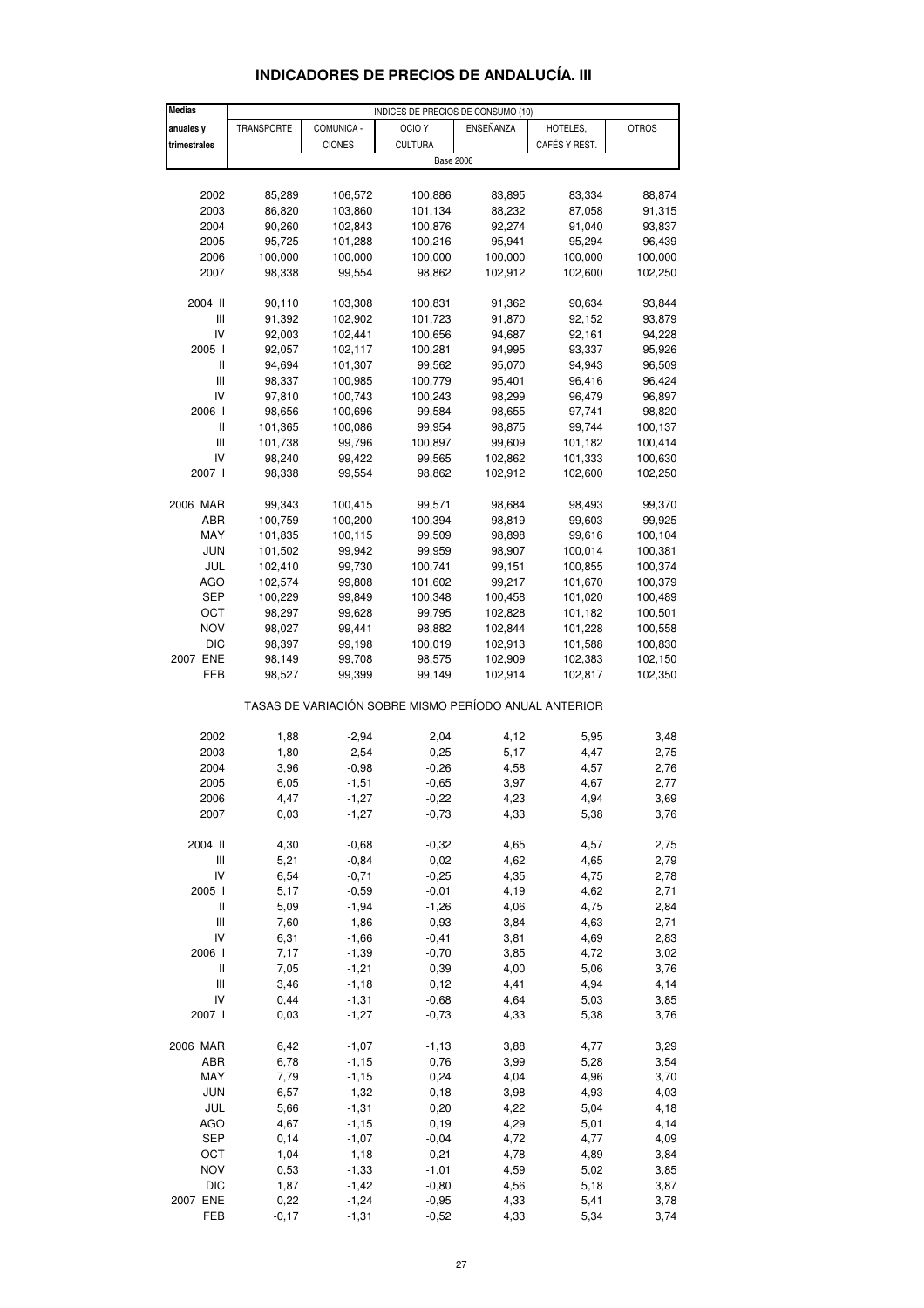| <b>Medias</b>                      |            |               | INDICES DE PRECIOS DE CONSUMO (10)                    |           |               |              |
|------------------------------------|------------|---------------|-------------------------------------------------------|-----------|---------------|--------------|
| anuales y                          | TRANSPORTE | COMUNICA -    | OCIO <sub>Y</sub>                                     | ENSEÑANZA | HOTELES,      | <b>OTROS</b> |
| trimestrales                       |            | <b>CIONES</b> | <b>CULTURA</b>                                        |           | CAFÉS Y REST. |              |
|                                    |            |               | <b>Base 2006</b>                                      |           |               |              |
|                                    |            |               |                                                       |           |               |              |
| 2002                               | 85,289     | 106,572       | 100,886                                               | 83,895    | 83,334        | 88,874       |
| 2003                               | 86,820     | 103,860       | 101,134                                               | 88,232    | 87,058        | 91,315       |
| 2004                               | 90,260     | 102,843       | 100,876                                               | 92,274    | 91,040        | 93,837       |
| 2005                               | 95,725     | 101,288       | 100,216                                               | 95,941    | 95,294        | 96,439       |
| 2006                               | 100,000    | 100,000       | 100,000                                               | 100,000   | 100,000       | 100,000      |
| 2007                               | 98,338     | 99,554        | 98,862                                                | 102,912   | 102,600       | 102,250      |
|                                    |            |               |                                                       |           |               |              |
| 2004 II                            | 90,110     | 103,308       | 100,831                                               | 91,362    | 90,634        | 93,844       |
| Ш                                  | 91,392     | 102,902       | 101,723                                               | 91,870    | 92,152        | 93,879       |
| IV                                 | 92,003     | 102,441       | 100,656                                               | 94,687    | 92,161        | 94,228       |
| 2005 l                             | 92,057     | 102,117       | 100,281                                               | 94,995    | 93,337        | 95,926       |
| $\mathbf{I}$                       | 94,694     | 101,307       | 99,562                                                | 95,070    | 94,943        | 96,509       |
| $\ensuremath{\mathsf{III}}\xspace$ | 98,337     | 100,985       | 100,779                                               | 95,401    | 96,416        | 96,424       |
| IV                                 | 97,810     | 100,743       | 100,243                                               | 98,299    | 96,479        | 96,897       |
| 2006 l                             | 98,656     | 100,696       | 99,584                                                | 98,655    | 97,741        | 98,820       |
| Ш                                  | 101,365    | 100,086       | 99,954                                                | 98,875    | 99,744        | 100,137      |
| Ш                                  | 101,738    | 99,796        | 100,897                                               | 99,609    | 101,182       | 100,414      |
| IV                                 | 98,240     | 99,422        | 99,565                                                | 102,862   | 101,333       | 100,630      |
| 2007 l                             | 98,338     | 99,554        | 98,862                                                | 102,912   | 102,600       | 102,250      |
|                                    |            |               |                                                       |           |               |              |
| 2006 MAR                           | 99,343     | 100,415       | 99,571                                                | 98,684    | 98,493        | 99,370       |
| ABR                                | 100,759    | 100,200       | 100,394                                               | 98,819    | 99,603        | 99,925       |
| MAY                                | 101,835    | 100,115       | 99,509                                                | 98,898    | 99,616        | 100,104      |
| JUN                                | 101,502    | 99,942        | 99,959                                                | 98,907    | 100,014       | 100,381      |
| JUL                                | 102,410    | 99,730        | 100,741                                               | 99,151    | 100,855       | 100,374      |
| <b>AGO</b>                         | 102,574    | 99,808        | 101,602                                               | 99,217    | 101,670       | 100,379      |
| SEP                                | 100,229    | 99,849        | 100,348                                               | 100,458   | 101,020       | 100,489      |
| ОСТ                                | 98,297     | 99,628        | 99,795                                                | 102,828   | 101,182       | 100,501      |
| NOV                                | 98,027     | 99,441        | 98,882                                                | 102,844   | 101,228       | 100,558      |
| <b>DIC</b>                         | 98,397     | 99,198        | 100,019                                               | 102,913   | 101,588       | 100,830      |
| 2007 ENE                           | 98,149     | 99,708        | 98,575                                                | 102,909   | 102,383       | 102,150      |
| FEB                                | 98,527     | 99,399        | 99,149                                                | 102,914   | 102,817       | 102,350      |
|                                    |            |               | TASAS DE VARIACIÓN SOBRE MISMO PERÍODO ANUAL ANTERIOR |           |               |              |
| 2002                               | 1,88       | $-2,94$       | 2,04                                                  | 4,12      | 5,95          | 3,48         |
| 2003                               | 1,80       | $-2,54$       | 0,25                                                  | 5,17      | 4,47          | 2,75         |
| 2004                               | 3,96       | $-0,98$       | $-0,26$                                               | 4,58      | 4,57          | 2,76         |
| 2005                               | 6,05       | $-1,51$       | $-0,65$                                               | 3,97      | 4,67          | 2,77         |
| 2006                               | 4,47       | $-1,27$       | $-0,22$                                               | 4,23      | 4,94          | 3,69         |
| 2007                               | 0,03       | -1,27         | $-0,73$                                               | 4,33      | 5,38          | 3,76         |
|                                    |            |               |                                                       |           |               |              |
| 2004 II                            | 4,30       | $-0,68$       | $-0,32$                                               | 4,65      | 4,57          | 2,75         |
| $\ensuremath{\mathsf{III}}\xspace$ | 5,21       | $-0,84$       | 0,02                                                  | 4,62      | 4,65          | 2,79         |
| IV                                 | 6,54       | $-0,71$       | $-0,25$                                               | 4,35      | 4,75          | 2,78         |
| 2005 l                             | 5,17       | $-0,59$       | $-0,01$                                               | 4,19      | 4,62          | 2,71         |
| $\sf II$                           | 5,09       | $-1,94$       | $-1,26$                                               | 4,06      | 4,75          | 2,84         |
| Ш                                  | 7,60       | $-1,86$       | $-0,93$                                               | 3,84      | 4,63          | 2,71         |
| IV                                 | 6,31       | $-1,66$       | $-0,41$                                               | 3,81      | 4,69          | 2,83         |
| 2006 l                             | 7,17       | $-1,39$       | $-0,70$                                               | 3,85      | 4,72          | 3,02         |
| Ш                                  | 7,05       | $-1,21$       | 0,39                                                  | 4,00      | 5,06          | 3,76         |
| $\ensuremath{\mathsf{III}}\xspace$ | 3,46       | $-1,18$       | 0,12                                                  | 4,41      | 4,94          | 4,14         |
| IV                                 | 0,44       | $-1,31$       | $-0,68$                                               | 4,64      | 5,03          | 3,85         |
| 2007 l                             | 0,03       | $-1,27$       | $-0,73$                                               | 4,33      | 5,38          | 3,76         |
| 2006 MAR                           | 6,42       | $-1,07$       | $-1,13$                                               | 3,88      | 4,77          | 3,29         |
| ABR                                | 6,78       | $-1,15$       | 0,76                                                  | 3,99      | 5,28          | 3,54         |
| MAY                                | 7,79       | $-1,15$       | 0,24                                                  | 4,04      | 4,96          | 3,70         |
| <b>JUN</b>                         | 6,57       | $-1,32$       | 0, 18                                                 | 3,98      | 4,93          | 4,03         |
| JUL                                | 5,66       | $-1,31$       | 0,20                                                  | 4,22      | 5,04          | 4,18         |
| <b>AGO</b>                         | 4,67       | $-1,15$       | 0, 19                                                 | 4,29      | 5,01          | 4,14         |
| <b>SEP</b>                         | 0,14       | $-1,07$       | $-0,04$                                               | 4,72      | 4,77          | 4,09         |
| OCT                                | $-1,04$    | $-1,18$       | $-0,21$                                               | 4,78      | 4,89          | 3,84         |
| <b>NOV</b>                         | 0,53       | $-1,33$       | $-1,01$                                               | 4,59      | 5,02          | 3,85         |
| <b>DIC</b>                         | 1,87       | $-1,42$       | $-0,80$                                               | 4,56      | 5,18          | 3,87         |
| 2007 ENE                           | 0,22       | $-1,24$       | $-0,95$                                               | 4,33      | 5,41          | 3,78         |
| FEB                                | $-0,17$    | $-1,31$       | $-0,52$                                               | 4,33      | 5,34          | 3,74         |

### **INDICADORES DE PRECIOS DE ANDALUCÍA. III**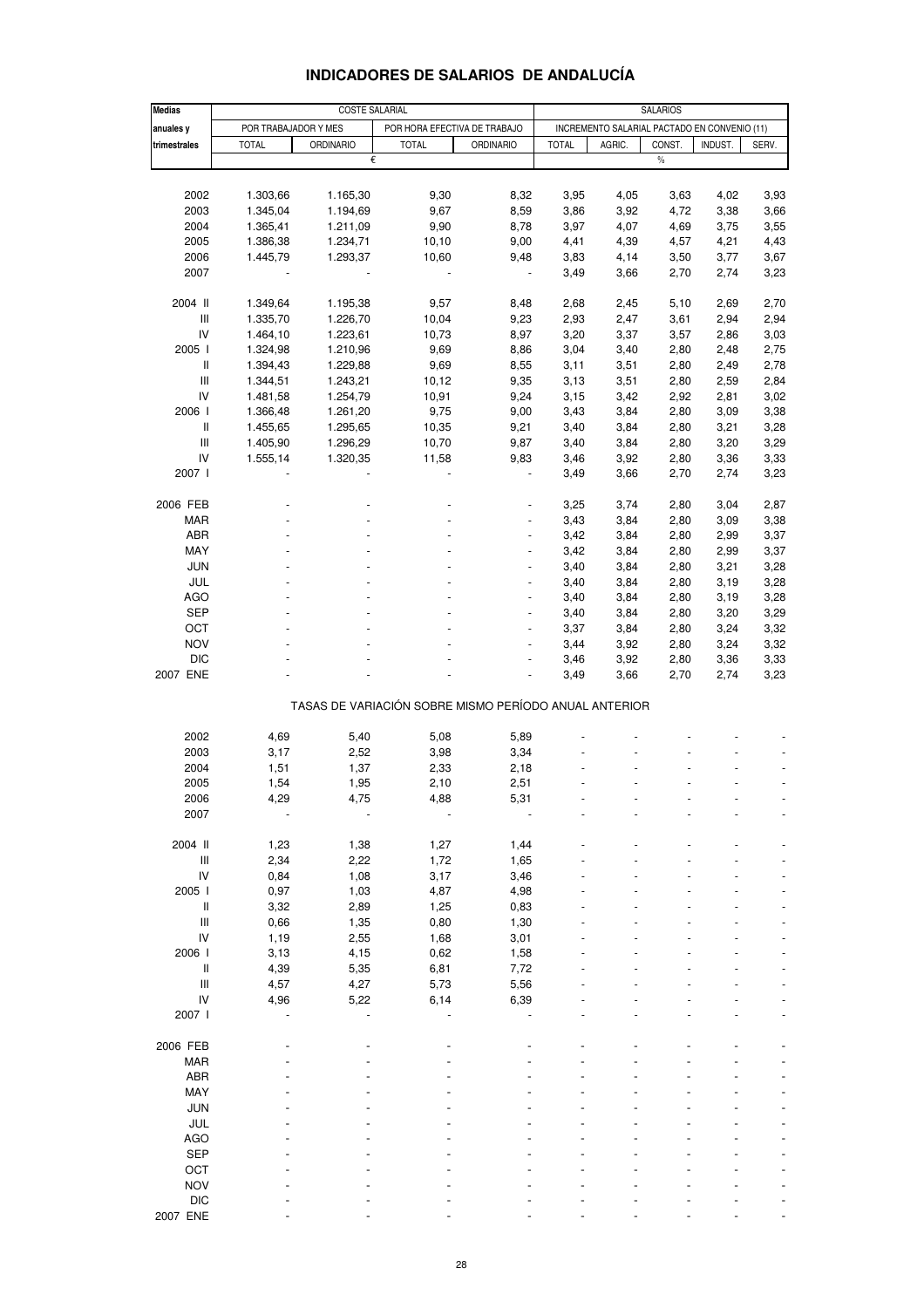| <b>Medias</b>                      |                      | <b>COSTE SALARIAL</b> |                                                       |                          |              |                                              | <b>SALARIOS</b> |         |       |
|------------------------------------|----------------------|-----------------------|-------------------------------------------------------|--------------------------|--------------|----------------------------------------------|-----------------|---------|-------|
|                                    |                      |                       |                                                       |                          |              |                                              |                 |         |       |
| anuales y                          | POR TRABAJADOR Y MES |                       | POR HORA EFECTIVA DE TRABAJO                          |                          |              | INCREMENTO SALARIAL PACTADO EN CONVENIO (11) |                 |         |       |
| trimestrales                       | <b>TOTAL</b>         | <b>ORDINARIO</b>      | <b>TOTAL</b>                                          | <b>ORDINARIO</b>         | <b>TOTAL</b> | AGRIC.                                       | CONST.          | INDUST. | SERV. |
|                                    |                      | €                     |                                                       |                          |              |                                              | $\%$            |         |       |
|                                    |                      |                       |                                                       |                          |              |                                              |                 |         |       |
| 2002                               | 1.303,66             | 1.165,30              | 9,30                                                  | 8,32                     | 3,95         | 4,05                                         | 3,63            | 4,02    | 3,93  |
| 2003                               | 1.345,04             | 1.194,69              | 9,67                                                  | 8,59                     | 3,86         | 3,92                                         | 4,72            | 3,38    | 3,66  |
| 2004                               | 1.365,41             | 1.211,09              | 9,90                                                  | 8,78                     | 3,97         | 4,07                                         | 4,69            | 3,75    | 3,55  |
| 2005                               | 1.386,38             | 1.234,71              | 10, 10                                                | 9,00                     | 4,41         | 4,39                                         | 4,57            | 4,21    | 4,43  |
| 2006                               | 1.445,79             | 1.293,37              | 10,60                                                 | 9,48                     | 3,83         | 4,14                                         | 3,50            | 3,77    | 3,67  |
| 2007                               |                      |                       |                                                       |                          | 3,49         | 3,66                                         | 2,70            | 2,74    | 3,23  |
|                                    |                      |                       |                                                       |                          |              |                                              |                 |         |       |
| 2004 II                            | 1.349,64             | 1.195,38              | 9,57                                                  | 8,48                     | 2,68         | 2,45                                         | 5,10            | 2,69    | 2,70  |
| Ш                                  | 1.335,70             | 1.226,70              | 10,04                                                 | 9,23                     | 2,93         | 2,47                                         | 3,61            | 2,94    | 2,94  |
| IV                                 | 1.464,10             | 1.223,61              | 10,73                                                 | 8,97                     | 3,20         | 3,37                                         | 3,57            | 2,86    | 3,03  |
| 2005 l                             | 1.324,98             | 1.210,96              | 9,69                                                  | 8,86                     | 3,04         | 3,40                                         | 2,80            | 2,48    | 2,75  |
| $\, \parallel$                     |                      |                       |                                                       |                          |              |                                              |                 |         |       |
|                                    | 1.394,43             | 1.229,88              | 9,69                                                  | 8,55                     | 3,11         | 3,51                                         | 2,80            | 2,49    | 2,78  |
| $\ensuremath{\mathsf{III}}\xspace$ | 1.344,51             | 1.243,21              | 10, 12                                                | 9,35                     | 3,13         | 3,51                                         | 2,80            | 2,59    | 2,84  |
| IV                                 | 1.481,58             | 1.254,79              | 10,91                                                 | 9,24                     | 3,15         | 3,42                                         | 2,92            | 2,81    | 3,02  |
| 2006                               | 1.366,48             | 1.261,20              | 9,75                                                  | 9,00                     | 3,43         | 3,84                                         | 2,80            | 3,09    | 3,38  |
| $\, \parallel$                     | 1.455,65             | 1.295,65              | 10,35                                                 | 9,21                     | 3,40         | 3,84                                         | 2,80            | 3,21    | 3,28  |
| Ш                                  | 1.405,90             | 1.296,29              | 10,70                                                 | 9,87                     | 3,40         | 3,84                                         | 2,80            | 3,20    | 3,29  |
| IV                                 | 1.555,14             | 1.320,35              | 11,58                                                 | 9,83                     | 3,46         | 3,92                                         | 2,80            | 3,36    | 3,33  |
| 2007 l                             |                      |                       |                                                       | $\blacksquare$           | 3,49         | 3,66                                         | 2,70            | 2,74    | 3,23  |
|                                    |                      |                       |                                                       |                          |              |                                              |                 |         |       |
| 2006 FEB                           |                      |                       |                                                       |                          | 3,25         | 3,74                                         | 2,80            | 3,04    | 2,87  |
| <b>MAR</b>                         |                      |                       |                                                       | $\overline{\phantom{a}}$ | 3,43         | 3,84                                         | 2,80            | 3,09    | 3,38  |
| ABR                                |                      |                       |                                                       | $\frac{1}{2}$            | 3,42         | 3,84                                         | 2,80            | 2,99    | 3,37  |
| MAY                                |                      |                       |                                                       |                          |              |                                              |                 |         |       |
|                                    |                      |                       |                                                       |                          | 3,42         | 3,84                                         | 2,80            | 2,99    | 3,37  |
| <b>JUN</b>                         |                      |                       |                                                       | $\overline{\phantom{a}}$ | 3,40         | 3,84                                         | 2,80            | 3,21    | 3,28  |
| JUL                                |                      |                       |                                                       | $\overline{\phantom{a}}$ | 3,40         | 3,84                                         | 2,80            | 3,19    | 3,28  |
| <b>AGO</b>                         |                      |                       |                                                       |                          | 3,40         | 3,84                                         | 2,80            | 3,19    | 3,28  |
| <b>SEP</b>                         |                      |                       |                                                       | $\overline{a}$           | 3,40         | 3,84                                         | 2,80            | 3,20    | 3,29  |
| OCT                                |                      |                       |                                                       | $\blacksquare$           | 3,37         | 3,84                                         | 2,80            | 3,24    | 3,32  |
| <b>NOV</b>                         |                      |                       |                                                       |                          | 3,44         | 3,92                                         | 2,80            | 3,24    | 3,32  |
| <b>DIC</b>                         |                      |                       |                                                       | $\blacksquare$           | 3,46         | 3,92                                         | 2,80            | 3,36    | 3,33  |
| 2007 ENE                           |                      |                       |                                                       |                          | 3,49         | 3,66                                         | 2,70            | 2,74    | 3,23  |
|                                    |                      |                       |                                                       |                          |              |                                              |                 |         |       |
|                                    |                      |                       | TASAS DE VARIACIÓN SOBRE MISMO PERÍODO ANUAL ANTERIOR |                          |              |                                              |                 |         |       |
|                                    |                      |                       |                                                       |                          |              |                                              |                 |         |       |
| 2002                               | 4,69                 | 5,40                  | 5,08                                                  | 5,89                     |              |                                              |                 |         |       |
| 2003                               | 3,17                 | 2,52                  | 3,98                                                  | 3,34                     |              |                                              |                 |         |       |
| 2004                               | 1,51                 | 1,37                  | 2,33                                                  | 2,18                     |              |                                              |                 |         |       |
| 2005                               | 1,54                 | 1,95                  | 2,10                                                  | 2,51                     |              |                                              |                 |         |       |
| 2006                               | 4,29                 | 4,75                  | 4,88                                                  | 5,31                     |              |                                              |                 |         |       |
| 2007                               |                      |                       |                                                       |                          |              |                                              |                 |         |       |
|                                    |                      |                       |                                                       |                          |              |                                              |                 |         |       |
|                                    |                      |                       |                                                       |                          |              |                                              |                 |         |       |
| 2004 II                            | 1,23                 | 1,38                  | 1,27                                                  | 1,44                     |              |                                              |                 |         |       |
| $\ensuremath{\mathsf{III}}\xspace$ | 2,34                 | 2,22                  | 1,72                                                  | 1,65                     |              |                                              |                 |         |       |
| IV                                 | 0,84                 | 1,08                  | 3,17                                                  | 3,46                     |              |                                              |                 |         |       |
| 2005 l                             | 0,97                 | 1,03                  | 4,87                                                  | 4,98                     |              |                                              |                 |         |       |
| Ш                                  | 3,32                 | 2,89                  | 1,25                                                  | 0,83                     |              |                                              |                 |         |       |
| Ш                                  | 0,66                 | 1,35                  | 0,80                                                  | 1,30                     |              |                                              |                 |         |       |
| IV                                 | 1,19                 | 2,55                  | 1,68                                                  | 3,01                     |              |                                              |                 |         |       |
| 2006 l                             | 3,13                 | 4,15                  | 0,62                                                  | 1,58                     |              |                                              |                 |         |       |
| $\, \parallel$                     | 4,39                 | 5,35                  | 6,81                                                  | 7,72                     |              |                                              |                 |         |       |
| Ш                                  | 4,57                 | 4,27                  | 5,73                                                  | 5,56                     |              |                                              |                 |         |       |
| IV                                 | 4,96                 | 5,22                  | 6,14                                                  | 6,39                     |              |                                              |                 |         |       |
| 2007 l                             |                      |                       |                                                       |                          |              |                                              |                 |         |       |
|                                    |                      |                       |                                                       |                          |              |                                              |                 |         |       |
|                                    |                      |                       |                                                       |                          |              |                                              |                 |         |       |
| 2006 FEB                           |                      |                       |                                                       |                          |              |                                              |                 |         |       |
| <b>MAR</b>                         |                      |                       |                                                       |                          |              |                                              |                 |         |       |
| <b>ABR</b>                         |                      |                       |                                                       |                          |              |                                              |                 |         |       |
| MAY                                |                      |                       |                                                       |                          |              |                                              |                 |         |       |
| <b>JUN</b>                         |                      |                       |                                                       |                          |              |                                              |                 |         |       |
| JUL                                |                      |                       |                                                       |                          |              |                                              |                 |         |       |
| <b>AGO</b>                         |                      |                       |                                                       |                          |              |                                              |                 |         |       |
| <b>SEP</b>                         |                      |                       |                                                       |                          |              |                                              |                 |         |       |
| OCT                                |                      |                       |                                                       |                          |              |                                              |                 |         |       |
| <b>NOV</b>                         |                      |                       |                                                       |                          |              |                                              |                 |         |       |
| <b>DIC</b>                         |                      |                       |                                                       |                          |              |                                              |                 |         |       |
|                                    |                      |                       |                                                       |                          |              |                                              |                 |         |       |
| 2007 ENE                           |                      |                       |                                                       |                          |              |                                              |                 |         |       |

### **INDICADORES DE SALARIOS DE ANDALUCÍA**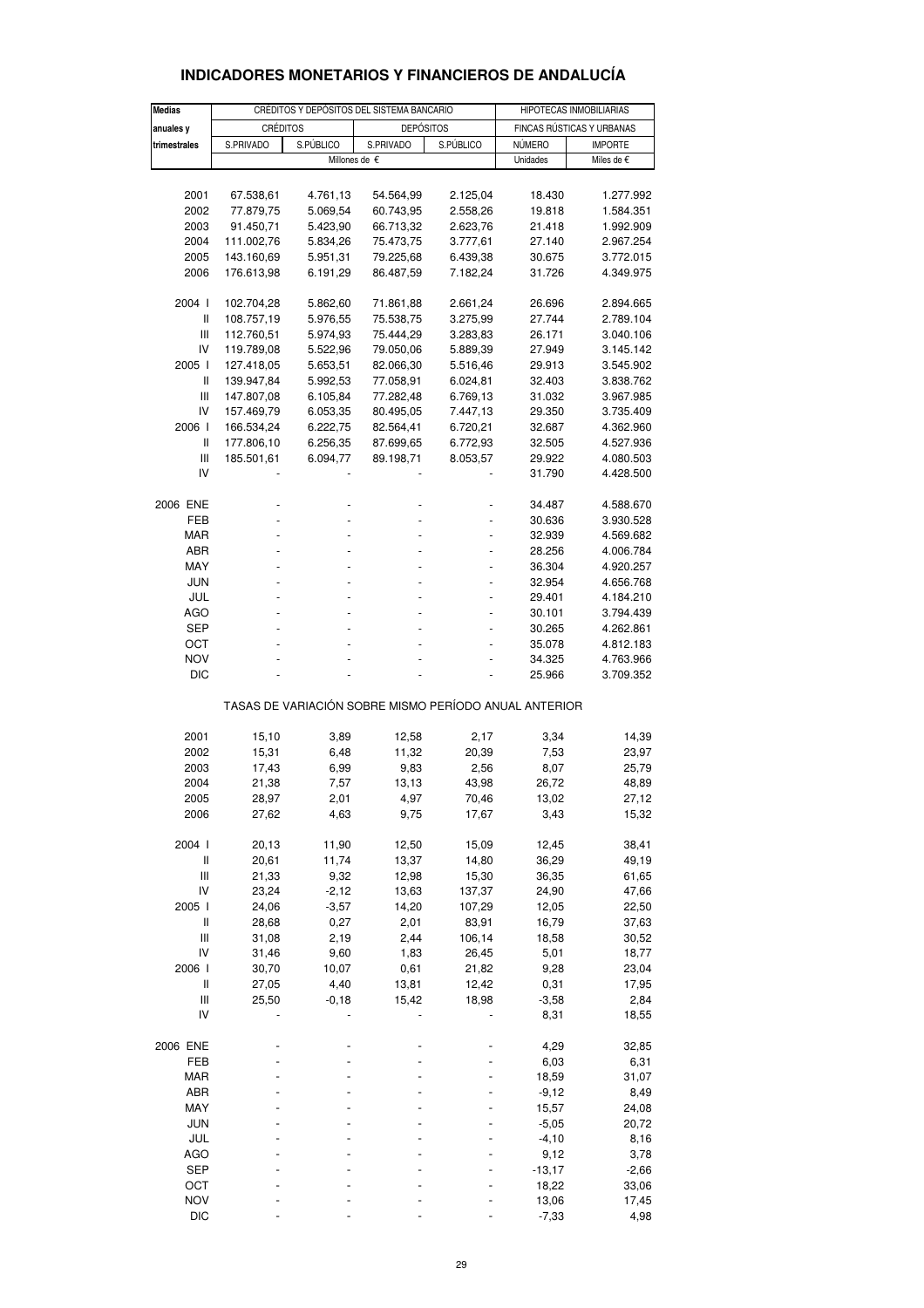| <b>Medias</b>                                   |                          | CRÉDITOS Y DEPÓSITOS DEL SISTEMA BANCARIO |                                                       | HIPOTECAS INMOBILIARIAS |                |                           |
|-------------------------------------------------|--------------------------|-------------------------------------------|-------------------------------------------------------|-------------------------|----------------|---------------------------|
| anuales y                                       | <b>CRÉDITOS</b>          |                                           | <b>DEPÓSITOS</b>                                      |                         |                | FINCAS RÚSTICAS Y URBANAS |
| trimestrales                                    | S.PRIVADO                | S.PÚBLICO                                 | S.PRIVADO                                             | S.PÚBLICO               | <b>NÚMERO</b>  | <b>IMPORTE</b>            |
|                                                 |                          |                                           | Millones de €                                         |                         | Unidades       | Miles de €                |
|                                                 |                          |                                           |                                                       |                         |                |                           |
| 2001                                            | 67.538,61                | 4.761,13                                  | 54.564,99                                             | 2.125,04                | 18.430         | 1.277.992                 |
|                                                 | 77.879,75                | 5.069,54                                  |                                                       |                         |                |                           |
| 2002                                            |                          |                                           | 60.743,95                                             | 2.558,26                | 19.818         | 1.584.351                 |
| 2003                                            | 91.450,71                | 5.423,90                                  | 66.713,32                                             | 2.623,76                | 21.418         | 1.992.909                 |
| 2004<br>2005                                    | 111.002,76<br>143.160,69 | 5.834,26                                  | 75.473,75                                             | 3.777,61                | 27.140         | 2.967.254                 |
| 2006                                            |                          | 5.951,31                                  | 79.225,68                                             | 6.439,38<br>7.182,24    | 30.675         | 3.772.015<br>4.349.975    |
|                                                 | 176.613,98               | 6.191,29                                  | 86.487,59                                             |                         | 31.726         |                           |
| 2004 l                                          | 102.704,28               | 5.862,60                                  | 71.861,88                                             | 2.661,24                | 26.696         | 2.894.665                 |
| II                                              | 108.757,19               | 5.976,55                                  | 75.538,75                                             | 3.275,99                | 27.744         | 2.789.104                 |
| Ш                                               | 112.760,51               | 5.974,93                                  | 75.444,29                                             | 3.283,83                | 26.171         | 3.040.106                 |
| IV                                              | 119.789,08               | 5.522,96                                  | 79.050,06                                             | 5.889,39                | 27.949         | 3.145.142                 |
| 2005                                            | 127.418,05               | 5.653,51                                  | 82.066,30                                             | 5.516,46                | 29.913         | 3.545.902                 |
| II                                              | 139.947,84               | 5.992,53                                  | 77.058,91                                             | 6.024,81                | 32.403         | 3.838.762                 |
| Ш                                               | 147.807,08               | 6.105,84                                  | 77.282,48                                             | 6.769,13                | 31.032         | 3.967.985                 |
| IV                                              | 157.469,79               | 6.053,35                                  | 80.495,05                                             | 7.447,13                | 29.350         | 3.735.409                 |
| 2006                                            | 166.534,24               | 6.222,75                                  | 82.564,41                                             | 6.720,21                | 32.687         | 4.362.960                 |
| II                                              | 177.806,10               | 6.256,35                                  | 87.699,65                                             | 6.772,93                | 32.505         | 4.527.936                 |
| Ш                                               | 185.501,61               | 6.094,77                                  | 89.198,71                                             | 8.053,57                | 29.922         | 4.080.503                 |
| IV                                              |                          |                                           |                                                       |                         | 31.790         | 4.428.500                 |
| 2006 ENE                                        |                          |                                           |                                                       |                         | 34.487         | 4.588.670                 |
| FEB                                             |                          |                                           |                                                       |                         | 30.636         | 3.930.528                 |
| <b>MAR</b>                                      |                          |                                           |                                                       |                         | 32.939         | 4.569.682                 |
| ABR                                             |                          |                                           |                                                       |                         | 28.256         | 4.006.784                 |
| MAY                                             |                          |                                           |                                                       |                         | 36.304         | 4.920.257                 |
| <b>JUN</b>                                      |                          |                                           |                                                       |                         | 32.954         | 4.656.768                 |
| JUL                                             |                          |                                           |                                                       |                         | 29.401         | 4.184.210                 |
| AGO                                             |                          |                                           |                                                       |                         | 30.101         | 3.794.439                 |
| <b>SEP</b>                                      |                          |                                           |                                                       |                         | 30.265         | 4.262.861                 |
| ОСТ                                             |                          |                                           |                                                       |                         | 35.078         | 4.812.183                 |
| <b>NOV</b>                                      |                          |                                           |                                                       |                         | 34.325         | 4.763.966                 |
| DIC                                             |                          |                                           |                                                       |                         | 25.966         | 3.709.352                 |
|                                                 |                          |                                           | TASAS DE VARIACIÓN SOBRE MISMO PERÍODO ANUAL ANTERIOR |                         |                |                           |
| 2001                                            | 15,10                    | 3,89                                      | 12,58                                                 | 2,17                    | 3,34           | 14,39                     |
| 2002                                            | 15,31                    | 6,48                                      | 11,32                                                 | 20,39                   | 7,53           | 23,97                     |
| 2003                                            | 17,43                    | 6,99                                      | 9,83                                                  | 2,56                    | 8,07           | 25,79                     |
| 2004                                            | 21,38                    | 7,57                                      | 13,13                                                 | 43,98                   | 26,72          | 48,89                     |
| 2005                                            | 28,97                    | 2,01                                      | 4,97                                                  | 70,46                   | 13,02          | 27,12                     |
| 2006                                            | 27,62                    | 4,63                                      | 9,75                                                  | 17,67                   | 3,43           | 15,32                     |
|                                                 |                          |                                           |                                                       |                         |                |                           |
| 2004 l<br>$\begin{array}{c} \hline \end{array}$ | 20, 13                   | 11,90                                     | 12,50<br>13,37                                        | 15,09                   | 12,45          | 38,41                     |
| $\begin{array}{c} \hline \end{array}$           | 20,61<br>21,33           | 11,74<br>9,32                             | 12,98                                                 | 14,80<br>15,30          | 36,29<br>36,35 | 49,19                     |
| IV                                              | 23,24                    | $-2,12$                                   |                                                       |                         |                | 61,65                     |
| 2005 l                                          |                          | $-3,57$                                   | 13,63<br>14,20                                        | 137,37<br>107,29        | 24,90<br>12,05 | 47,66                     |
| $\begin{array}{c} \hline \end{array}$           | 24,06<br>28,68           | 0,27                                      | 2,01                                                  | 83,91                   | 16,79          | 22,50                     |
| $\mathbf{III}$                                  | 31,08                    | 2,19                                      | 2,44                                                  | 106,14                  | 18,58          | 37,63<br>30,52            |
| IV                                              | 31,46                    | 9,60                                      | 1,83                                                  | 26,45                   | 5,01           | 18,77                     |
| 2006 l                                          | 30,70                    | 10,07                                     | 0,61                                                  | 21,82                   | 9,28           | 23,04                     |
| Ш                                               | 27,05                    | 4,40                                      | 13,81                                                 | 12,42                   | 0,31           | 17,95                     |
| Ш                                               | 25,50                    | $-0,18$                                   | 15,42                                                 | 18,98                   | $-3,58$        | 2,84                      |
| IV                                              |                          |                                           |                                                       |                         | 8,31           | 18,55                     |
|                                                 |                          |                                           |                                                       |                         |                |                           |
| 2006 ENE                                        |                          |                                           |                                                       |                         | 4,29           | 32,85                     |
| FEB                                             |                          |                                           |                                                       |                         | 6,03           | 6,31                      |
| <b>MAR</b>                                      |                          |                                           |                                                       |                         | 18,59          | 31,07                     |
| ABR                                             |                          |                                           |                                                       |                         | $-9,12$        | 8,49                      |
| MAY                                             |                          |                                           |                                                       |                         | 15,57          | 24,08                     |
| JUN                                             |                          |                                           |                                                       |                         | $-5,05$        | 20,72                     |
| JUL                                             |                          |                                           |                                                       |                         | $-4, 10$       | 8,16                      |
| <b>AGO</b>                                      |                          |                                           |                                                       |                         | 9,12           | 3,78                      |
| <b>SEP</b>                                      |                          |                                           |                                                       |                         | $-13,17$       | $-2,66$                   |
| ОСТ                                             |                          |                                           |                                                       |                         | 18,22          | 33,06                     |
| <b>NOV</b>                                      |                          |                                           |                                                       |                         | 13,06          | 17,45                     |
| <b>DIC</b>                                      |                          |                                           |                                                       |                         | $-7,33$        | 4,98                      |

## **INDICADORES MONETARIOS Y FINANCIEROS DE ANDALUCÍA**